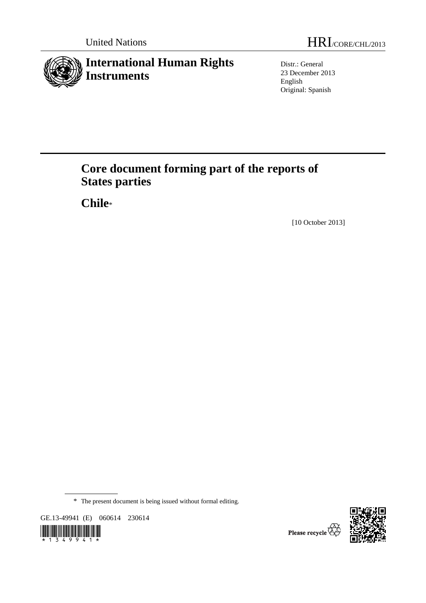

Distr.: General 23 December 2013 English Original: Spanish

# **Core document forming part of the reports of States parties**

 **Chile**\*

[10 October 2013]

\* The present document is being issued without formal editing.

GE.13-49941 (E) 060614 230614





Please recycle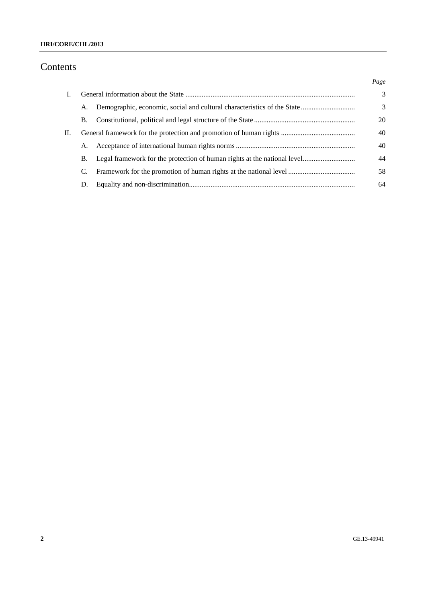### **HRI/CORE/CHL/2013**

## Contents

|    |    | Page |
|----|----|------|
|    |    | 3    |
|    | А. | 3    |
|    | В. | 20   |
| П. |    | 40   |
|    | А. | 40   |
|    | В. | 44   |
|    | C. | 58   |
|    | D. | 64   |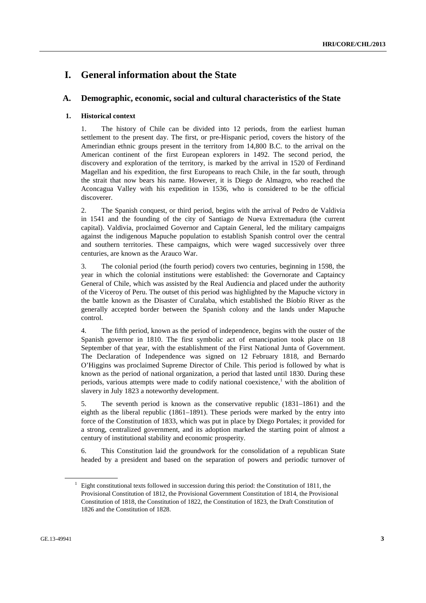## **I. General information about the State**

### **A. Demographic, economic, social and cultural characteristics of the State**

### **1. Historical context**

1. The history of Chile can be divided into 12 periods, from the earliest human settlement to the present day. The first, or pre-Hispanic period, covers the history of the Amerindian ethnic groups present in the territory from 14,800 B.C. to the arrival on the American continent of the first European explorers in 1492. The second period, the discovery and exploration of the territory, is marked by the arrival in 1520 of Ferdinand Magellan and his expedition, the first Europeans to reach Chile, in the far south, through the strait that now bears his name. However, it is Diego de Almagro, who reached the Aconcagua Valley with his expedition in 1536, who is considered to be the official discoverer.

2. The Spanish conquest, or third period, begins with the arrival of Pedro de Valdivia in 1541 and the founding of the city of Santiago de Nueva Extremadura (the current capital). Valdivia, proclaimed Governor and Captain General, led the military campaigns against the indigenous Mapuche population to establish Spanish control over the central and southern territories. These campaigns, which were waged successively over three centuries, are known as the Arauco War.

3. The colonial period (the fourth period) covers two centuries, beginning in 1598, the year in which the colonial institutions were established: the Governorate and Captaincy General of Chile, which was assisted by the Real Audiencia and placed under the authority of the Viceroy of Peru. The outset of this period was highlighted by the Mapuche victory in the battle known as the Disaster of Curalaba, which established the Bíobío River as the generally accepted border between the Spanish colony and the lands under Mapuche control.

4. The fifth period, known as the period of independence, begins with the ouster of the Spanish governor in 1810. The first symbolic act of emancipation took place on 18 September of that year, with the establishment of the First National Junta of Government. The Declaration of Independence was signed on 12 February 1818, and Bernardo O'Higgins was proclaimed Supreme Director of Chile. This period is followed by what is known as the period of national organization, a period that lasted until 1830. During these periods, various attempts were made to codify national coexistence,<sup>1</sup> with the abolition of slavery in July 1823 a noteworthy development.

5. The seventh period is known as the conservative republic (1831–1861) and the eighth as the liberal republic (1861–1891). These periods were marked by the entry into force of the Constitution of 1833, which was put in place by Diego Portales; it provided for a strong, centralized government, and its adoption marked the starting point of almost a century of institutional stability and economic prosperity.

6. This Constitution laid the groundwork for the consolidation of a republican State headed by a president and based on the separation of powers and periodic turnover of

<sup>&</sup>lt;sup>1</sup> Eight constitutional texts followed in succession during this period: the Constitution of 1811, the Provisional Constitution of 1812, the Provisional Government Constitution of 1814, the Provisional Constitution of 1818, the Constitution of 1822, the Constitution of 1823, the Draft Constitution of 1826 and the Constitution of 1828.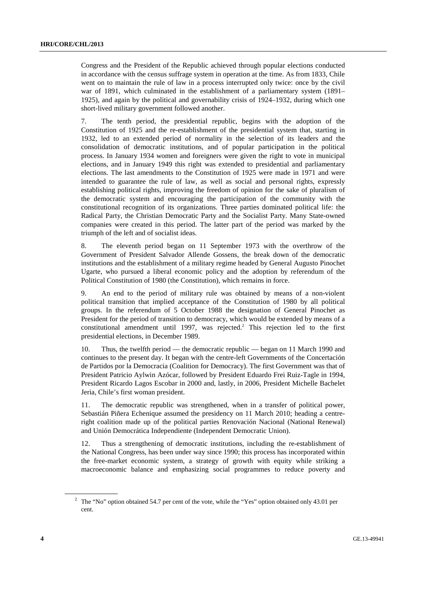Congress and the President of the Republic achieved through popular elections conducted in accordance with the census suffrage system in operation at the time. As from 1833, Chile went on to maintain the rule of law in a process interrupted only twice: once by the civil war of 1891, which culminated in the establishment of a parliamentary system (1891– 1925), and again by the political and governability crisis of 1924–1932, during which one short-lived military government followed another.

7. The tenth period, the presidential republic, begins with the adoption of the Constitution of 1925 and the re-establishment of the presidential system that, starting in 1932, led to an extended period of normality in the selection of its leaders and the consolidation of democratic institutions, and of popular participation in the political process. In January 1934 women and foreigners were given the right to vote in municipal elections, and in January 1949 this right was extended to presidential and parliamentary elections. The last amendments to the Constitution of 1925 were made in 1971 and were intended to guarantee the rule of law, as well as social and personal rights, expressly establishing political rights, improving the freedom of opinion for the sake of pluralism of the democratic system and encouraging the participation of the community with the constitutional recognition of its organizations. Three parties dominated political life: the Radical Party, the Christian Democratic Party and the Socialist Party. Many State-owned companies were created in this period. The latter part of the period was marked by the triumph of the left and of socialist ideas.

8. The eleventh period began on 11 September 1973 with the overthrow of the Government of President Salvador Allende Gossens, the break down of the democratic institutions and the establishment of a military regime headed by General Augusto Pinochet Ugarte, who pursued a liberal economic policy and the adoption by referendum of the Political Constitution of 1980 (the Constitution), which remains in force.

9. An end to the period of military rule was obtained by means of a non-violent political transition that implied acceptance of the Constitution of 1980 by all political groups. In the referendum of 5 October 1988 the designation of General Pinochet as President for the period of transition to democracy, which would be extended by means of a constitutional amendment until 1997, was rejected.<sup>2</sup> This rejection led to the first presidential elections, in December 1989.

10. Thus, the twelfth period — the democratic republic — began on 11 March 1990 and continues to the present day. It began with the centre-left Governments of the Concertación de Partidos por la Democracia (Coalition for Democracy). The first Government was that of President Patricio Aylwin Azócar, followed by President Eduardo Frei Ruiz-Tagle in 1994, President Ricardo Lagos Escobar in 2000 and, lastly, in 2006, President Michelle Bachelet Jeria, Chile's first woman president.

11. The democratic republic was strengthened, when in a transfer of political power, Sebastián Piñera Echenique assumed the presidency on 11 March 2010; heading a centreright coalition made up of the political parties Renovación Nacional (National Renewal) and Unión Democrática Independiente (Independent Democratic Union).

12. Thus a strengthening of democratic institutions, including the re-establishment of the National Congress, has been under way since 1990; this process has incorporated within the free-market economic system, a strategy of growth with equity while striking a macroeconomic balance and emphasizing social programmes to reduce poverty and

<sup>&</sup>lt;sup>2</sup> The "No" option obtained 54.7 per cent of the vote, while the "Yes" option obtained only 43.01 per cent.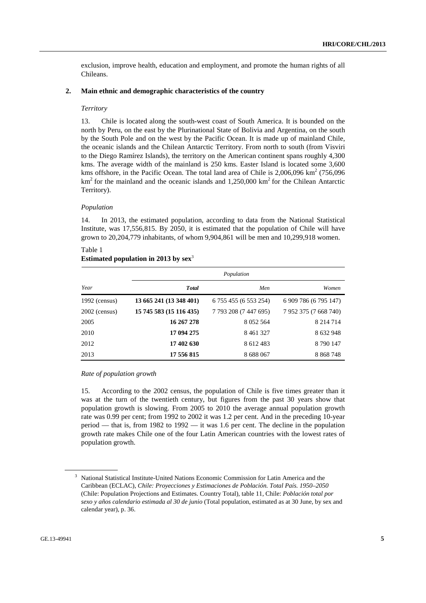exclusion, improve health, education and employment, and promote the human rights of all Chileans.

#### **2. Main ethnic and demographic characteristics of the country**

#### *Territory*

13. Chile is located along the south-west coast of South America. It is bounded on the north by Peru, on the east by the Plurinational State of Bolivia and Argentina, on the south by the South Pole and on the west by the Pacific Ocean. It is made up of mainland Chile, the oceanic islands and the Chilean Antarctic Territory. From north to south (from Visviri to the Diego Ramírez Islands), the territory on the American continent spans roughly 4,300 kms. The average width of the mainland is 250 kms. Easter Island is located some 3,600 kms offshore, in the Pacific Ocean. The total land area of Chile is  $2,006,096$  km<sup>2</sup> (756,096)  $km<sup>2</sup>$  for the mainland and the oceanic islands and 1,250,000 km<sup>2</sup> for the Chilean Antarctic Territory).

#### *Population*

14. In 2013, the estimated population, according to data from the National Statistical Institute, was 17,556,815. By 2050, it is estimated that the population of Chile will have grown to 20,204,779 inhabitants, of whom 9,904,861 will be men and 10,299,918 women.

| Table 1 | Estimated population in 2013 by $sex^3$ |  |  |
|---------|-----------------------------------------|--|--|
|         |                                         |  |  |

|                 | Population              |                       |                       |  |  |  |  |
|-----------------|-------------------------|-----------------------|-----------------------|--|--|--|--|
| Year            | <b>T</b> otal           | Men                   | Women                 |  |  |  |  |
| $1992$ (census) | 13 665 241 (13 348 401) | 6 755 455 (6 553 254) | 6 909 786 (6 795 147) |  |  |  |  |
| $2002$ (census) | 15 745 583 (15 116 435) | 7 793 208 (7 447 695) | 7 952 375 (7 668 740) |  |  |  |  |
| 2005            | 16 267 278              | 8 0 5 2 5 6 4         | 8 2 1 4 7 1 4         |  |  |  |  |
| 2010            | 17 094 275              | 8461327               | 8 632 948             |  |  |  |  |
| 2012            | 17 402 630              | 8 612 483             | 8 790 147             |  |  |  |  |
| 2013            | 17 556 815              | 8 688 067             | 8 8 6 7 4 8           |  |  |  |  |

#### *Rate of population growth*

15. According to the 2002 census, the population of Chile is five times greater than it was at the turn of the twentieth century, but figures from the past 30 years show that population growth is slowing. From 2005 to 2010 the average annual population growth rate was 0.99 per cent; from 1992 to 2002 it was 1.2 per cent. And in the preceding 10-year period — that is, from 1982 to 1992 — it was 1.6 per cent. The decline in the population growth rate makes Chile one of the four Latin American countries with the lowest rates of population growth.

<sup>&</sup>lt;sup>3</sup> National Statistical Institute-United Nations Economic Commission for Latin America and the Caribbean (ECLAC), *Chile: Proyecciones y Estimaciones de Población. Total País. 1950–2050* (Chile: Population Projections and Estimates. Country Total), table 11, Chile: *Población total por sexo y años calendario estimada al 30 de junio* (Total population, estimated as at 30 June, by sex and calendar year), p. 36.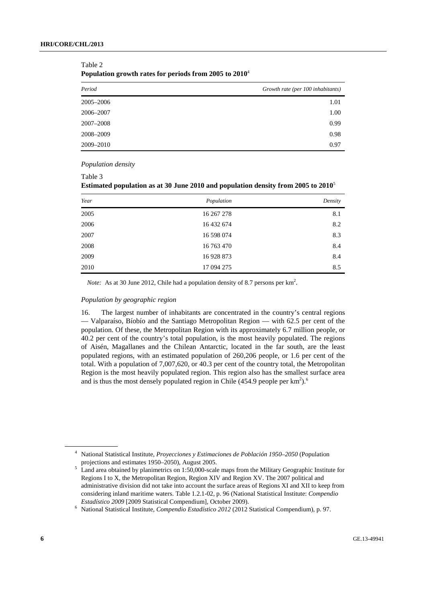| . .<br>-<br>л. |                                   |
|----------------|-----------------------------------|
| Period         | Growth rate (per 100 inhabitants) |
| 2005-2006      | 1.01                              |
| 2006-2007      | 1.00                              |
| 2007-2008      | 0.99                              |
| 2008-2009      | 0.98                              |
| 2009-2010      | 0.97                              |

#### Table 2 **Population growth rates for periods from 2005 to 2010**<sup>4</sup>

 *Population density* 

| Table 3                                                                              |  |
|--------------------------------------------------------------------------------------|--|
| Estimated population as at 30 June 2010 and population density from 2005 to $2010^5$ |  |

| Year | Population | Density |
|------|------------|---------|
| 2005 | 16 267 278 | 8.1     |
| 2006 | 16 432 674 | 8.2     |
| 2007 | 16 598 074 | 8.3     |
| 2008 | 16 763 470 | 8.4     |
| 2009 | 16 928 873 | 8.4     |
| 2010 | 17 094 275 | 8.5     |

*Note:* As at 30 June 2012, Chile had a population density of 8.7 persons per km<sup>2</sup>.

#### *Population by geographic region*

16. The largest number of inhabitants are concentrated in the country's central regions — Valparaíso, Bíobío and the Santiago Metropolitan Region — with 62.5 per cent of the population. Of these, the Metropolitan Region with its approximately 6.7 million people, or 40.2 per cent of the country's total population, is the most heavily populated. The regions of Aisén, Magallanes and the Chilean Antarctic, located in the far south, are the least populated regions, with an estimated population of 260,206 people, or 1.6 per cent of the total. With a population of 7,007,620, or 40.3 per cent of the country total, the Metropolitan Region is the most heavily populated region. This region also has the smallest surface area and is thus the most densely populated region in Chile (454.9 people per  $\text{km}^2$ ).<sup>6</sup>

<sup>4</sup> National Statistical Institute, *Proyecciones y Estimaciones de Población 1950–2050* (Population projections and estimates 1950–2050), August 2005.

Land area obtained by planimetrics on 1:50,000-scale maps from the Military Geographic Institute for Regions I to X, the Metropolitan Region, Region XIV and Region XV. The 2007 political and administrative division did not take into account the surface areas of Regions XI and XII to keep from considering inland maritime waters. Table 1.2.1-02, p. 96 (National Statistical Institute: *Compendio Estadístico 2009* [2009 Statistical Compendium], October 2009).

National Statistical Institute, *Compendio Estadístico 2012* (2012 Statistical Compendium), p. 97.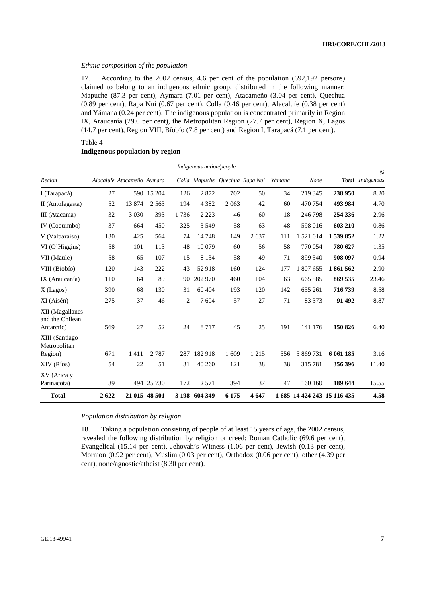### *Ethnic composition of the population*

17. According to the 2002 census, 4.6 per cent of the population (692,192 persons) claimed to belong to an indigenous ethnic group, distributed in the following manner: Mapuche (87.3 per cent), Aymara (7.01 per cent), Atacameño (3.04 per cent), Quechua (0.89 per cent), Rapa Nui (0.67 per cent), Colla (0.46 per cent), Alacalufe (0.38 per cent) and Yámana (0.24 per cent). The indigenous population is concentrated primarily in Region IX, Araucanía (29.6 per cent), the Metropolitan Region (27.7 per cent), Region X, Lagos (14.7 per cent), Region VIII, Bíobío (7.8 per cent) and Region I, Tarapacá (7.1 per cent).

#### Table 4 **Indigenous population by region**

|                                                  |      |                            |               |      | Indigenous nation/people |         |                                |        |           |                             | $\frac{0}{0}$    |
|--------------------------------------------------|------|----------------------------|---------------|------|--------------------------|---------|--------------------------------|--------|-----------|-----------------------------|------------------|
| Region                                           |      | Alacalufe Atacameño Aymara |               |      |                          |         | Colla Mapuche Quechua Rapa Nui | Yámana | None      |                             | Total Indigenous |
| I (Tarapacá)                                     | 27   |                            | 590 15 204    | 126  | 2872                     | 702     | 50                             | 34     | 219 345   | 238 950                     | 8.20             |
| II (Antofagasta)                                 | 52   | 13874                      | 2 5 6 3       | 194  | 4 3 8 2                  | 2 0 6 3 | 42                             | 60     | 470 754   | 493 984                     | 4.70             |
| III (Atacama)                                    | 32   | 3 0 3 0                    | 393           | 1736 | 2 2 2 3                  | 46      | 60                             | 18     | 246798    | 254 336                     | 2.96             |
| IV (Coquimbo)                                    | 37   | 664                        | 450           | 325  | 3 5 4 9                  | 58      | 63                             | 48     | 598 016   | 603 210                     | 0.86             |
| V (Valparaíso)                                   | 130  | 425                        | 564           | 74   | 14748                    | 149     | 2637                           | 111    | 1521014   | 1 539 852                   | 1.22             |
| VI (O'Higgins)                                   | 58   | 101                        | 113           | 48   | 10079                    | 60      | 56                             | 58     | 770 054   | 780 627                     | 1.35             |
| VII (Maule)                                      | 58   | 65                         | 107           | 15   | 8 1 3 4                  | 58      | 49                             | 71     | 899 540   | 908 097                     | 0.94             |
| VIII (Bíobío)                                    | 120  | 143                        | 222           | 43   | 52918                    | 160     | 124                            | 177    | 1 807 655 | 1861562                     | 2.90             |
| IX (Araucanía)                                   | 110  | 64                         | 89            | 90   | 202 970                  | 460     | 104                            | 63     | 665 585   | 869 535                     | 23.46            |
| X (Lagos)                                        | 390  | 68                         | 130           | 31   | 60 404                   | 193     | 120                            | 142    | 655 261   | 716 739                     | 8.58             |
| XI (Aisén)                                       | 275  | 37                         | 46            | 2    | 7 604                    | 57      | 27                             | 71     | 83 373    | 91 492                      | 8.87             |
| XII (Magallanes<br>and the Chilean<br>Antarctic) | 569  | 27                         | 52            | 24   | 8717                     | 45      | 25                             | 191    | 141 176   | 150 826                     | 6.40             |
| XIII (Santiago<br>Metropolitan<br>Region)        | 671  | 1411                       | 2 7 8 7       | 287  | 182918                   | 1609    | 1 2 1 5                        | 556    | 5 869 731 | 6 061 185                   | 3.16             |
| XIV (Ríos)                                       | 54   | 22                         | 51            | 31   | 40 260                   | 121     | 38                             | 38     | 315781    | 356 396                     | 11.40            |
| XV (Arica y<br>Parinacota)                       | 39   |                            | 494 25 730    | 172  | 2 5 7 1                  | 394     | 37                             | 47     | 160 160   | 189 644                     | 15.55            |
| <b>Total</b>                                     | 2622 |                            | 21 015 48 501 |      | 3 198 604 349            | 6 1 7 5 | 4647                           |        |           | 1 685 14 424 243 15 116 435 | 4.58             |

#### *Population distribution by religion*

18. Taking a population consisting of people of at least 15 years of age, the 2002 census, revealed the following distribution by religion or creed: Roman Catholic (69.6 per cent), Evangelical (15.14 per cent), Jehovah's Witness (1.06 per cent), Jewish (0.13 per cent), Mormon (0.92 per cent), Muslim (0.03 per cent), Orthodox (0.06 per cent), other (4.39 per cent), none/agnostic/atheist (8.30 per cent).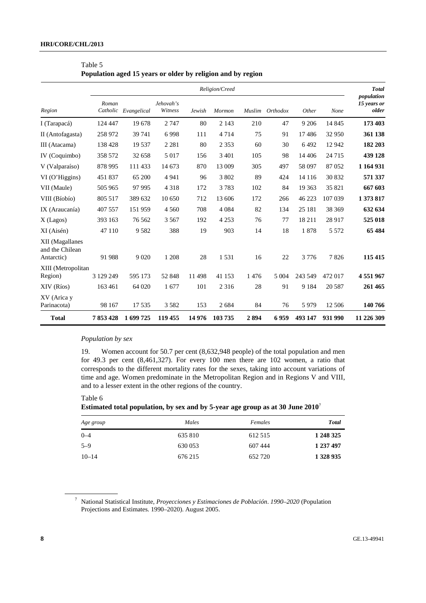|                                                  | Religion/Creed |                      |                      |        |         |      |                 |         |         |                                    |
|--------------------------------------------------|----------------|----------------------|----------------------|--------|---------|------|-----------------|---------|---------|------------------------------------|
| Region                                           | Roman          | Catholic Evangelical | Jehovah's<br>Witness | Jewish | Mormon  |      | Muslim Orthodox | Other   | None    | population<br>15 years or<br>older |
| I (Tarapacá)                                     | 124 447        | 19678                | 2 7 4 7              | 80     | 2 1 4 3 | 210  | 47              | 9 2 0 6 | 14 8 45 | 173 403                            |
| II (Antofagasta)                                 | 258 972        | 39 741               | 6 9 9 8              | 111    | 4 7 1 4 | 75   | 91              | 17486   | 32 950  | 361 138                            |
| III (Atacama)                                    | 138 428        | 19 5 37              | 2 2 8 1              | 80     | 2 3 5 3 | 60   | 30              | 6492    | 12 942  | 182 203                            |
| IV (Coquimbo)                                    | 358 572        | 32 658               | 5 0 1 7              | 156    | 3 4 0 1 | 105  | 98              | 14 4 06 | 24 7 15 | 439 128                            |
| V (Valparaíso)                                   | 878 995        | 111 433              | 14 673               | 870    | 13 009  | 305  | 497             | 58 097  | 87052   | 1 164 931                          |
| $VI$ (O'Higgins)                                 | 451837         | 65 200               | 4 9 4 1              | 96     | 3 802   | 89   | 424             | 14 1 16 | 30 832  | 571 337                            |
| VII (Maule)                                      | 505 965        | 97 995               | 4 3 1 8              | 172    | 3783    | 102  | 84              | 19 3 63 | 35 821  | 667 603                            |
| VIII (Bíobío)                                    | 805 517        | 389 632              | 10 650               | 712    | 13 606  | 172  | 266             | 46 223  | 107 039 | 1 373 817                          |
| IX (Araucanía)                                   | 407 557        | 151 959              | 4 5 6 0              | 708    | 4 0 8 4 | 82   | 134             | 25 181  | 38 369  | 632 634                            |
| X (Lagos)                                        | 393 163        | 76 5 62              | 3 5 6 7              | 192    | 4 2 5 3 | 76   | 77              | 18211   | 28 917  | 525 018                            |
| XI (Aisén)                                       | 47 110         | 9582                 | 388                  | 19     | 903     | 14   | 18              | 1878    | 5 5 7 2 | 65 484                             |
| XII (Magallanes<br>and the Chilean<br>Antarctic) | 91 988         | 9 0 20               | 1 2 0 8              | 28     | 1531    | 16   | 22              | 3776    | 7826    | 115 415                            |
| XIII (Metropolitan<br>Region)                    | 3 129 249      | 595 173              | 52 848               | 11498  | 41 153  | 1476 | 5 0 0 4         | 243 549 | 472 017 | 4551967                            |
| XIV (Ríos)                                       | 163 461        | 64 020               | 1677                 | 101    | 2 3 1 6 | 28   | 91              | 9 1 8 4 | 20 5 87 | 261 465                            |
| XV (Arica y<br>Parinacota)                       | 98 167         | 17535                | 3 5 8 2              | 153    | 2684    | 84   | 76              | 5979    | 12 50 6 | 140 766                            |
| <b>Total</b>                                     | 7853428        | 1699725              | 119 455              | 14976  | 103735  | 2894 | 6959            | 493 147 | 931 990 | 11 226 309                         |

| Table 5                                                     |  |  |  |
|-------------------------------------------------------------|--|--|--|
| Population aged 15 years or older by religion and by region |  |  |  |

### *Population by sex*

19. Women account for 50.7 per cent (8,632,948 people) of the total population and men for 49.3 per cent (8,461,327). For every 100 men there are 102 women, a ratio that corresponds to the different mortality rates for the sexes, taking into account variations of time and age. Women predominate in the Metropolitan Region and in Regions V and VIII, and to a lesser extent in the other regions of the country.

Table 6

**Estimated total population, by sex and by 5-year age group as at 30 June 2010**<sup>7</sup>

| Age group | Males   | Females | Total     |
|-----------|---------|---------|-----------|
| $0 - 4$   | 635 810 | 612 515 | 1 248 325 |
| $5 - 9$   | 630 053 | 607 444 | 1 237 497 |
| $10 - 14$ | 676 215 | 652 720 | 1 328 935 |

<sup>7</sup> National Statistical Institute, *Proyecciones y Estimaciones de Población*. *1990–2020* (Population Projections and Estimates. 1990–2020). August 2005.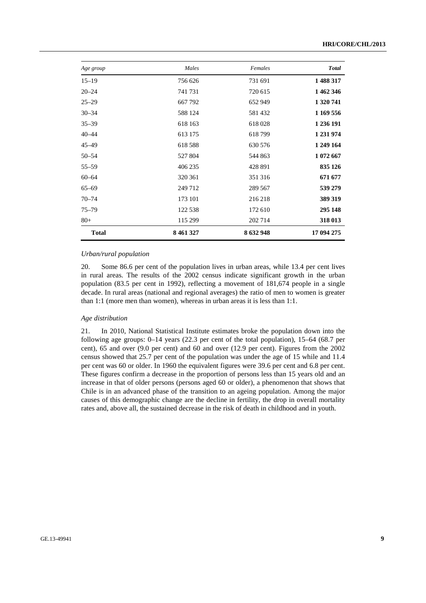| Age group    | Males         | Females   | <b>Total</b> |
|--------------|---------------|-----------|--------------|
| $15 - 19$    | 756 626       | 731 691   | 1488317      |
| $20 - 24$    | 741 731       | 720 615   | 1 462 346    |
| $25 - 29$    | 667 792       | 652 949   | 1 320 741    |
| $30 - 34$    | 588 124       | 581 432   | 1 169 556    |
| $35 - 39$    | 618 163       | 618028    | 1 236 191    |
| $40 - 44$    | 613 175       | 618799    | 1 231 974    |
| $45 - 49$    | 618 588       | 630 576   | 1 249 164    |
| $50 - 54$    | 527 804       | 544 863   | 1 072 667    |
| $55 - 59$    | 406 235       | 428 891   | 835 126      |
| $60 - 64$    | 320 361       | 351 316   | 671 677      |
| $65 - 69$    | 249 712       | 289 567   | 539 279      |
| $70 - 74$    | 173 101       | 216 218   | 389 319      |
| $75 - 79$    | 122 538       | 172 610   | 295 148      |
| $80 +$       | 115 299       | 202 714   | 318 013      |
| <b>Total</b> | 8 4 6 1 3 2 7 | 8 632 948 | 17 094 275   |

#### *Urban/rural population*

20. Some 86.6 per cent of the population lives in urban areas, while 13.4 per cent lives in rural areas. The results of the 2002 census indicate significant growth in the urban population (83.5 per cent in 1992), reflecting a movement of 181,674 people in a single decade. In rural areas (national and regional averages) the ratio of men to women is greater than 1:1 (more men than women), whereas in urban areas it is less than 1:1.

#### *Age distribution*

21. In 2010, National Statistical Institute estimates broke the population down into the following age groups: 0–14 years (22.3 per cent of the total population), 15–64 (68.7 per cent), 65 and over (9.0 per cent) and 60 and over (12.9 per cent). Figures from the 2002 census showed that 25.7 per cent of the population was under the age of 15 while and 11.4 per cent was 60 or older. In 1960 the equivalent figures were 39.6 per cent and 6.8 per cent. These figures confirm a decrease in the proportion of persons less than 15 years old and an increase in that of older persons (persons aged 60 or older), a phenomenon that shows that Chile is in an advanced phase of the transition to an ageing population. Among the major causes of this demographic change are the decline in fertility, the drop in overall mortality rates and, above all, the sustained decrease in the risk of death in childhood and in youth.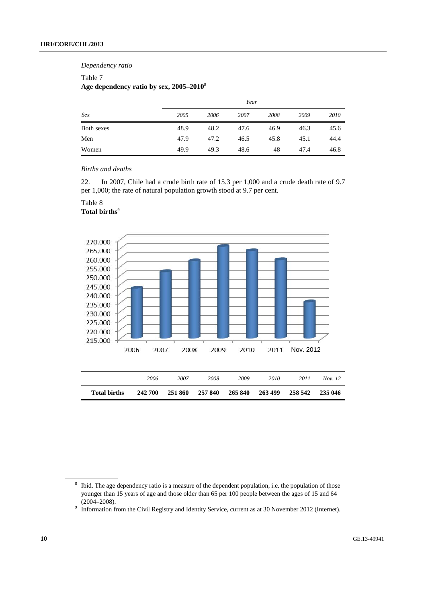#### *Dependency ratio*

#### Table 7

### **Age dependency ratio by sex, 2005–2010**<sup>8</sup>

|            |      |      | Year |      |      |      |
|------------|------|------|------|------|------|------|
| Sex        | 2005 | 2006 | 2007 | 2008 | 2009 | 2010 |
| Both sexes | 48.9 | 48.2 | 47.6 | 46.9 | 46.3 | 45.6 |
| Men        | 47.9 | 47.2 | 46.5 | 45.8 | 45.1 | 44.4 |
| Women      | 49.9 | 49.3 | 48.6 | 48   | 47.4 | 46.8 |

### *Births and deaths*

22. In 2007, Chile had a crude birth rate of 15.3 per 1,000 and a crude death rate of 9.7 per 1,000; the rate of natural population growth stood at 9.7 per cent.

#### Table 8

#### **Total births**<sup>9</sup>



| <b>Total births</b> | 242 700 | 251 860 | 257 840 | 265 840 | 263 499 | 258 542 | 235 046 |
|---------------------|---------|---------|---------|---------|---------|---------|---------|
|                     | 2006    | 2007    | 2008    | 2009    | 2010    | 2011    | Nov. 12 |

 $8$  Ibid. The age dependency ratio is a measure of the dependent population, i.e. the population of those younger than 15 years of age and those older than 65 per 100 people between the ages of 15 and 64 (2004–2008). (2004–2008). 9 Information from the Civil Registry and Identity Service, current as at 30 November 2012 (Internet).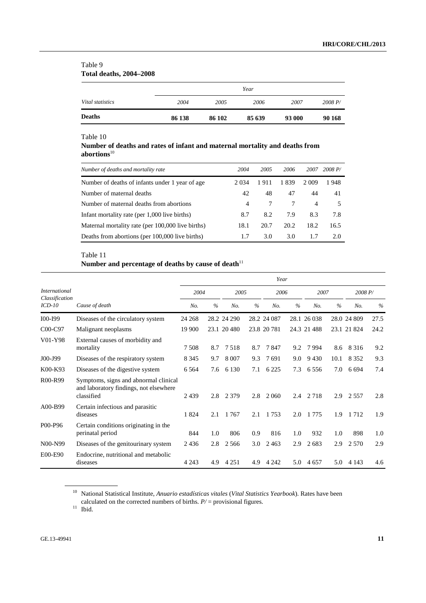### Table 9 **Total deaths, 2004–2008**

| <b>Deaths</b>    | 86 138 | 86 102 | 85 639 | 93 000 | 90 168  |
|------------------|--------|--------|--------|--------|---------|
| Vital statistics | 2004   | 2005   | 2006   | 2007   | 2008 P/ |
|                  |        |        | Year   |        |         |

### Table 10

### **Number of deaths and rates of infant and maternal mortality and deaths from abortions**<sup>10</sup>

| Number of deaths and mortality rate               | 2004           | 2005 | 2006 | 2007           | 2008 P/ |
|---------------------------------------------------|----------------|------|------|----------------|---------|
| Number of deaths of infants under 1 year of age.  | 2 0 3 4        | 1911 | 1839 | 2 0 0 9        | 1948    |
| Number of maternal deaths                         | 42             | 48   | 47   | 44             | 41      |
| Number of maternal deaths from abortions          | $\overline{4}$ |      | 7    | $\overline{4}$ | 5       |
| Infant mortality rate (per 1,000 live births)     | 8.7            | 8.2  | 7.9  | 8.3            | 7.8     |
| Maternal mortality rate (per 100,000 live births) | 18.1           | 20.7 | 20.2 | 18.2           | 16.5    |
| Deaths from abortions (per 100,000 live births)   | 1.7            | 3.0  | 3.0  | 1.7            | 2.0     |

### Table 11

### **Number and percentage of deaths by cause of death**<sup>11</sup>

|                                  |                                                                                               |         |               |             |               | Year        |               |             |      |             |      |
|----------------------------------|-----------------------------------------------------------------------------------------------|---------|---------------|-------------|---------------|-------------|---------------|-------------|------|-------------|------|
| <i>International</i>             |                                                                                               | 2004    |               | 2005        |               | 2006        |               | 2007        |      | 2008 P/     |      |
| Classification<br>$ICD-10$       | Cause of death                                                                                | No.     | $\frac{0}{6}$ | No.         | $\frac{0}{0}$ | No.         | $\frac{0}{6}$ | No.         | $\%$ | No.         | $\%$ |
| I00-I99                          | Diseases of the circulatory system                                                            | 24 268  |               | 28.2 24 290 |               | 28.2 24 087 |               | 28.1 26 038 |      | 28.0 24 809 | 27.5 |
| C <sub>0</sub> 0-C <sub>97</sub> | Malignant neoplasms                                                                           | 19 900  |               | 23.1 20 480 |               | 23.8 20 781 |               | 24.3 21 488 |      | 23.1 21 824 | 24.2 |
| V01-Y98                          | External causes of morbidity and<br>mortality                                                 | 7 5 0 8 | 8.7           | 7.518       | 8.7           | 7847        | 9.2           | 7994        | 8.6  | 8 3 1 6     | 9.2  |
| J00-J99                          | Diseases of the respiratory system                                                            | 8 3 4 5 | 9.7           | 8 0 0 7     | 9.3           | 7691        | 9.0           | 9430        | 10.1 | 8 3 5 2     | 9.3  |
| K00-K93                          | Diseases of the digestive system                                                              | 6 5 6 4 | 7.6           | 6 1 3 0     | 7.1           | 6 2 2 5     | 7.3           | 6 5 5 6     | 7.0  | 6 6 9 4     | 7.4  |
| R00-R99                          | Symptoms, signs and abnormal clinical<br>and laboratory findings, not elsewhere<br>classified | 2439    | 2.8           | 2 3 7 9     | 2.8           | 2 0 6 0     | 2.4           | 2 7 1 8     | 2.9  | 2 5 5 7     | 2.8  |
| A00-B99                          | Certain infectious and parasitic<br>diseases                                                  | 1824    | 2.1           | 1 7 6 7     | 2.1           | 1 7 5 3     | 2.0           | 1 7 7 5     | 1.9  | 1712        | 1.9  |
| P <sub>0</sub> 0-P <sub>96</sub> | Certain conditions originating in the<br>perinatal period                                     | 844     | 1.0           | 806         | 0.9           | 816         | 1.0           | 932         | 1.0  | 898         | 1.0  |
| N00-N99                          | Diseases of the genitourinary system                                                          | 2436    | 2.8           | 2 5 6 6     | 3.0           | 2463        | 2.9           | 2683        | 2.9  | 2 5 7 0     | 2.9  |
| E00-E90                          | Endocrine, nutritional and metabolic<br>diseases                                              | 4 2 4 3 | 4.9           | 4 2 5 1     | 4.9           | 4 2 4 2     | 5.0           | 4 6 5 7     | 5.0  | 4 1 4 3     | 4.6  |

<sup>10</sup> National Statistical Institute, *Anuario estadísticas vitales* (*Vital Statistics Yearbook*). Rates have been calculated on the corrected numbers of births.  $P/$  = provisional figures. 1<sup>1</sup> Ibid.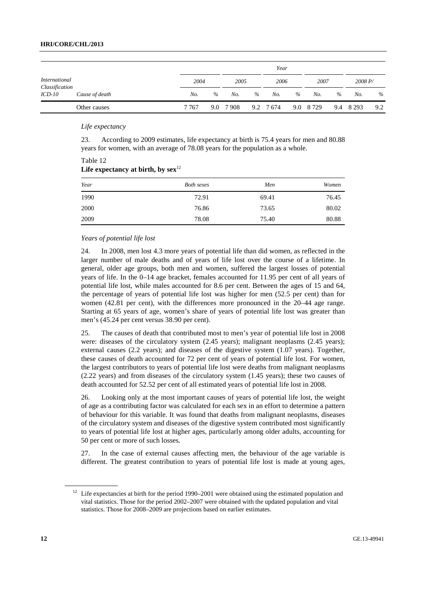### **HRI/CORE/CHL/2013**

|                                 |                |         |      |      |      | Year      |      |            |      |           |      |
|---------------------------------|----------------|---------|------|------|------|-----------|------|------------|------|-----------|------|
| International<br>Classification |                | 2004    |      | 2005 |      | 2006      |      | 2007       |      | 2008 P/   |      |
| $ICD-10$                        | Cause of death | No.     | $\%$ | No.  | $\%$ | No.       | $\%$ | No.        | $\%$ | No.       | $\%$ |
|                                 | Other causes   | 7 7 6 7 | 9.0  | 7908 |      | 9.2 7 674 |      | 9.0 8 7 29 |      | 9.4 8 293 | 9.2  |

 *Life expectancy* 

Table 12

23. According to 2009 estimates, life expectancy at birth is 75.4 years for men and 80.88 years for women, with an average of 78.08 years for the population as a whole.

| $\sum_{i=1}^{n}$ |                   |       |       |
|------------------|-------------------|-------|-------|
| Year             | <b>Both sexes</b> | Men   | Women |
| 1990             | 72.91             | 69.41 | 76.45 |
| 2000             | 76.86             | 73.65 | 80.02 |
| 2009             | 78.08             | 75.40 | 80.88 |

### Life expectancy at birth, by  $sex<sup>12</sup>$

#### *Years of potential life lost*

24. In 2008, men lost 4.3 more years of potential life than did women, as reflected in the larger number of male deaths and of years of life lost over the course of a lifetime. In general, older age groups, both men and women, suffered the largest losses of potential years of life. In the 0–14 age bracket, females accounted for 11.95 per cent of all years of potential life lost, while males accounted for 8.6 per cent. Between the ages of 15 and 64, the percentage of years of potential life lost was higher for men (52.5 per cent) than for women (42.81 per cent), with the differences more pronounced in the 20–44 age range. Starting at 65 years of age, women's share of years of potential life lost was greater than men's (45.24 per cent versus 38.90 per cent).

25. The causes of death that contributed most to men's year of potential life lost in 2008 were: diseases of the circulatory system (2.45 years); malignant neoplasms (2.45 years); external causes (2.2 years); and diseases of the digestive system (1.07 years). Together, these causes of death accounted for 72 per cent of years of potential life lost. For women, the largest contributors to years of potential life lost were deaths from malignant neoplasms (2.22 years) and from diseases of the circulatory system (1.45 years); these two causes of death accounted for 52.52 per cent of all estimated years of potential life lost in 2008.

26. Looking only at the most important causes of years of potential life lost, the weight of age as a contributing factor was calculated for each sex in an effort to determine a pattern of behaviour for this variable. It was found that deaths from malignant neoplasms, diseases of the circulatory system and diseases of the digestive system contributed most significantly to years of potential life lost at higher ages, particularly among older adults, accounting for 50 per cent or more of such losses.

27. In the case of external causes affecting men, the behaviour of the age variable is different. The greatest contribution to years of potential life lost is made at young ages,

<sup>&</sup>lt;sup>12</sup> Life expectancies at birth for the period 1990–2001 were obtained using the estimated population and vital statistics. Those for the period 2002–2007 were obtained with the updated population and vital statistics. Those for 2008–2009 are projections based on earlier estimates.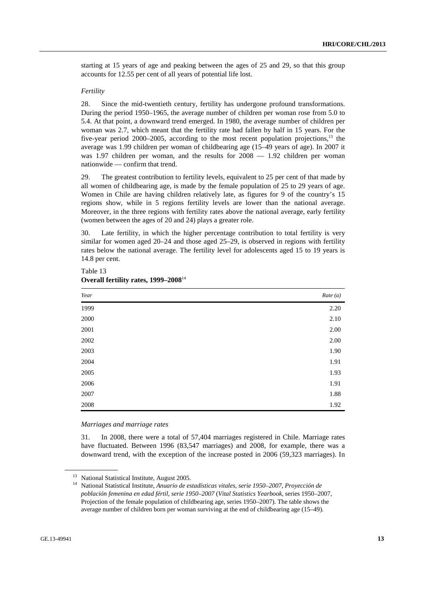starting at 15 years of age and peaking between the ages of 25 and 29, so that this group accounts for 12.55 per cent of all years of potential life lost.

#### *Fertility*

28. Since the mid-twentieth century, fertility has undergone profound transformations. During the period 1950–1965, the average number of children per woman rose from 5.0 to 5.4. At that point, a downward trend emerged. In 1980, the average number of children per woman was 2.7, which meant that the fertility rate had fallen by half in 15 years. For the five-year period 2000–2005, according to the most recent population projections, $^{13}$  the average was 1.99 children per woman of childbearing age (15–49 years of age). In 2007 it was 1.97 children per woman, and the results for  $2008 - 1.92$  children per woman nationwide — confirm that trend.

29. The greatest contribution to fertility levels, equivalent to 25 per cent of that made by all women of childbearing age, is made by the female population of 25 to 29 years of age. Women in Chile are having children relatively late, as figures for 9 of the country's 15 regions show, while in 5 regions fertility levels are lower than the national average. Moreover, in the three regions with fertility rates above the national average, early fertility (women between the ages of 20 and 24) plays a greater role.

30. Late fertility, in which the higher percentage contribution to total fertility is very similar for women aged 20–24 and those aged 25–29, is observed in regions with fertility rates below the national average. The fertility level for adolescents aged 15 to 19 years is 14.8 per cent.

| Year     | Rate (a) |
|----------|----------|
| 1999     | 2.20     |
| 2000     | 2.10     |
| 2001     | 2.00     |
| $2002\,$ | $2.00\,$ |
| 2003     | 1.90     |
| 2004     | 1.91     |
| 2005     | 1.93     |
| 2006     | 1.91     |
| 2007     | 1.88     |
| $2008\,$ | 1.92     |

#### Table 13 **Overall fertility rates, 1999–2008**<sup>14</sup>

#### *Marriages and marriage rates*

31. In 2008, there were a total of 57,404 marriages registered in Chile. Marriage rates have fluctuated. Between 1996 (83,547 marriages) and 2008, for example, there was a downward trend, with the exception of the increase posted in 2006 (59,323 marriages). In

<sup>&</sup>lt;sup>13</sup> National Statistical Institute, August 2005.

<sup>14</sup> National Statistical Institute, *Anuario de estadísticas vitales, serie 1950–2007*, *Proyección de población femenina en edad fértil, serie 1950–2007* (*Vital Statistics Yearbook*, series 1950–2007, Projection of the female population of childbearing age, series 1950–2007). The table shows the average number of children born per woman surviving at the end of childbearing age (15–49).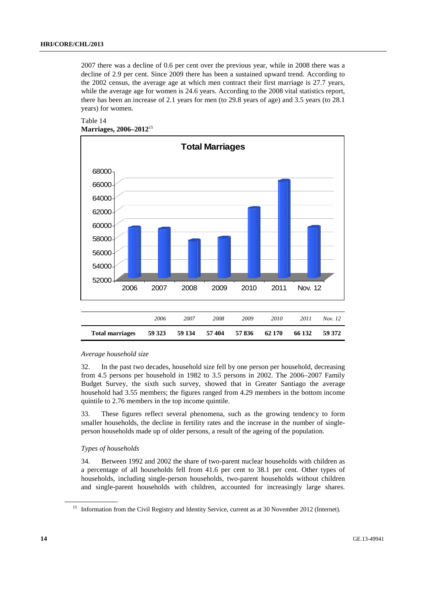2007 there was a decline of 0.6 per cent over the previous year, while in 2008 there was a decline of 2.9 per cent. Since 2009 there has been a sustained upward trend. According to the 2002 census, the average age at which men contract their first marriage is 27.7 years, while the average age for women is 24.6 years. According to the 2008 vital statistics report, there has been an increase of 2.1 years for men (to 29.8 years of age) and 3.5 years (to 28.1 years) for women.





#### *Average household size*

32. In the past two decades, household size fell by one person per household, decreasing from 4.5 persons per household in 1982 to 3.5 persons in 2002. The 2006–2007 Family Budget Survey, the sixth such survey, showed that in Greater Santiago the average household had 3.55 members; the figures ranged from 4.29 members in the bottom income quintile to 2.76 members in the top income quintile.

33. These figures reflect several phenomena, such as the growing tendency to form smaller households, the decline in fertility rates and the increase in the number of singleperson households made up of older persons, a result of the ageing of the population.

#### *Types of households*

34. Between 1992 and 2002 the share of two-parent nuclear households with children as a percentage of all households fell from 41.6 per cent to 38.1 per cent. Other types of households, including single-person households, two-parent households without children and single-parent households with children, accounted for increasingly large shares.

<sup>&</sup>lt;sup>15</sup> Information from the Civil Registry and Identity Service, current as at 30 November 2012 (Internet).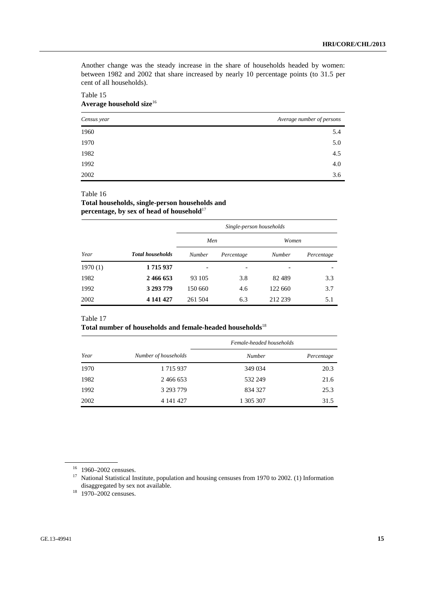Another change was the steady increase in the share of households headed by women: between 1982 and 2002 that share increased by nearly 10 percentage points (to 31.5 per cent of all households).

#### Table 15 **Average household size**<sup>16</sup>

| Census year | Average number of persons |
|-------------|---------------------------|
| 1960        | 5.4                       |
| 1970        | 5.0                       |
| 1982        | 4.5                       |
| 1992        | 4.0                       |
| 2002        | 3.6                       |

#### Table 16

### **Total households, single-person households and percentage, by sex of head of household**<sup>17</sup>

|         |                         | Single-person households |            |         |            |  |  |
|---------|-------------------------|--------------------------|------------|---------|------------|--|--|
|         |                         | Men                      |            | Women   |            |  |  |
| Year    | <b>Total households</b> | <b>Number</b>            | Percentage | Number  | Percentage |  |  |
| 1970(1) | 1715937                 |                          |            |         |            |  |  |
| 1982    | 2466653                 | 93 105                   | 3.8        | 82489   | 3.3        |  |  |
| 1992    | 3 293 779               | 150 660                  | 4.6        | 122 660 | 3.7        |  |  |
| 2002    | 4 141 427               | 261 504                  | 6.3        | 212 239 | 5.1        |  |  |

### Table 17

### **Total number of households and female-headed households**<sup>18</sup>

|      |                      | Female-headed households |            |  |  |  |
|------|----------------------|--------------------------|------------|--|--|--|
| Year | Number of households | Number                   | Percentage |  |  |  |
| 1970 | 1 715 937            | 349 034                  | 20.3       |  |  |  |
| 1982 | 2 466 653            | 532 249                  | 21.6       |  |  |  |
| 1992 | 3 293 779            | 834 327                  | 25.3       |  |  |  |
| 2002 | 4 141 427            | 1 305 307                | 31.5       |  |  |  |

<sup>16 1960–2002</sup> censuses.

<sup>&</sup>lt;sup>17</sup> National Statistical Institute, population and housing censuses from 1970 to 2002. (1) Information disaggregated by sex not available.

 $18 \overline{)1970}$ –2002 censuses.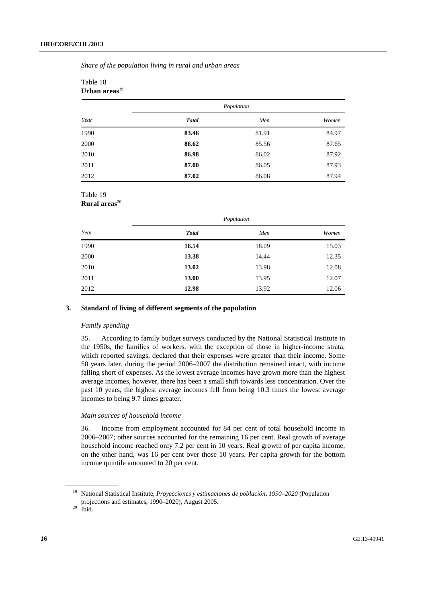*Share of the population living in rural and urban areas* 

| Urbali areas |              |       |       |
|--------------|--------------|-------|-------|
|              | Population   |       |       |
| Year         | <b>Total</b> | Men   | Women |
| 1990         | 83.46        | 81.91 | 84.97 |
| 2000         | 86.62        | 85.56 | 87.65 |
| 2010         | 86.98        | 86.02 | 87.92 |
| 2011         | 87.00        | 86.05 | 87.93 |
| 2012         | 87.02        | 86.08 | 87.94 |

#### Table 18 **Urban areas**<sup>19</sup>

#### Table 19 **Rural areas**<sup>20</sup>

|      | Population   |       |       |  |  |
|------|--------------|-------|-------|--|--|
| Year | <b>Total</b> | Men   | Women |  |  |
| 1990 | 16.54        | 18.09 | 15.03 |  |  |
| 2000 | 13.38        | 14.44 | 12.35 |  |  |
| 2010 | 13.02        | 13.98 | 12.08 |  |  |
| 2011 | 13.00        | 13.95 | 12.07 |  |  |
| 2012 | 12.98        | 13.92 | 12.06 |  |  |

#### **3. Standard of living of different segments of the population**

#### *Family spending*

35. According to family budget surveys conducted by the National Statistical Institute in the 1950s, the families of workers, with the exception of those in higher-income strata, which reported savings, declared that their expenses were greater than their income. Some 50 years later, during the period 2006–2007 the distribution remained intact, with income falling short of expenses. As the lowest average incomes have grown more than the highest average incomes, however, there has been a small shift towards less concentration. Over the past 10 years, the highest average incomes fell from being 10.3 times the lowest average incomes to being 9.7 times greater.

#### *Main sources of household income*

36. Income from employment accounted for 84 per cent of total household income in 2006–2007; other sources accounted for the remaining 16 per cent. Real growth of average household income reached only 7.2 per cent in 10 years. Real growth of per capita income, on the other hand, was 16 per cent over those 10 years. Per capita growth for the bottom income quintile amounted to 20 per cent.

<sup>19</sup> National Statistical Institute, *Proyecciones y estimaciones de población, 1990–2020* (Population projections and estimates, 1990–2020), August 2005. 20 Ibid.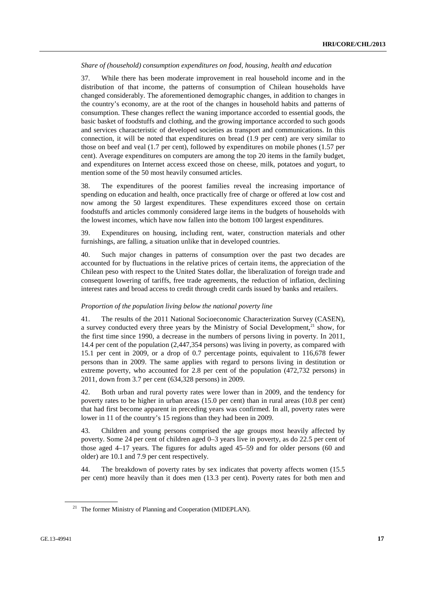*Share of (household) consumption expenditures on food, housing, health and education* 

37. While there has been moderate improvement in real household income and in the distribution of that income, the patterns of consumption of Chilean households have changed considerably. The aforementioned demographic changes, in addition to changes in the country's economy, are at the root of the changes in household habits and patterns of consumption. These changes reflect the waning importance accorded to essential goods, the basic basket of foodstuffs and clothing, and the growing importance accorded to such goods and services characteristic of developed societies as transport and communications. In this connection, it will be noted that expenditures on bread (1.9 per cent) are very similar to those on beef and veal (1.7 per cent), followed by expenditures on mobile phones (1.57 per cent). Average expenditures on computers are among the top 20 items in the family budget, and expenditures on Internet access exceed those on cheese, milk, potatoes and yogurt, to mention some of the 50 most heavily consumed articles.

38. The expenditures of the poorest families reveal the increasing importance of spending on education and health, once practically free of charge or offered at low cost and now among the 50 largest expenditures. These expenditures exceed those on certain foodstuffs and articles commonly considered large items in the budgets of households with the lowest incomes, which have now fallen into the bottom 100 largest expenditures.

39. Expenditures on housing, including rent, water, construction materials and other furnishings, are falling, a situation unlike that in developed countries.

40. Such major changes in patterns of consumption over the past two decades are accounted for by fluctuations in the relative prices of certain items, the appreciation of the Chilean peso with respect to the United States dollar, the liberalization of foreign trade and consequent lowering of tariffs, free trade agreements, the reduction of inflation, declining interest rates and broad access to credit through credit cards issued by banks and retailers.

#### *Proportion of the population living below the national poverty line*

41. The results of the 2011 National Socioeconomic Characterization Survey (CASEN), a survey conducted every three years by the Ministry of Social Development, $^{21}$  show, for the first time since 1990, a decrease in the numbers of persons living in poverty. In 2011, 14.4 per cent of the population (2,447,354 persons) was living in poverty, as compared with 15.1 per cent in 2009, or a drop of 0.7 percentage points, equivalent to 116,678 fewer persons than in 2009. The same applies with regard to persons living in destitution or extreme poverty, who accounted for 2.8 per cent of the population (472,732 persons) in 2011, down from 3.7 per cent (634,328 persons) in 2009.

42. Both urban and rural poverty rates were lower than in 2009, and the tendency for poverty rates to be higher in urban areas (15.0 per cent) than in rural areas (10.8 per cent) that had first become apparent in preceding years was confirmed. In all, poverty rates were lower in 11 of the country's 15 regions than they had been in 2009.

43. Children and young persons comprised the age groups most heavily affected by poverty. Some 24 per cent of children aged 0–3 years live in poverty, as do 22.5 per cent of those aged 4–17 years. The figures for adults aged 45–59 and for older persons (60 and older) are 10.1 and 7.9 per cent respectively.

44. The breakdown of poverty rates by sex indicates that poverty affects women (15.5 per cent) more heavily than it does men (13.3 per cent). Poverty rates for both men and

<sup>&</sup>lt;sup>21</sup> The former Ministry of Planning and Cooperation (MIDEPLAN).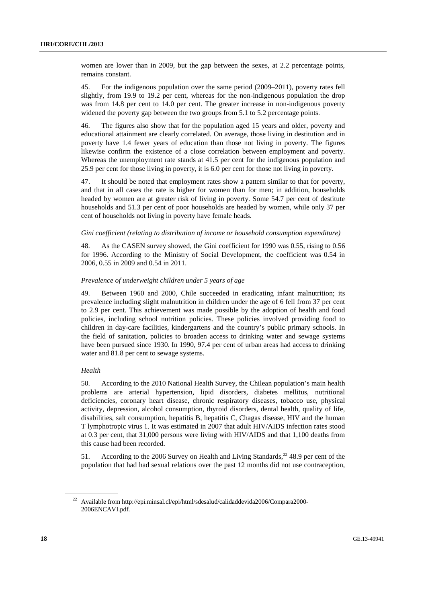women are lower than in 2009, but the gap between the sexes, at 2.2 percentage points, remains constant.

45. For the indigenous population over the same period (2009–2011), poverty rates fell slightly, from 19.9 to 19.2 per cent, whereas for the non-indigenous population the drop was from 14.8 per cent to 14.0 per cent. The greater increase in non-indigenous poverty widened the poverty gap between the two groups from 5.1 to 5.2 percentage points.

46. The figures also show that for the population aged 15 years and older, poverty and educational attainment are clearly correlated. On average, those living in destitution and in poverty have 1.4 fewer years of education than those not living in poverty. The figures likewise confirm the existence of a close correlation between employment and poverty. Whereas the unemployment rate stands at 41.5 per cent for the indigenous population and 25.9 per cent for those living in poverty, it is 6.0 per cent for those not living in poverty.

47. It should be noted that employment rates show a pattern similar to that for poverty, and that in all cases the rate is higher for women than for men; in addition, households headed by women are at greater risk of living in poverty. Some 54.7 per cent of destitute households and 51.3 per cent of poor households are headed by women, while only 37 per cent of households not living in poverty have female heads.

#### *Gini coefficient (relating to distribution of income or household consumption expenditure)*

48. As the CASEN survey showed, the Gini coefficient for 1990 was 0.55, rising to 0.56 for 1996. According to the Ministry of Social Development, the coefficient was 0.54 in 2006, 0.55 in 2009 and 0.54 in 2011.

#### *Prevalence of underweight children under 5 years of age*

49. Between 1960 and 2000, Chile succeeded in eradicating infant malnutrition; its prevalence including slight malnutrition in children under the age of 6 fell from 37 per cent to 2.9 per cent. This achievement was made possible by the adoption of health and food policies, including school nutrition policies. These policies involved providing food to children in day-care facilities, kindergartens and the country's public primary schools. In the field of sanitation, policies to broaden access to drinking water and sewage systems have been pursued since 1930. In 1990, 97.4 per cent of urban areas had access to drinking water and 81.8 per cent to sewage systems.

#### *Health*

50. According to the 2010 National Health Survey, the Chilean population's main health problems are arterial hypertension, lipid disorders, diabetes mellitus, nutritional deficiencies, coronary heart disease, chronic respiratory diseases, tobacco use, physical activity, depression, alcohol consumption, thyroid disorders, dental health, quality of life, disabilities, salt consumption, hepatitis B, hepatitis C, Chagas disease, HIV and the human T lymphotropic virus 1. It was estimated in 2007 that adult HIV/AIDS infection rates stood at 0.3 per cent, that 31,000 persons were living with HIV/AIDS and that 1,100 deaths from this cause had been recorded.

51. According to the 2006 Survey on Health and Living Standards,<sup>22</sup> 48.9 per cent of the population that had had sexual relations over the past 12 months did not use contraception,

<sup>22</sup> Available from http://epi.minsal.cl/epi/html/sdesalud/calidaddevida2006/Compara2000- 2006ENCAVI.pdf*.*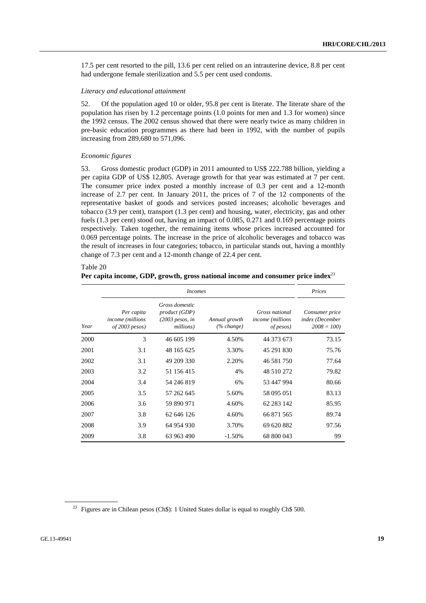17.5 per cent resorted to the pill, 13.6 per cent relied on an intrauterine device, 8.8 per cent had undergone female sterilization and 5.5 per cent used condoms.

#### *Literacy and educational attainment*

52. Of the population aged 10 or older, 95.8 per cent is literate. The literate share of the population has risen by 1.2 percentage points (1.0 points for men and 1.3 for women) since the 1992 census. The 2002 census showed that there were nearly twice as many children in pre-basic education programmes as there had been in 1992, with the number of pupils increasing from 289,680 to 571,096.

#### *Economic figures*

53. Gross domestic product (GDP) in 2011 amounted to US\$ 222.788 billion, yielding a per capita GDP of US\$ 12,805. Average growth for that year was estimated at 7 per cent. The consumer price index posted a monthly increase of 0.3 per cent and a 12-month increase of 2.7 per cent. In January 2011, the prices of 7 of the 12 components of the representative basket of goods and services posted increases; alcoholic beverages and tobacco (3.9 per cent), transport (1.3 per cent) and housing, water, electricity, gas and other fuels (1.3 per cent) stood out, having an impact of 0.085, 0.271 and 0.169 percentage points respectively. Taken together, the remaining items whose prices increased accounted for 0.069 percentage points. The increase in the price of alcoholic beverages and tobacco was the result of increases in four categories; tobacco, in particular stands out, having a monthly change of 7.3 per cent and a 12-month change of 22.4 per cent.

#### Table 20 **Per capita income, GDP, growth, gross national income and consumer price index**<sup>23</sup>

|      |                                                                   | <i>Incomes</i>                                                    |                                |                                                                | Prices                                            |  |
|------|-------------------------------------------------------------------|-------------------------------------------------------------------|--------------------------------|----------------------------------------------------------------|---------------------------------------------------|--|
| Year | Per capita<br><i>income</i> ( <i>millions</i><br>$of 2003$ pesos) | Gross domestic<br>product (GDP)<br>$(2003$ pesos, in<br>millions) | Annual growth<br>$(\% change)$ | Gross national<br><i>income</i> ( <i>millions</i><br>of pesos) | Consumer price<br>index (December<br>$2008 = 100$ |  |
| 2000 | 3                                                                 | 46 605 199                                                        | 4.50%                          | 44 373 673                                                     | 73.15                                             |  |
| 2001 | 3.1                                                               | 48 165 625                                                        | 3.30%                          | 45 291 830                                                     | 75.76                                             |  |
| 2002 | 3.1                                                               | 49 209 330                                                        | 2.20%                          | 46 581 750                                                     | 77.64                                             |  |
| 2003 | 3.2                                                               | 51 156 415                                                        | 4%                             | 48 510 272                                                     | 79.82                                             |  |
| 2004 | 3.4                                                               | 54 246 819                                                        | 6%                             | 53 447 994                                                     | 80.66                                             |  |
| 2005 | 3.5                                                               | 57 262 645                                                        | 5.60%                          | 58 095 051                                                     | 83.13                                             |  |
| 2006 | 3.6                                                               | 59 890 971                                                        | 4.60%                          | 62 283 142                                                     | 85.95                                             |  |
| 2007 | 3.8                                                               | 62 646 126                                                        | 4.60%                          | 66 871 565                                                     | 89.74                                             |  |
| 2008 | 3.9                                                               | 64 954 930                                                        | 3.70%                          | 69 620 882                                                     | 97.56                                             |  |
| 2009 | 3.8                                                               | 63 963 490                                                        | $-1.50%$                       | 68 800 043                                                     | 99                                                |  |

<sup>23</sup> Figures are in Chilean pesos (Ch\$): 1 United States dollar is equal to roughly Ch\$ 500.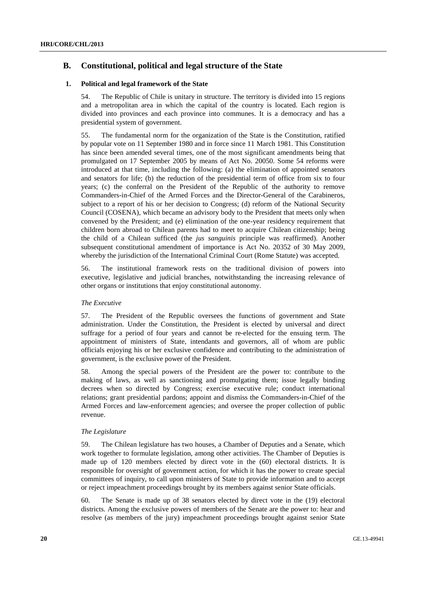### **B. Constitutional, political and legal structure of the State**

#### **1. Political and legal framework of the State**

54. The Republic of Chile is unitary in structure. The territory is divided into 15 regions and a metropolitan area in which the capital of the country is located. Each region is divided into provinces and each province into communes. It is a democracy and has a presidential system of government.

55. The fundamental norm for the organization of the State is the Constitution, ratified by popular vote on 11 September 1980 and in force since 11 March 1981. This Constitution has since been amended several times, one of the most significant amendments being that promulgated on 17 September 2005 by means of Act No. 20050. Some 54 reforms were introduced at that time, including the following: (a) the elimination of appointed senators and senators for life; (b) the reduction of the presidential term of office from six to four years; (c) the conferral on the President of the Republic of the authority to remove Commanders-in-Chief of the Armed Forces and the Director-General of the Carabineros, subject to a report of his or her decision to Congress; (d) reform of the National Security Council (COSENA), which became an advisory body to the President that meets only when convened by the President; and (e) elimination of the one-year residency requirement that children born abroad to Chilean parents had to meet to acquire Chilean citizenship; being the child of a Chilean sufficed (the *jus sanguinis* principle was reaffirmed). Another subsequent constitutional amendment of importance is Act No. 20352 of 30 May 2009, whereby the jurisdiction of the International Criminal Court (Rome Statute) was accepted.

56. The institutional framework rests on the traditional division of powers into executive, legislative and judicial branches, notwithstanding the increasing relevance of other organs or institutions that enjoy constitutional autonomy.

#### *The Executive*

57. The President of the Republic oversees the functions of government and State administration. Under the Constitution, the President is elected by universal and direct suffrage for a period of four years and cannot be re-elected for the ensuing term. The appointment of ministers of State, intendants and governors, all of whom are public officials enjoying his or her exclusive confidence and contributing to the administration of government, is the exclusive power of the President.

58. Among the special powers of the President are the power to: contribute to the making of laws, as well as sanctioning and promulgating them; issue legally binding decrees when so directed by Congress; exercise executive rule; conduct international relations; grant presidential pardons; appoint and dismiss the Commanders-in-Chief of the Armed Forces and law-enforcement agencies; and oversee the proper collection of public revenue.

#### *The Legislature*

59. The Chilean legislature has two houses, a Chamber of Deputies and a Senate, which work together to formulate legislation, among other activities. The Chamber of Deputies is made up of 120 members elected by direct vote in the (60) electoral districts. It is responsible for oversight of government action, for which it has the power to create special committees of inquiry, to call upon ministers of State to provide information and to accept or reject impeachment proceedings brought by its members against senior State officials.

60. The Senate is made up of 38 senators elected by direct vote in the (19) electoral districts. Among the exclusive powers of members of the Senate are the power to: hear and resolve (as members of the jury) impeachment proceedings brought against senior State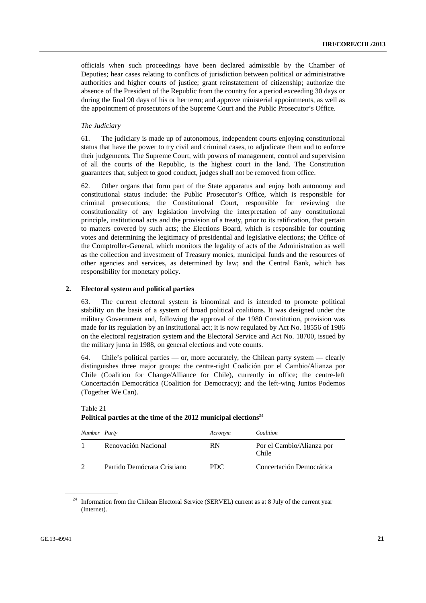officials when such proceedings have been declared admissible by the Chamber of Deputies; hear cases relating to conflicts of jurisdiction between political or administrative authorities and higher courts of justice; grant reinstatement of citizenship; authorize the absence of the President of the Republic from the country for a period exceeding 30 days or during the final 90 days of his or her term; and approve ministerial appointments, as well as the appointment of prosecutors of the Supreme Court and the Public Prosecutor's Office.

#### *The Judiciary*

61. The judiciary is made up of autonomous, independent courts enjoying constitutional status that have the power to try civil and criminal cases, to adjudicate them and to enforce their judgements. The Supreme Court, with powers of management, control and supervision of all the courts of the Republic, is the highest court in the land. The Constitution guarantees that, subject to good conduct, judges shall not be removed from office.

62. Other organs that form part of the State apparatus and enjoy both autonomy and constitutional status include: the Public Prosecutor's Office, which is responsible for criminal prosecutions; the Constitutional Court, responsible for reviewing the constitutionality of any legislation involving the interpretation of any constitutional principle, institutional acts and the provision of a treaty, prior to its ratification, that pertain to matters covered by such acts; the Elections Board, which is responsible for counting votes and determining the legitimacy of presidential and legislative elections; the Office of the Comptroller-General, which monitors the legality of acts of the Administration as well as the collection and investment of Treasury monies, municipal funds and the resources of other agencies and services, as determined by law; and the Central Bank, which has responsibility for monetary policy.

#### **2. Electoral system and political parties**

63. The current electoral system is binominal and is intended to promote political stability on the basis of a system of broad political coalitions. It was designed under the military Government and, following the approval of the 1980 Constitution, provision was made for its regulation by an institutional act; it is now regulated by Act No. 18556 of 1986 on the electoral registration system and the Electoral Service and Act No. 18700, issued by the military junta in 1988, on general elections and vote counts.

64. Chile's political parties — or, more accurately, the Chilean party system — clearly distinguishes three major groups: the centre-right Coalición por el Cambio/Alianza por Chile (Coalition for Change/Alliance for Chile), currently in office; the centre-left Concertación Democrática (Coalition for Democracy); and the left-wing Juntos Podemos (Together We Can).

| Number Party |                             | Acronym   | Coalition                          |
|--------------|-----------------------------|-----------|------------------------------------|
|              | Renovación Nacional         | <b>RN</b> | Por el Cambio/Alianza por<br>Chile |
|              | Partido Demócrata Cristiano | PDC.      | Concertación Democrática           |

Table 21 **Political parties at the time of the 2012 municipal elections**<sup>24</sup>

<sup>24</sup> Information from the Chilean Electoral Service (SERVEL) current as at 8 July of the current year (Internet).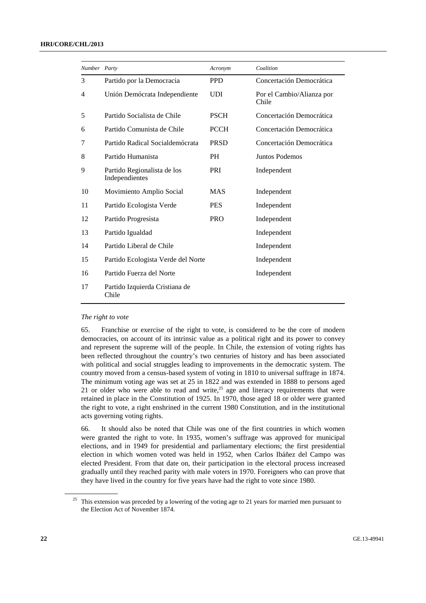#### **HRI/CORE/CHL/2013**

| Number Party |                                               | Acronym     | Coalition                          |
|--------------|-----------------------------------------------|-------------|------------------------------------|
| 3            | Partido por la Democracia                     | <b>PPD</b>  | Concertación Democrática           |
| 4            | Unión Demócrata Independiente                 | <b>UDI</b>  | Por el Cambio/Alianza por<br>Chile |
| 5            | Partido Socialista de Chile                   | <b>PSCH</b> | Concertación Democrática           |
| 6            | Partido Comunista de Chile                    | <b>PCCH</b> | Concertación Democrática           |
| 7            | Partido Radical Socialdemócrata               | <b>PRSD</b> | Concertación Democrática           |
| 8            | Partido Humanista                             | PH          | Juntos Podemos                     |
| 9            | Partido Regionalista de los<br>Independientes | PRI         | Independent                        |
| 10           | Movimiento Amplio Social                      | <b>MAS</b>  | Independent                        |
| 11           | Partido Ecologista Verde                      | <b>PES</b>  | Independent                        |
| 12           | Partido Progresista                           | <b>PRO</b>  | Independent                        |
| 13           | Partido Igualdad                              |             | Independent                        |
| 14           | Partido Liberal de Chile                      |             | Independent                        |
| 15           | Partido Ecologista Verde del Norte            |             | Independent                        |
| 16           | Partido Fuerza del Norte                      |             | Independent                        |
| 17           | Partido Izquierda Cristiana de<br>Chile       |             |                                    |
|              |                                               |             |                                    |

#### *The right to vote*

65. Franchise or exercise of the right to vote, is considered to be the core of modern democracies, on account of its intrinsic value as a political right and its power to convey and represent the supreme will of the people. In Chile, the extension of voting rights has been reflected throughout the country's two centuries of history and has been associated with political and social struggles leading to improvements in the democratic system. The country moved from a census-based system of voting in 1810 to universal suffrage in 1874. The minimum voting age was set at 25 in 1822 and was extended in 1888 to persons aged 21 or older who were able to read and write, $25$  age and literacy requirements that were retained in place in the Constitution of 1925. In 1970, those aged 18 or older were granted the right to vote, a right enshrined in the current 1980 Constitution, and in the institutional acts governing voting rights.

66. It should also be noted that Chile was one of the first countries in which women were granted the right to vote. In 1935, women's suffrage was approved for municipal elections, and in 1949 for presidential and parliamentary elections; the first presidential election in which women voted was held in 1952, when Carlos Ibáñez del Campo was elected President. From that date on, their participation in the electoral process increased gradually until they reached parity with male voters in 1970. Foreigners who can prove that they have lived in the country for five years have had the right to vote since 1980.

<sup>&</sup>lt;sup>25</sup> This extension was preceded by a lowering of the voting age to 21 years for married men pursuant to the Election Act of November 1874.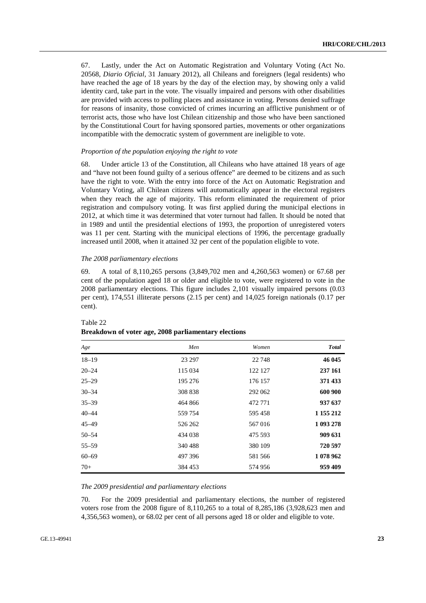67. Lastly, under the Act on Automatic Registration and Voluntary Voting (Act No. 20568, *Diario Oficial*, 31 January 2012), all Chileans and foreigners (legal residents) who have reached the age of 18 years by the day of the election may, by showing only a valid identity card, take part in the vote. The visually impaired and persons with other disabilities are provided with access to polling places and assistance in voting. Persons denied suffrage for reasons of insanity, those convicted of crimes incurring an afflictive punishment or of terrorist acts, those who have lost Chilean citizenship and those who have been sanctioned by the Constitutional Court for having sponsored parties, movements or other organizations incompatible with the democratic system of government are ineligible to vote.

#### *Proportion of the population enjoying the right to vote*

68. Under article 13 of the Constitution, all Chileans who have attained 18 years of age and "have not been found guilty of a serious offence" are deemed to be citizens and as such have the right to vote. With the entry into force of the Act on Automatic Registration and Voluntary Voting, all Chilean citizens will automatically appear in the electoral registers when they reach the age of majority. This reform eliminated the requirement of prior registration and compulsory voting. It was first applied during the municipal elections in 2012, at which time it was determined that voter turnout had fallen. It should be noted that in 1989 and until the presidential elections of 1993, the proportion of unregistered voters was 11 per cent. Starting with the municipal elections of 1996, the percentage gradually increased until 2008, when it attained 32 per cent of the population eligible to vote.

#### *The 2008 parliamentary elections*

69. A total of 8,110,265 persons (3,849,702 men and 4,260,563 women) or 67.68 per cent of the population aged 18 or older and eligible to vote, were registered to vote in the 2008 parliamentary elections. This figure includes 2,101 visually impaired persons (0.03 per cent), 174,551 illiterate persons (2.15 per cent) and 14,025 foreign nationals (0.17 per cent).

| Age       | Men     | Women   | <b>Total</b> |
|-----------|---------|---------|--------------|
| $18 - 19$ | 23 297  | 22 748  | 46 045       |
| $20 - 24$ | 115 034 | 122 127 | 237 161      |
| $25 - 29$ | 195 276 | 176 157 | 371 433      |
| $30 - 34$ | 308 838 | 292 062 | 600 900      |
| $35 - 39$ | 464 866 | 472 771 | 937 637      |
| $40 - 44$ | 559 754 | 595 458 | 1 155 212    |
| $45 - 49$ | 526 262 | 567016  | 1 093 278    |
| $50 - 54$ | 434 038 | 475 593 | 909 631      |
| $55 - 59$ | 340 488 | 380 109 | 720 597      |
| $60 - 69$ | 497 396 | 581 566 | 1 078 962    |
| $70+$     | 384 453 | 574 956 | 959 409      |

#### Table 22 **Breakdown of voter age, 2008 parliamentary elections**

#### *The 2009 presidential and parliamentary elections*

70. For the 2009 presidential and parliamentary elections, the number of registered voters rose from the 2008 figure of 8,110,265 to a total of 8,285,186 (3,928,623 men and 4,356,563 women), or 68.02 per cent of all persons aged 18 or older and eligible to vote.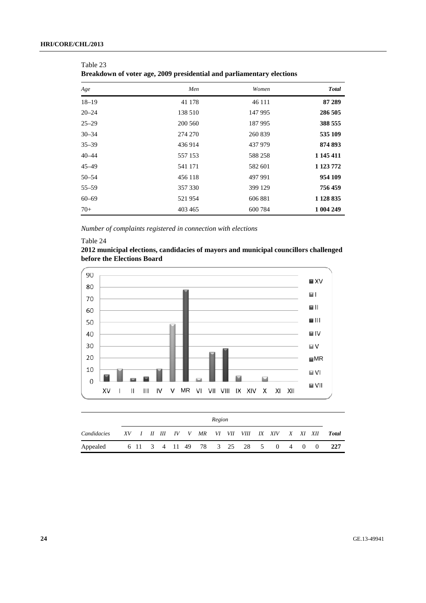| Age       | Men     | Women   | <b>Total</b> |
|-----------|---------|---------|--------------|
| $18 - 19$ | 41 178  | 46 111  | 87 289       |
| $20 - 24$ | 138 510 | 147 995 | 286 505      |
| $25 - 29$ | 200 560 | 187 995 | 388 555      |
| $30 - 34$ | 274 270 | 260 839 | 535 109      |
| $35 - 39$ | 436 914 | 437 979 | 874 893      |
| $40 - 44$ | 557 153 | 588 258 | 1 145 411    |
| $45 - 49$ | 541 171 | 582 601 | 1 123 772    |
| $50 - 54$ | 456 118 | 497 991 | 954 109      |
| $55 - 59$ | 357 330 | 399 129 | 756 459      |
| $60 - 69$ | 521954  | 606 881 | 1 1 28 8 35  |
| $70+$     | 403 465 | 600 784 | 1 004 249    |

| Table 23                                                              |  |
|-----------------------------------------------------------------------|--|
| Breakdown of voter age, 2009 presidential and parliamentary elections |  |

 *Number of complaints registered in connection with elections* 

#### Table 24

**2012 municipal elections, candidacies of mayors and municipal councillors challenged before the Elections Board** 



|             | Region |  |  |  |  |  |  |  |  |  |  |                                                 |  |  |       |
|-------------|--------|--|--|--|--|--|--|--|--|--|--|-------------------------------------------------|--|--|-------|
| Candidacies |        |  |  |  |  |  |  |  |  |  |  | XV I II III IV V MR VI VII VIII IX XIV X XI XII |  |  | Total |
| Appealed    |        |  |  |  |  |  |  |  |  |  |  | 6 11 3 4 11 49 78 3 25 28 5 0 4 0 0             |  |  | -227  |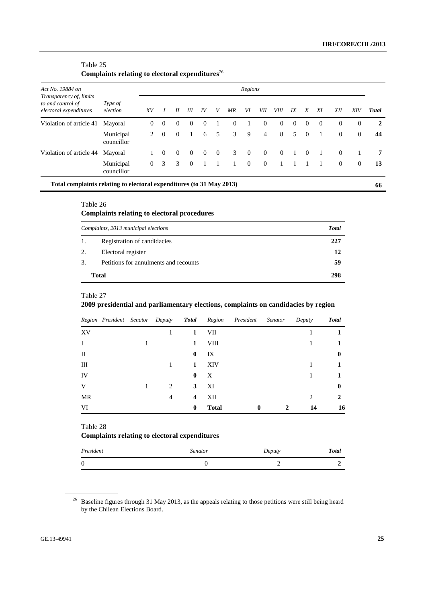### Table 25 Complaints relating to electoral expenditures<sup>26</sup>

| Act No. 19884 on                                                       |                         | Regions        |               |          |          |          |          |          |          |                |             |          |          |          |          |                |              |
|------------------------------------------------------------------------|-------------------------|----------------|---------------|----------|----------|----------|----------|----------|----------|----------------|-------------|----------|----------|----------|----------|----------------|--------------|
| Transparency of, limits<br>to and control of<br>electoral expenditures | Type of<br>election     | XV             |               | $_{II}$  | Ш        | IV       | V        | ΜR       | VI       | VІІ            | <i>VIII</i> | IX       | X        | XI       | ΧH       | XIV            | <b>Total</b> |
| Violation of article 41                                                | Mayoral                 | $\Omega$       | $\Omega$      | $\Omega$ | $\Omega$ | $\Omega$ |          | $\Omega$ |          | $\theta$       | $\theta$    | $\theta$ | $\Omega$ | $\Omega$ | $\theta$ | 0              | 2            |
|                                                                        | Municipal<br>councillor | 2              | $\Omega$      | $\Omega$ |          | 6        | 5        | 3        | 9        | $\overline{4}$ | 8           | .5       | $\theta$ |          | $\theta$ | $\overline{0}$ | 44           |
| Violation of article 44                                                | Mayoral                 |                | $\Omega$      | $\Omega$ | $\Omega$ | $\Omega$ | $\theta$ | 3        | $\theta$ | $\Omega$       | $\theta$    |          | $\Omega$ |          | $\theta$ |                | 7            |
|                                                                        | Municipal<br>councillor | $\overline{0}$ | $\mathcal{F}$ | 3        | $\Omega$ |          |          |          | $\theta$ | $\theta$       |             |          |          |          | $\theta$ | $\overline{0}$ | 13           |
| Total complaints relating to electoral expenditures (to 31 May 2013)   |                         |                |               |          |          |          |          |          |          |                |             |          |          |          |          |                | 66           |

### Table 26

### **Complaints relating to electoral procedures**

|    | Complaints, 2013 municipal elections  | <b>Total</b> |
|----|---------------------------------------|--------------|
| 1. | Registration of candidacies           | 227          |
| 2. | Electoral register                    | 12           |
| 3. | Petitions for annulments and recounts | 59           |
|    | <b>Total</b>                          | 298          |

### Table 27

### **2009 presidential and parliamentary elections, complaints on candidacies by region**

|             |  |                               |              |              | Region President Senator Deputy Total Region President Senator |   | Deputy                      | <b>Total</b> |
|-------------|--|-------------------------------|--------------|--------------|----------------------------------------------------------------|---|-----------------------------|--------------|
| XV          |  |                               | 1            | VII          |                                                                |   |                             |              |
| $\bf{I}$    |  |                               | 1            | VIII         |                                                                |   |                             |              |
| $_{\rm II}$ |  |                               | $\bf{0}$     | IX           |                                                                |   |                             | 0            |
| Ш           |  |                               | 1            | XIV          |                                                                |   |                             |              |
| IV          |  |                               | $\mathbf{0}$ | X            |                                                                |   |                             |              |
| V           |  | $\mathfrak{D}_{\mathfrak{p}}$ | 3            | XI           |                                                                |   |                             | 0            |
| MR          |  | 4                             | 4            | XII          |                                                                |   | $\mathcal{D}_{\mathcal{A}}$ | 2            |
| VI          |  |                               | $\bf{0}$     | <b>Total</b> | $\bf{0}$                                                       | 2 | 14                          | 16           |

Table 28

### **Complaints relating to electoral expenditures**

| President | <b>Senator</b> | Deputy | <b>Total</b> |
|-----------|----------------|--------|--------------|
| $\theta$  |                |        |              |

<sup>&</sup>lt;sup>26</sup> Baseline figures through 31 May 2013, as the appeals relating to those petitions were still being heard by the Chilean Elections Board.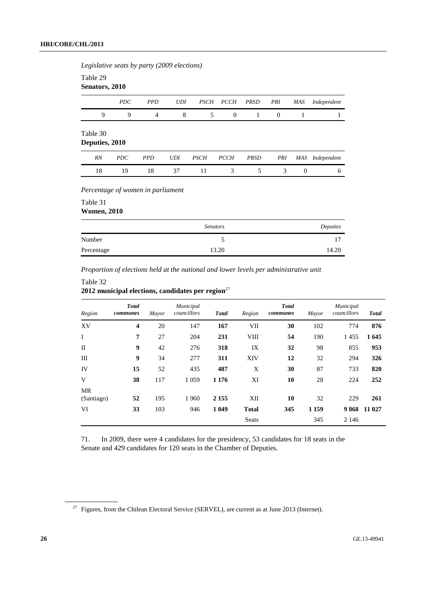*Legislative seats by party (2009 elections)* 

Table 29

|                            | Senators, 2010 |                |            |             |             |             |                |            |             |  |  |  |  |
|----------------------------|----------------|----------------|------------|-------------|-------------|-------------|----------------|------------|-------------|--|--|--|--|
|                            | <i>PDC</i>     | <b>PPD</b>     | <b>UDI</b> | <b>PSCH</b> | <b>PCCH</b> | <b>PRSD</b> | PRI            | <b>MAS</b> | Independent |  |  |  |  |
| 9                          | 9              | $\overline{4}$ | 8          | 5           | $\theta$    | 1           | $\overline{0}$ |            |             |  |  |  |  |
| Table 30<br>Deputies, 2010 |                |                |            |             |             |             |                |            |             |  |  |  |  |
| <b>RN</b>                  | <b>PDC</b>     | <i>PPD</i>     | <b>UDI</b> | <b>PSCH</b> | <b>PCCH</b> | <b>PRSD</b> | PRI            | MAS        | Independent |  |  |  |  |

18 19 18 37 11 3 5 3 0 6

 *Percentage of women in parliament* 

Table 31 **Women, 2010** 

|            | <b>Senators</b> | Deputies |
|------------|-----------------|----------|
| Number     |                 | 17       |
| Percentage | 13.20           | 14.20    |
|            |                 |          |

 *Proportion of elections held at the national and lower levels per administrative unit* 

### Table 32 2012 municipal elections, candidates per region<sup>27</sup>

| Region           | <b>Total</b><br>communes | Mayor | Municipal<br>councillors | <b>Total</b> | Region       | <b>Total</b><br>communes | Mayor   | Municipal<br>councillors | <b>Total</b> |
|------------------|--------------------------|-------|--------------------------|--------------|--------------|--------------------------|---------|--------------------------|--------------|
| XV               | $\overline{\mathbf{4}}$  | 20    | 147                      | 167          | VII          | 30                       | 102     | 774                      | 876          |
| I                | 7                        | 27    | 204                      | 231          | <b>VIII</b>  | 54                       | 190     | 1455                     | 1645         |
| $\mathbf{I}$     | 9                        | 42    | 276                      | 318          | IX           | 32                       | 98      | 855                      | 953          |
| Ш                | 9                        | 34    | 277                      | 311          | <b>XIV</b>   | 12                       | 32      | 294                      | 326          |
| IV               | 15                       | 52    | 435                      | 487          | X            | 30                       | 87      | 733                      | 820          |
| V                | 38                       | 117   | 1 0 5 9                  | 1 1 7 6      | XI           | 10                       | 28      | 224                      | 252          |
| MR<br>(Santiago) | 52                       | 195   | 1960                     | 2 1 5 5      | XII          | 10                       | 32      | 229                      | 261          |
| VI               | 33                       | 103   | 946                      | 1 0 4 9      | <b>Total</b> | 345                      | 1 1 5 9 |                          | 9 868 11 027 |
|                  |                          |       |                          |              | <b>Seats</b> |                          | 345     | 2 1 4 6                  |              |

71. In 2009, there were 4 candidates for the presidency, 53 candidates for 18 seats in the Senate and 429 candidates for 120 seats in the Chamber of Deputies.

 $27$  Figures, from the Chilean Electoral Service (SERVEL), are current as at June 2013 (Internet).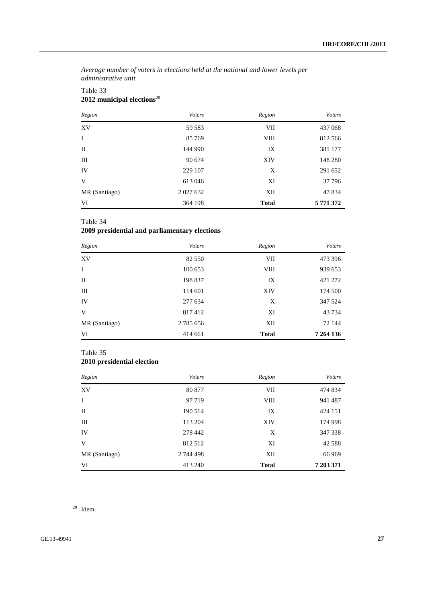*Average number of voters in elections held at the national and lower levels per administrative unit* 

| Region        | <b>Voters</b> | Region       | <b>V</b> oters |
|---------------|---------------|--------------|----------------|
| XV            | 59 583        | VII          | 437 068        |
| I             | 85 769        | <b>VIII</b>  | 812 566        |
| $_{\rm II}$   | 144 990       | IX           | 381 177        |
| Ш             | 90 674        | <b>XIV</b>   | 148 280        |
| IV            | 229 107       | X            | 291 652        |
| V             | 613046        | XI           | 37 796         |
| MR (Santiago) | 2 0 27 6 32   | XII          | 47 834         |
| VI            | 364 198       | <b>Total</b> | 5 771 372      |

### Table 33 **2012 municipal elections**<sup>28</sup>

### Table 34

### **2009 presidential and parliamentary elections**

| Region        | <b>Voters</b> | Region       | <b>V</b> oters |
|---------------|---------------|--------------|----------------|
| XV            | 82 550        | VII          | 473 396        |
| $\mathbf I$   | 100 653       | VIII         | 939 653        |
| $_{\rm II}$   | 198 837       | IX           | 421 272        |
| Ш             | 114 601       | XIV          | 174 500        |
| IV            | 277 634       | X            | 347 524        |
| V             | 817412        | XI           | 43 7 34        |
| MR (Santiago) | 2 785 656     | XII          | 72 144         |
| VI            | 414 661       | <b>Total</b> | 7 264 136      |

### Table 35

### **2010 presidential election**

| Region        | <b>Voters</b> | Region       | <b>V</b> oters |
|---------------|---------------|--------------|----------------|
| XV            | 80 877        | VII          | 474 834        |
| I             | 97 719        | VIII         | 941 487        |
| $_{\rm II}$   | 190 514       | IX           | 424 151        |
| Ш             | 113 204       | XIV          | 174 998        |
| IV            | 278 442       | X            | 347 338        |
| V             | 812512        | XI           | 42 5 88        |
| MR (Santiago) | 2 744 498     | XII          | 66 969         |
| VI            | 413 240       | <b>Total</b> | 7 203 371      |

28 Idem.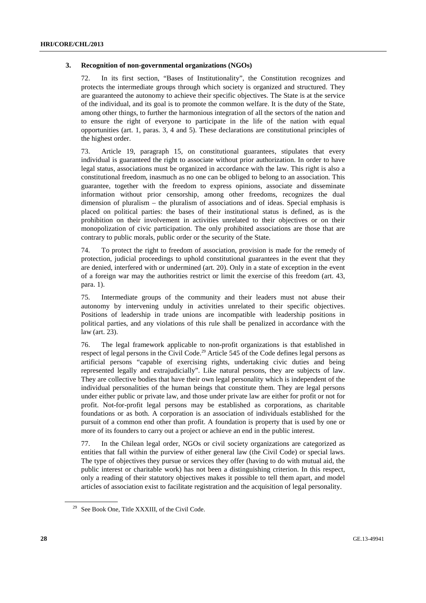#### **3. Recognition of non-governmental organizations (NGOs)**

72. In its first section, "Bases of Institutionality", the Constitution recognizes and protects the intermediate groups through which society is organized and structured. They are guaranteed the autonomy to achieve their specific objectives. The State is at the service of the individual, and its goal is to promote the common welfare. It is the duty of the State, among other things, to further the harmonious integration of all the sectors of the nation and to ensure the right of everyone to participate in the life of the nation with equal opportunities (art. 1, paras. 3, 4 and 5). These declarations are constitutional principles of the highest order.

73. Article 19, paragraph 15, on constitutional guarantees, stipulates that every individual is guaranteed the right to associate without prior authorization. In order to have legal status, associations must be organized in accordance with the law. This right is also a constitutional freedom, inasmuch as no one can be obliged to belong to an association. This guarantee, together with the freedom to express opinions, associate and disseminate information without prior censorship, among other freedoms, recognizes the dual dimension of pluralism – the pluralism of associations and of ideas. Special emphasis is placed on political parties: the bases of their institutional status is defined, as is the prohibition on their involvement in activities unrelated to their objectives or on their monopolization of civic participation. The only prohibited associations are those that are contrary to public morals, public order or the security of the State.

74. To protect the right to freedom of association, provision is made for the remedy of protection, judicial proceedings to uphold constitutional guarantees in the event that they are denied, interfered with or undermined (art. 20). Only in a state of exception in the event of a foreign war may the authorities restrict or limit the exercise of this freedom (art. 43, para. 1).

75. Intermediate groups of the community and their leaders must not abuse their autonomy by intervening unduly in activities unrelated to their specific objectives. Positions of leadership in trade unions are incompatible with leadership positions in political parties, and any violations of this rule shall be penalized in accordance with the law (art. 23).

76. The legal framework applicable to non-profit organizations is that established in respect of legal persons in the Civil Code.<sup>29</sup> Article 545 of the Code defines legal persons as artificial persons "capable of exercising rights, undertaking civic duties and being represented legally and extrajudicially". Like natural persons, they are subjects of law. They are collective bodies that have their own legal personality which is independent of the individual personalities of the human beings that constitute them. They are legal persons under either public or private law, and those under private law are either for profit or not for profit. Not-for-profit legal persons may be established as corporations, as charitable foundations or as both. A corporation is an association of individuals established for the pursuit of a common end other than profit. A foundation is property that is used by one or more of its founders to carry out a project or achieve an end in the public interest.

77. In the Chilean legal order, NGOs or civil society organizations are categorized as entities that fall within the purview of either general law (the Civil Code) or special laws. The type of objectives they pursue or services they offer (having to do with mutual aid, the public interest or charitable work) has not been a distinguishing criterion. In this respect, only a reading of their statutory objectives makes it possible to tell them apart, and model articles of association exist to facilitate registration and the acquisition of legal personality.

 $29$  See Book One, Title XXXIII, of the Civil Code.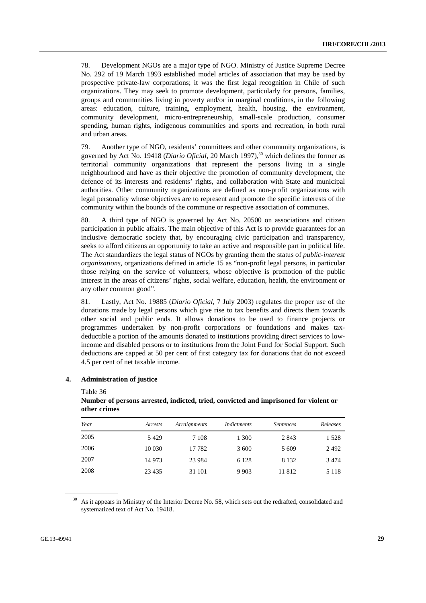78. Development NGOs are a major type of NGO. Ministry of Justice Supreme Decree No. 292 of 19 March 1993 established model articles of association that may be used by prospective private-law corporations; it was the first legal recognition in Chile of such organizations. They may seek to promote development, particularly for persons, families, groups and communities living in poverty and/or in marginal conditions, in the following areas: education, culture, training, employment, health, housing, the environment, community development, micro-entrepreneurship, small-scale production, consumer spending, human rights, indigenous communities and sports and recreation, in both rural and urban areas.

79. Another type of NGO, residents' committees and other community organizations, is governed by Act No. 19418 (*Diario Oficial*, 20 March 1997),<sup>30</sup> which defines the former as territorial community organizations that represent the persons living in a single neighbourhood and have as their objective the promotion of community development, the defence of its interests and residents' rights, and collaboration with State and municipal authorities. Other community organizations are defined as non-profit organizations with legal personality whose objectives are to represent and promote the specific interests of the community within the bounds of the commune or respective association of communes.

80. A third type of NGO is governed by Act No. 20500 on associations and citizen participation in public affairs. The main objective of this Act is to provide guarantees for an inclusive democratic society that, by encouraging civic participation and transparency, seeks to afford citizens an opportunity to take an active and responsible part in political life. The Act standardizes the legal status of NGOs by granting them the status of *public-interest organizations*, organizations defined in article 15 as "non-profit legal persons, in particular those relying on the service of volunteers, whose objective is promotion of the public interest in the areas of citizens' rights, social welfare, education, health, the environment or any other common good".

81. Lastly, Act No. 19885 (*Diario Oficial*, 7 July 2003) regulates the proper use of the donations made by legal persons which give rise to tax benefits and directs them towards other social and public ends. It allows donations to be used to finance projects or programmes undertaken by non-profit corporations or foundations and makes taxdeductible a portion of the amounts donated to institutions providing direct services to lowincome and disabled persons or to institutions from the Joint Fund for Social Support. Such deductions are capped at 50 per cent of first category tax for donations that do not exceed 4.5 per cent of net taxable income.

#### **4. Administration of justice**

Table 36

| Year | Arrests | Arraignments | Indictments | <i>Sentences</i> | Releases |
|------|---------|--------------|-------------|------------------|----------|
| 2005 | 5429    | 7 1 0 8      | 1 300       | 2 8 4 3          | 1 528    |
| 2006 | 10 0 30 | 17782        | 3 600       | 5 6 0 9          | 2492     |
| 2007 | 14 9 73 | 23 9 84      | 6 1 2 8     | 8 1 3 2          | 3 4 7 4  |
| 2008 | 23 4 35 | 31 101       | 9 9 0 3     | 11812            | 5 1 1 8  |

### **Number of persons arrested, indicted, tried, convicted and imprisoned for violent or other crimes**

<sup>30</sup> As it appears in Ministry of the Interior Decree No. 58, which sets out the redrafted, consolidated and systematized text of Act No. 19418.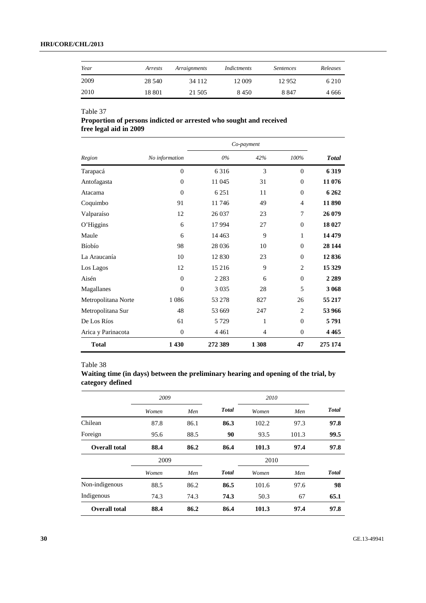### **HRI/CORE/CHL/2013**

| Year | Arrests | Arraignments | Indictments | <i>Sentences</i> | Releases |
|------|---------|--------------|-------------|------------------|----------|
| 2009 | 28.540  | 34 1 1 2     | 12 009      | 12952            | 6 2 1 0  |
| 2010 | 18 801  | 21 505       | 8450        | 8847             | 4 6 6 6  |

Table 37

### **Proportion of persons indicted or arrested who sought and received free legal aid in 2009**

|                     |                |         | Co-payment |                |              |
|---------------------|----------------|---------|------------|----------------|--------------|
| Region              | No information | $0\%$   | 42%        | 100%           | <b>Total</b> |
| Tarapacá            | $\theta$       | 6 3 1 6 | 3          | $\Omega$       | 6319         |
| Antofagasta         | $\theta$       | 11 045  | 31         | $\theta$       | 11 076       |
| Atacama             | $\Omega$       | 6 2 5 1 | 11         | $\theta$       | 6 2 6 2      |
| Coquimbo            | 91             | 11746   | 49         | $\overline{4}$ | 11 890       |
| Valparaíso          | 12             | 26 037  | 23         | 7              | 26 079       |
| O'Higgins           | 6              | 17 9 94 | 27         | $\overline{0}$ | 18 027       |
| Maule               | 6              | 14 4 63 | 9          | 1              | 14 4 79      |
| <b>Bíobío</b>       | 98             | 28 0 36 | 10         | $\Omega$       | 28 144       |
| La Araucanía        | 10             | 12 830  | 23         | $\mathbf{0}$   | 12836        |
| Los Lagos           | 12             | 15 216  | 9          | $\overline{c}$ | 15 3 29      |
| Aisén               | $\theta$       | 2 2 8 3 | 6          | $\Omega$       | 2 2 8 9      |
| Magallanes          | $\theta$       | 3 0 3 5 | 28         | 5              | 3 068        |
| Metropolitana Norte | 1 0 8 6        | 53 278  | 827        | 26             | 55 217       |
| Metropolitana Sur   | 48             | 53 669  | 247        | $\overline{2}$ | 53 966       |
| De Los Ríos         | 61             | 5 7 2 9 | 1          | $\Omega$       | 5791         |
| Arica y Parinacota  | $\overline{0}$ | 4 4 6 1 | 4          | $\Omega$       | 4 4 6 5      |
| <b>Total</b>        | 1 4 3 0        | 272 389 | 1 308      | 47             | 275 174      |

### Table 38

**Waiting time (in days) between the preliminary hearing and opening of the trial, by category defined** 

|                      | 2009  |      |              | 2010  |       |              |  |
|----------------------|-------|------|--------------|-------|-------|--------------|--|
|                      | Women | Men  | <b>Total</b> | Women | Men   | <b>Total</b> |  |
| Chilean              | 87.8  | 86.1 | 86.3         | 102.2 | 97.3  | 97.8         |  |
| Foreign              | 95.6  | 88.5 | 90           | 93.5  | 101.3 | 99.5         |  |
| Overall total        | 88.4  | 86.2 | 86.4         | 101.3 | 97.4  | 97.8         |  |
|                      | 2009  |      |              | 2010  |       |              |  |
|                      | Women | Men  | <b>Total</b> | Women | Men   | <b>Total</b> |  |
| Non-indigenous       | 88.5  | 86.2 | 86.5         | 101.6 | 97.6  | 98           |  |
| Indigenous           | 74.3  | 74.3 | 74.3         | 50.3  | 67    | 65.1         |  |
| <b>Overall total</b> | 88.4  | 86.2 | 86.4         | 101.3 | 97.4  | 97.8         |  |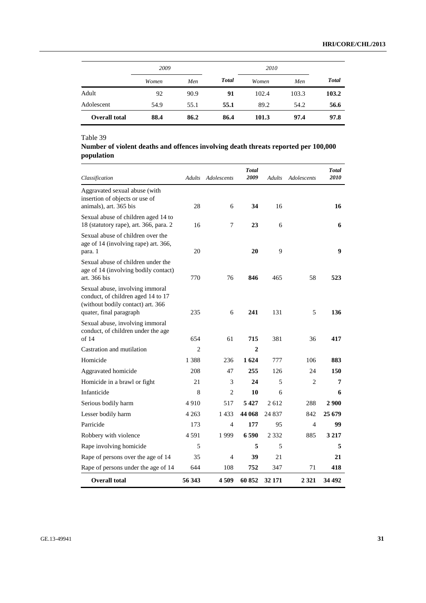|                      | 2009  |      |              | 2010  |       |              |  |
|----------------------|-------|------|--------------|-------|-------|--------------|--|
|                      | Women | Men  | <b>Total</b> | Women | Men   | <b>Total</b> |  |
| Adult                | 92    | 90.9 | 91           | 102.4 | 103.3 | 103.2        |  |
| Adolescent           | 54.9  | 55.1 | 55.1         | 89.2  | 54.2  | 56.6         |  |
| <b>Overall total</b> | 88.4  | 86.2 | 86.4         | 101.3 | 97.4  | 97.8         |  |

### Table 39

### **Number of violent deaths and offences involving death threats reported per 100,000 population**

| Classification                                                                                                                        |                | Adults Adolescents | <b>Total</b><br>2009 | Adults  | Adolescents    | Total<br>2010 |
|---------------------------------------------------------------------------------------------------------------------------------------|----------------|--------------------|----------------------|---------|----------------|---------------|
| Aggravated sexual abuse (with<br>insertion of objects or use of<br>animals), art. 365 bis                                             | 28             | 6                  | 34                   | 16      |                | 16            |
| Sexual abuse of children aged 14 to<br>18 (statutory rape), art. 366, para. 2                                                         | 16             | 7                  | 23                   | 6       |                | 6             |
| Sexual abuse of children over the<br>age of 14 (involving rape) art. 366,<br>para. 1                                                  | 20             |                    | 20                   | 9       |                | 9             |
| Sexual abuse of children under the<br>age of 14 (involving bodily contact)<br>art. 366 bis                                            | 770            | 76                 | 846                  | 465     | 58             | 523           |
| Sexual abuse, involving immoral<br>conduct, of children aged 14 to 17<br>(without bodily contact) art. 366<br>quater, final paragraph | 235            | 6                  | 241                  | 131     | 5              | 136           |
| Sexual abuse, involving immoral<br>conduct, of children under the age<br>of 14                                                        | 654            | 61                 | 715                  | 381     | 36             | 417           |
| Castration and mutilation                                                                                                             | $\overline{c}$ |                    | $\mathbf{2}$         |         |                |               |
| Homicide                                                                                                                              | 1 3 8 8        | 236                | 1 624                | 777     | 106            | 883           |
| Aggravated homicide                                                                                                                   | 208            | 47                 | 255                  | 126     | 24             | 150           |
| Homicide in a brawl or fight                                                                                                          | 21             | 3                  | 24                   | 5       | $\overline{c}$ | 7             |
| Infanticide                                                                                                                           | 8              | $\mathfrak{D}$     | 10                   | 6       |                | 6             |
| Serious bodily harm                                                                                                                   | 4910           | 517                | 5427                 | 2612    | 288            | 2 9 0 0       |
| Lesser bodily harm                                                                                                                    | 4 2 6 3        | 1 433              | 44 068               | 24 837  | 842            | 25 679        |
| Parricide                                                                                                                             | 173            | 4                  | 177                  | 95      | 4              | 99            |
| Robbery with violence                                                                                                                 | 4 5 9 1        | 1999               | 6590                 | 2 3 3 2 | 885            | 3 2 1 7       |
| Rape involving homicide                                                                                                               | 5              |                    | 5                    | 5       |                | 5             |
| Rape of persons over the age of 14                                                                                                    | 35             | 4                  | 39                   | 21      |                | 21            |
| Rape of persons under the age of 14                                                                                                   | 644            | 108                | 752                  | 347     | 71             | 418           |
| <b>Overall total</b>                                                                                                                  | 56 343         | 4509               | 60 852               | 32 171  | 2 3 2 1        | 34 492        |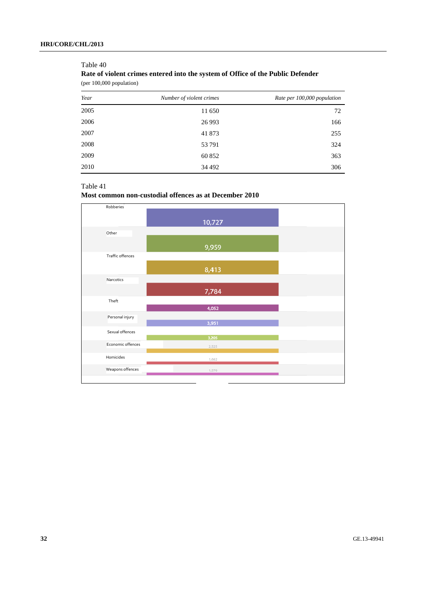## **Rate of violent crimes entered into the system of Office of the Public Defender**  (per 100,000 population) *Year Number of violent crimes Rate per 100,000 population*  2005 11 650 72 2006 26 993 166 2007 41 873 255 2008 53 791 324 2009 60 852 363 2010 34492 306

#### Table 40

# Table 41

### **Most common non-custodial offences as at December 2010**

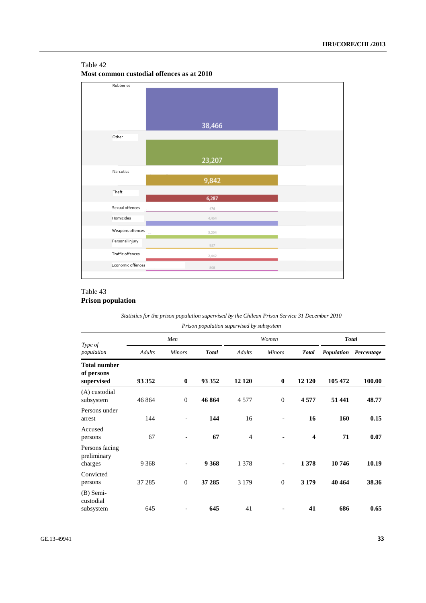### Table 42

**Most common custodial offences as at 2010** 



### Table 43 **Prison population**

*Statistics for the prison population supervised by the Chilean Prison Service 31 December 2010 Prison population supervised by subsystem* 

| Type of                                         |               | Men                      |              |                | Women                    |              |         | <b>Total</b>          |  |
|-------------------------------------------------|---------------|--------------------------|--------------|----------------|--------------------------|--------------|---------|-----------------------|--|
| population                                      | <b>Adults</b> | <b>Minors</b>            | <b>Total</b> | <b>Adults</b>  | <b>Minors</b>            | <b>Total</b> |         | Population Percentage |  |
| <b>Total number</b><br>of persons<br>supervised | 93 352        | $\bf{0}$                 | 93 352       | 12 120         | $\bf{0}$                 | 12 1 20      | 105 472 | 100.00                |  |
| (A) custodial<br>subsystem                      | 46 864        | $\mathbf{0}$             | 46 864       | 4577           | $\theta$                 | 4577         | 51 441  | 48.77                 |  |
| Persons under<br>arrest                         | 144           |                          | 144          | 16             |                          | 16           | 160     | 0.15                  |  |
| Accused<br>persons                              | 67            |                          | 67           | $\overline{4}$ |                          | 4            | 71      | 0.07                  |  |
| Persons facing<br>preliminary<br>charges        | 9 3 6 8       | $\overline{\phantom{a}}$ | 9 3 6 8      | 1 3 7 8        | $\overline{\phantom{0}}$ | 1378         | 10746   | 10.19                 |  |
| Convicted<br>persons                            | 37 285        | $\mathbf{0}$             | 37 285       | 3 1 7 9        | $\theta$                 | 3 1 7 9      | 40 4 64 | 38.36                 |  |
| $(B)$ Semi-<br>custodial<br>subsystem           | 645           |                          | 645          | 41             |                          | 41           | 686     | 0.65                  |  |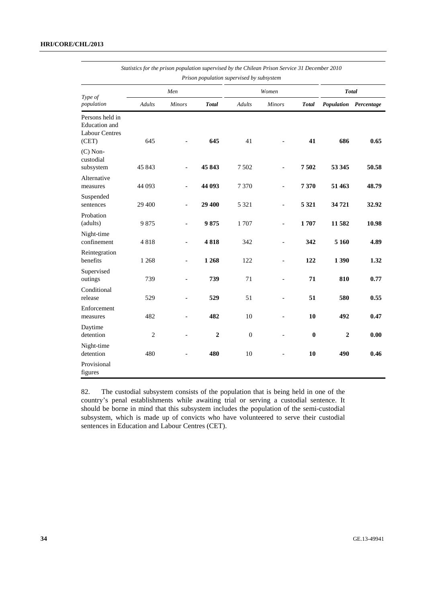| Prison population supervised by subsystem                                 |                |                          |                |               |                          |              |                |                       |
|---------------------------------------------------------------------------|----------------|--------------------------|----------------|---------------|--------------------------|--------------|----------------|-----------------------|
|                                                                           | Men            |                          |                | Women         |                          |              | <b>Total</b>   |                       |
| Type of<br>population                                                     | <b>Adults</b>  | <b>Minors</b>            | <b>Total</b>   | <b>Adults</b> | <b>Minors</b>            | <b>Total</b> |                | Population Percentage |
| Persons held in<br><b>Education</b> and<br><b>Labour Centres</b><br>(CET) | 645            |                          | 645            | 41            |                          | 41           | 686            | 0.65                  |
| $(C)$ Non-<br>custodial<br>subsystem                                      | 45 843         | $\overline{a}$           | 45 843         | 7 5 0 2       | $\overline{a}$           | 7502         | 53 345         | 50.58                 |
| Alternative<br>measures                                                   | 44 093         | $\overline{\phantom{a}}$ | 44 093         | 7 3 7 0       | $\overline{\phantom{0}}$ | 7370         | 51 463         | 48.79                 |
| Suspended<br>sentences                                                    | 29 400         | $\overline{\phantom{0}}$ | 29 400         | 5 3 2 1       | $\overline{\phantom{0}}$ | 5 3 2 1      | 34721          | 32.92                 |
| Probation<br>(adults)                                                     | 9875           |                          | 9875           | 1 707         | $\overline{a}$           | 1707         | 11 582         | 10.98                 |
| Night-time<br>confinement                                                 | 4818           | $\blacksquare$           | 4818           | 342           | $\overline{a}$           | 342          | 5 1 6 0        | 4.89                  |
| Reintegration<br>benefits                                                 | 1 2 6 8        | $\overline{a}$           | 1 2 6 8        | 122           | $\overline{a}$           | 122          | 1 3 9 0        | 1.32                  |
| Supervised<br>outings                                                     | 739            | $\overline{\phantom{a}}$ | 739            | 71            | $\overline{\phantom{a}}$ | 71           | 810            | 0.77                  |
| Conditional<br>release                                                    | 529            | $\frac{1}{2}$            | 529            | 51            | $\overline{\phantom{0}}$ | 51           | 580            | 0.55                  |
| Enforcement<br>measures                                                   | 482            | $\overline{a}$           | 482            | 10            | $\overline{\phantom{0}}$ | 10           | 492            | 0.47                  |
| Daytime<br>detention                                                      | $\overline{c}$ | $\overline{\phantom{a}}$ | $\overline{2}$ | $\mathbf{0}$  | $\overline{a}$           | $\bf{0}$     | $\overline{2}$ | 0.00                  |
| Night-time<br>detention                                                   | 480            |                          | 480            | 10            |                          | 10           | 490            | 0.46                  |
| Provisional<br>figures                                                    |                |                          |                |               |                          |              |                |                       |

*Statistics for the prison population supervised by the Chilean Prison Service 31 December 2010* 

82. The custodial subsystem consists of the population that is being held in one of the country's penal establishments while awaiting trial or serving a custodial sentence. It should be borne in mind that this subsystem includes the population of the semi-custodial subsystem, which is made up of convicts who have volunteered to serve their custodial sentences in Education and Labour Centres (CET).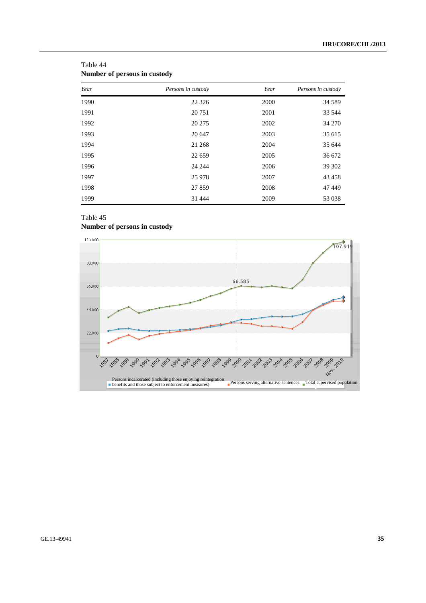| Year | Persons in custody | Year | Persons in custody |
|------|--------------------|------|--------------------|
| 1990 | 22 3 26            | 2000 | 34 5 89            |
| 1991 | 20 751             | 2001 | 33 544             |
| 1992 | 20 27 5            | 2002 | 34 270             |
| 1993 | 20 647             | 2003 | 35 615             |
| 1994 | 21 268             | 2004 | 35 644             |
| 1995 | 22 659             | 2005 | 36 672             |
| 1996 | 24 244             | 2006 | 39 302             |
| 1997 | 25 978             | 2007 | 43 458             |
| 1998 | 27859              | 2008 | 47449              |
| 1999 | 31 4 4 4           | 2009 | 53 038             |

| Table 44                     |  |  |
|------------------------------|--|--|
| Number of persons in custody |  |  |

### Table 45 **Number of persons in custody**

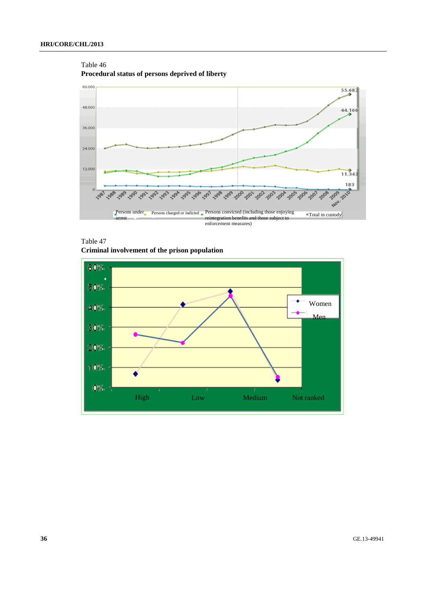#### Table 46

**Procedural status of persons deprived of liberty** 



Table 47 **Criminal involvement of the prison population** 

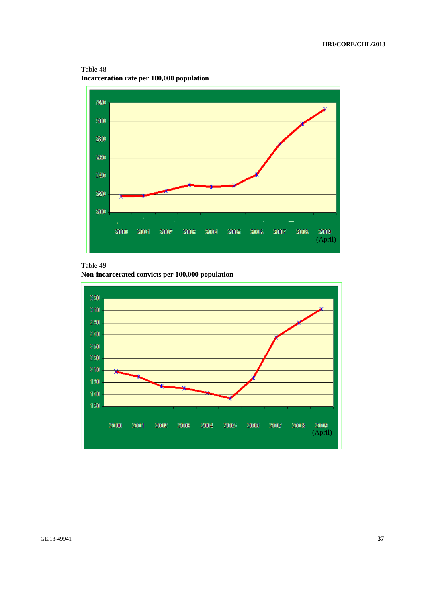Table 48 **Incarceration rate per 100,000 population** 



# Table 49

**Non-incarcerated convicts per 100,000 population** 

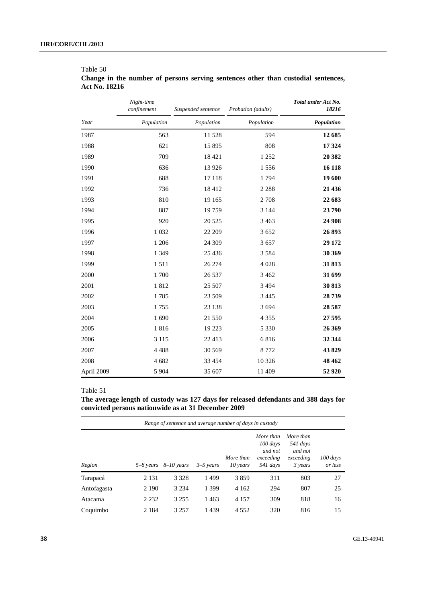|            | Night-time<br>confinement | Suspended sentence | Probation (adults) | Total under Act No.<br>18216 |
|------------|---------------------------|--------------------|--------------------|------------------------------|
| Year       | Population                | Population         | Population         | Population                   |
| 1987       | 563                       | 11 528             | 594                | 12 685                       |
| 1988       | 621                       | 15 8 95            | 808                | 17 324                       |
| 1989       | 709                       | 18 4 21            | 1 2 5 2            | 20 3 82                      |
| 1990       | 636                       | 13 9 26            | 1556               | 16 118                       |
| 1991       | 688                       | 17 118             | 1794               | 19 600                       |
| 1992       | 736                       | 18412              | 2 2 8 8            | 21 436                       |
| 1993       | 810                       | 19 165             | 2 7 0 8            | 22 683                       |
| 1994       | 887                       | 19759              | 3 1 4 4            | 23 790                       |
| 1995       | 920                       | 20 5 25            | 3 4 6 3            | 24 908                       |
| 1996       | 1 0 3 2                   | 22 209             | 3 6 5 2            | 26 893                       |
| 1997       | 1 206                     | 24 309             | 3 6 5 7            | 29 172                       |
| 1998       | 1 3 4 9                   | 25 4 36            | 3 5 8 4            | 30 369                       |
| 1999       | 1511                      | 26 274             | 4 0 28             | 31 813                       |
| 2000       | 1700                      | 26 5 37            | 3 4 6 2            | 31 699                       |
| 2001       | 1812                      | 25 507             | 3 4 9 4            | 30 813                       |
| 2002       | 1785                      | 23 509             | 3 4 4 5            | 28 739                       |
| 2003       | 1755                      | 23 138             | 3 6 9 4            | 28 5 87                      |
| 2004       | 1690                      | 21 550             | 4 3 5 5            | 27 595                       |
| 2005       | 1816                      | 19 223             | 5 3 3 0            | 26 369                       |
| 2006       | 3 1 1 5                   | 22 4 13            | 6816               | 32 344                       |
| 2007       | 4 4 8 8                   | 30 569             | 8 7 7 2            | 43829                        |
| 2008       | 4 682                     | 33 4 54            | 10 3 26            | 48 4 62                      |
| April 2009 | 5 9 0 4                   | 35 607             | 11 409             | 52 9 20                      |

# Table 50 **Change in the number of persons serving sentences other than custodial sentences, Act No. 18216**

# Table 51

**The average length of custody was 127 days for released defendants and 388 days for convicted persons nationwide as at 31 December 2009** 

|             |         | Range of sentence and average number of days in custody |               |                       |                                                             |                                                          |                       |
|-------------|---------|---------------------------------------------------------|---------------|-----------------------|-------------------------------------------------------------|----------------------------------------------------------|-----------------------|
| Region      |         | 5–8 years $8$ –10 years                                 | $3 - 5$ years | More than<br>10 years | More than<br>$100$ days<br>and not<br>exceeding<br>541 days | More than<br>541 days<br>and not<br>exceeding<br>3 years | $100$ days<br>or less |
| Tarapacá    | 2 1 3 1 | 3 3 2 8                                                 | 1499          | 3859                  | 311                                                         | 803                                                      | 27                    |
| Antofagasta | 2 1 9 0 | 3 2 3 4                                                 | 1 3 9 9       | 4 1 6 2               | 294                                                         | 807                                                      | 25                    |
| Atacama     | 2 2 3 2 | 3 2 5 5                                                 | 1463          | 4 1 5 7               | 309                                                         | 818                                                      | 16                    |
| Coquimbo    | 2 1 8 4 | 3 2 5 7                                                 | 1439          | 4 5 5 2               | 320                                                         | 816                                                      | 15                    |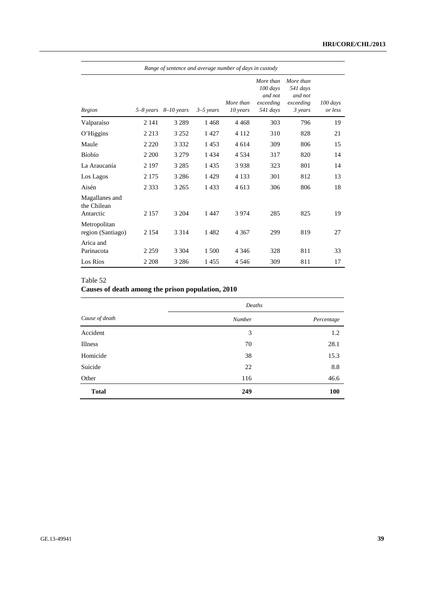| Range of sentence and average number of days in custody |               |              |             |                       |                                                           |                                                          |                          |
|---------------------------------------------------------|---------------|--------------|-------------|-----------------------|-----------------------------------------------------------|----------------------------------------------------------|--------------------------|
| Region                                                  | $5 - 8$ years | $8-10$ years | $3-5$ years | More than<br>10 years | More than<br>100 days<br>and not<br>exceeding<br>541 days | More than<br>541 days<br>and not<br>exceeding<br>3 years | $100 \, days$<br>or less |
| Valparaíso                                              | 2 1 4 1       | 3 2 8 9      | 1468        | 4468                  | 303                                                       | 796                                                      | 19                       |
| O'Higgins                                               | 2 2 1 3       | 3 2 5 2      | 1427        | 4 1 1 2               | 310                                                       | 828                                                      | 21                       |
| Maule                                                   | 2 2 2 0       | 3 3 3 2      | 1453        | 4 6 1 4               | 309                                                       | 806                                                      | 15                       |
| <b>Bíobío</b>                                           | 2 2 0 0       | 3 2 7 9      | 1434        | 4534                  | 317                                                       | 820                                                      | 14                       |
| La Araucanía                                            | 2 1 9 7       | 3 2 8 5      | 1 4 3 5     | 3938                  | 323                                                       | 801                                                      | 14                       |
| Los Lagos                                               | 2 1 7 5       | 3 2 8 6      | 1429        | 4 1 3 3               | 301                                                       | 812                                                      | 13                       |
| Aisén                                                   | 2 3 3 3       | 3 2 6 5      | 1433        | 4613                  | 306                                                       | 806                                                      | 18                       |
| Magallanes and<br>the Chilean<br>Antarctic              | 2 1 5 7       | 3 2 0 4      | 1447        | 3 9 7 4               | 285                                                       | 825                                                      | 19                       |
| Metropolitan<br>region (Santiago)                       | 2 1 5 4       | 3 3 1 4      | 1482        | 4 3 6 7               | 299                                                       | 819                                                      | 27                       |
| Arica and<br>Parinacota                                 | 2 2 5 9       | 3 3 0 4      | 1 500       | 4 3 4 6               | 328                                                       | 811                                                      | 33                       |
| Los Ríos                                                | 2 2 0 8       | 3 2 8 6      | 1455        | 4 5 4 6               | 309                                                       | 811                                                      | 17                       |

# Table 52

# **Causes of death among the prison population, 2010**

|                | Deaths        |            |
|----------------|---------------|------------|
| Cause of death | <b>Number</b> | Percentage |
| Accident       | 3             | 1.2        |
| Illness        | 70            | 28.1       |
| Homicide       | 38            | 15.3       |
| Suicide        | 22            | 8.8        |
| Other          | 116           | 46.6       |
| <b>Total</b>   | 249           | 100        |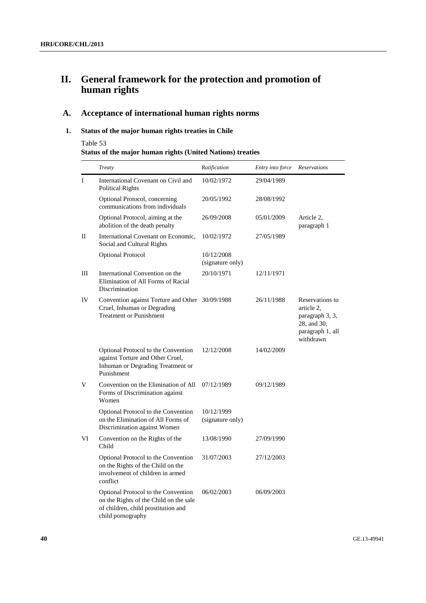# **II. General framework for the protection and promotion of human rights**

# **A. Acceptance of international human rights norms**

# **1. Status of the major human rights treaties in Chile**

Table 53

|  |  |  |  | <b>Status of the major human rights (United Nations) treaties</b> |
|--|--|--|--|-------------------------------------------------------------------|
|--|--|--|--|-------------------------------------------------------------------|

|     | Treaty                                                                                                                                    | Ratification                   | Entry into force | Reservations                                                                                     |
|-----|-------------------------------------------------------------------------------------------------------------------------------------------|--------------------------------|------------------|--------------------------------------------------------------------------------------------------|
| I   | International Covenant on Civil and<br><b>Political Rights</b>                                                                            | 10/02/1972                     | 29/04/1989       |                                                                                                  |
|     | Optional Protocol, concerning<br>communications from individuals                                                                          | 20/05/1992                     | 28/08/1992       |                                                                                                  |
|     | Optional Protocol, aiming at the<br>abolition of the death penalty                                                                        | 26/09/2008                     | 05/01/2009       | Article 2,<br>paragraph 1                                                                        |
| П   | International Covenant on Economic,<br>Social and Cultural Rights                                                                         | 10/02/1972                     | 27/05/1989       |                                                                                                  |
|     | <b>Optional Protocol</b>                                                                                                                  | 10/12/2008<br>(signature only) |                  |                                                                                                  |
| III | International Convention on the<br>Elimination of All Forms of Racial<br>Discrimination                                                   | 20/10/1971                     | 12/11/1971       |                                                                                                  |
| IV  | Convention against Torture and Other 30/09/1988<br>Cruel, Inhuman or Degrading<br><b>Treatment or Punishment</b>                          |                                | 26/11/1988       | Reservations to<br>article 2.<br>paragraph 3, 3,<br>28, and 30,<br>paragraph 1, all<br>withdrawn |
|     | Optional Protocol to the Convention<br>against Torture and Other Cruel,<br>Inhuman or Degrading Treatment or<br>Punishment                | 12/12/2008                     | 14/02/2009       |                                                                                                  |
| V   | Convention on the Elimination of All<br>Forms of Discrimination against<br>Women                                                          | 07/12/1989                     | 09/12/1989       |                                                                                                  |
|     | Optional Protocol to the Convention<br>on the Elimination of All Forms of<br>Discrimination against Women                                 | 10/12/1999<br>(signature only) |                  |                                                                                                  |
| VI  | Convention on the Rights of the<br>Child                                                                                                  | 13/08/1990                     | 27/09/1990       |                                                                                                  |
|     | Optional Protocol to the Convention<br>on the Rights of the Child on the<br>involvement of children in armed<br>conflict                  | 31/07/2003                     | 27/12/2003       |                                                                                                  |
|     | Optional Protocol to the Convention<br>on the Rights of the Child on the sale<br>of children, child prostitution and<br>child pornography | 06/02/2003                     | 06/09/2003       |                                                                                                  |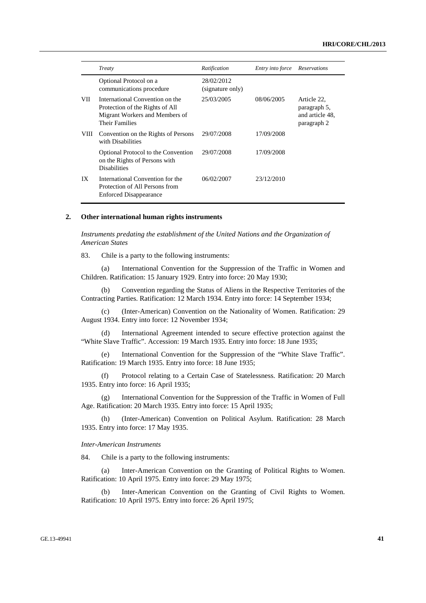|      | Treaty                                                                                                                 | Ratification                   | Entry into force | Reservations                                                  |
|------|------------------------------------------------------------------------------------------------------------------------|--------------------------------|------------------|---------------------------------------------------------------|
|      | Optional Protocol on a<br>communications procedure                                                                     | 28/02/2012<br>(signature only) |                  |                                                               |
| VII  | International Convention on the<br>Protection of the Rights of All<br>Migrant Workers and Members of<br>Their Families | 25/03/2005                     | 08/06/2005       | Article 22,<br>paragraph 5,<br>and article 48.<br>paragraph 2 |
| VIII | Convention on the Rights of Persons<br>with Disabilities                                                               | 29/07/2008                     | 17/09/2008       |                                                               |
|      | Optional Protocol to the Convention<br>on the Rights of Persons with<br><b>Disabilities</b>                            | 29/07/2008                     | 17/09/2008       |                                                               |
| IX   | International Convention for the<br>Protection of All Persons from<br><b>Enforced Disappearance</b>                    | 06/02/2007                     | 23/12/2010       |                                                               |

#### **2. Other international human rights instruments**

 *Instruments predating the establishment of the United Nations and the Organization of American States* 

83. Chile is a party to the following instruments:

 (a) International Convention for the Suppression of the Traffic in Women and Children. Ratification: 15 January 1929. Entry into force: 20 May 1930;

(b) Convention regarding the Status of Aliens in the Respective Territories of the Contracting Parties. Ratification: 12 March 1934. Entry into force: 14 September 1934;

(c) (Inter-American) Convention on the Nationality of Women. Ratification: 29 August 1934. Entry into force: 12 November 1934;

(d) International Agreement intended to secure effective protection against the "White Slave Traffic". Accession: 19 March 1935. Entry into force: 18 June 1935;

(e) International Convention for the Suppression of the "White Slave Traffic". Ratification: 19 March 1935. Entry into force: 18 June 1935;

(f) Protocol relating to a Certain Case of Statelessness. Ratification: 20 March 1935. Entry into force: 16 April 1935;

(g) International Convention for the Suppression of the Traffic in Women of Full Age. Ratification: 20 March 1935. Entry into force: 15 April 1935;

(h) (Inter-American) Convention on Political Asylum. Ratification: 28 March 1935. Entry into force: 17 May 1935.

### *Inter-American Instruments*

84. Chile is a party to the following instruments:

 (a) Inter-American Convention on the Granting of Political Rights to Women. Ratification: 10 April 1975. Entry into force: 29 May 1975;

(b) Inter-American Convention on the Granting of Civil Rights to Women. Ratification: 10 April 1975. Entry into force: 26 April 1975;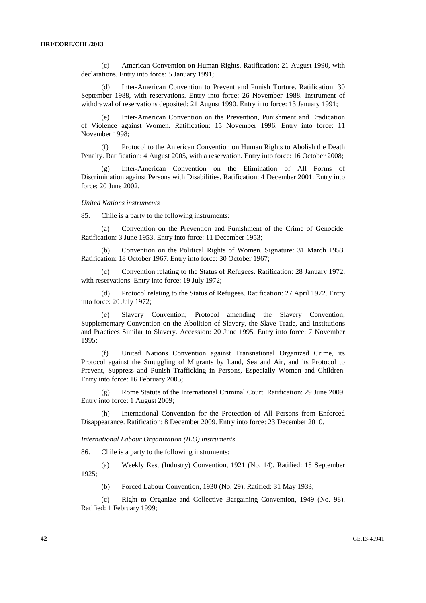(c) American Convention on Human Rights. Ratification: 21 August 1990, with declarations. Entry into force: 5 January 1991;

(d) Inter-American Convention to Prevent and Punish Torture. Ratification: 30 September 1988, with reservations. Entry into force: 26 November 1988. Instrument of withdrawal of reservations deposited: 21 August 1990. Entry into force: 13 January 1991;

(e) Inter-American Convention on the Prevention, Punishment and Eradication of Violence against Women. Ratification: 15 November 1996. Entry into force: 11 November 1998;

(f) Protocol to the American Convention on Human Rights to Abolish the Death Penalty. Ratification: 4 August 2005, with a reservation. Entry into force: 16 October 2008;

Inter-American Convention on the Elimination of All Forms of Discrimination against Persons with Disabilities. Ratification: 4 December 2001. Entry into force: 20 June 2002.

#### *United Nations instruments*

85. Chile is a party to the following instruments:

 (a) Convention on the Prevention and Punishment of the Crime of Genocide. Ratification: 3 June 1953. Entry into force: 11 December 1953;

(b) Convention on the Political Rights of Women. Signature: 31 March 1953. Ratification: 18 October 1967. Entry into force: 30 October 1967;

(c) Convention relating to the Status of Refugees. Ratification: 28 January 1972, with reservations. Entry into force: 19 July 1972;

(d) Protocol relating to the Status of Refugees. Ratification: 27 April 1972. Entry into force: 20 July 1972;

(e) Slavery Convention; Protocol amending the Slavery Convention; Supplementary Convention on the Abolition of Slavery, the Slave Trade, and Institutions and Practices Similar to Slavery. Accession: 20 June 1995. Entry into force: 7 November 1995;

(f) United Nations Convention against Transnational Organized Crime, its Protocol against the Smuggling of Migrants by Land, Sea and Air, and its Protocol to Prevent, Suppress and Punish Trafficking in Persons, Especially Women and Children. Entry into force: 16 February 2005;

(g) Rome Statute of the International Criminal Court. Ratification: 29 June 2009. Entry into force: 1 August 2009;

International Convention for the Protection of All Persons from Enforced Disappearance. Ratification: 8 December 2009. Entry into force: 23 December 2010.

#### *International Labour Organization (ILO) instruments*

86. Chile is a party to the following instruments:

 (a) Weekly Rest (Industry) Convention, 1921 (No. 14). Ratified: 15 September 1925;

(b) Forced Labour Convention, 1930 (No. 29). Ratified: 31 May 1933;

(c) Right to Organize and Collective Bargaining Convention, 1949 (No. 98). Ratified: 1 February 1999;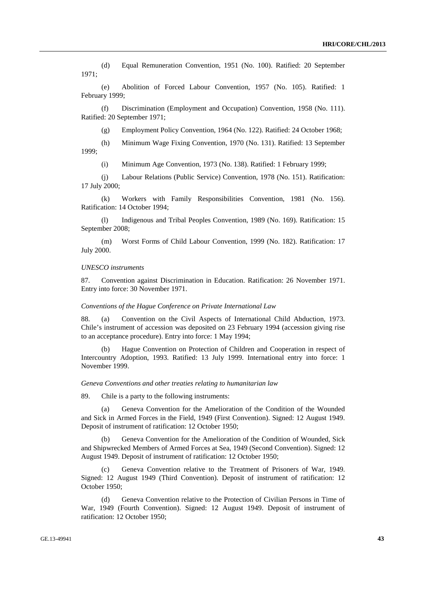(d) Equal Remuneration Convention, 1951 (No. 100). Ratified: 20 September 1971;

(e) Abolition of Forced Labour Convention, 1957 (No. 105). Ratified: 1 February 1999;

(f) Discrimination (Employment and Occupation) Convention, 1958 (No. 111). Ratified: 20 September 1971;

(g) Employment Policy Convention, 1964 (No. 122). Ratified: 24 October 1968;

(h) Minimum Wage Fixing Convention, 1970 (No. 131). Ratified: 13 September 1999;

(i) Minimum Age Convention, 1973 (No. 138). Ratified: 1 February 1999;

(j) Labour Relations (Public Service) Convention, 1978 (No. 151). Ratification: 17 July 2000;

(k) Workers with Family Responsibilities Convention, 1981 (No. 156). Ratification: 14 October 1994;

(l) Indigenous and Tribal Peoples Convention, 1989 (No. 169). Ratification: 15 September 2008;

(m) Worst Forms of Child Labour Convention, 1999 (No. 182). Ratification: 17 July 2000.

#### *UNESCO instruments*

87. Convention against Discrimination in Education. Ratification: 26 November 1971. Entry into force: 30 November 1971.

#### *Conventions of the Hague Conference on Private International Law*

88. (a) Convention on the Civil Aspects of International Child Abduction, 1973. Chile's instrument of accession was deposited on 23 February 1994 (accession giving rise to an acceptance procedure). Entry into force: 1 May 1994;

(b) Hague Convention on Protection of Children and Cooperation in respect of Intercountry Adoption, 1993. Ratified: 13 July 1999. International entry into force: 1 November 1999.

#### *Geneva Conventions and other treaties relating to humanitarian law*

89. Chile is a party to the following instruments:

(a) Geneva Convention for the Amelioration of the Condition of the Wounded and Sick in Armed Forces in the Field, 1949 (First Convention). Signed: 12 August 1949. Deposit of instrument of ratification: 12 October 1950;

(b) Geneva Convention for the Amelioration of the Condition of Wounded, Sick and Shipwrecked Members of Armed Forces at Sea, 1949 (Second Convention). Signed: 12 August 1949. Deposit of instrument of ratification: 12 October 1950;

(c) Geneva Convention relative to the Treatment of Prisoners of War, 1949. Signed: 12 August 1949 (Third Convention). Deposit of instrument of ratification: 12 October 1950;

(d) Geneva Convention relative to the Protection of Civilian Persons in Time of War, 1949 (Fourth Convention). Signed: 12 August 1949. Deposit of instrument of ratification: 12 October 1950;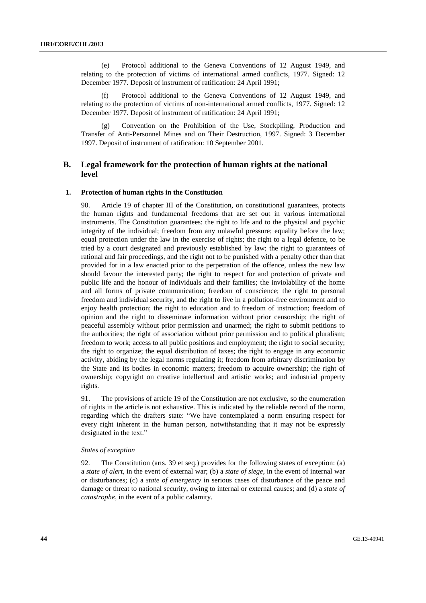(e) Protocol additional to the Geneva Conventions of 12 August 1949, and relating to the protection of victims of international armed conflicts, 1977. Signed: 12 December 1977. Deposit of instrument of ratification: 24 April 1991;

Protocol additional to the Geneva Conventions of 12 August 1949, and relating to the protection of victims of non-international armed conflicts, 1977. Signed: 12 December 1977. Deposit of instrument of ratification: 24 April 1991;

(g) Convention on the Prohibition of the Use, Stockpiling, Production and Transfer of Anti-Personnel Mines and on Their Destruction, 1997. Signed: 3 December 1997. Deposit of instrument of ratification: 10 September 2001.

# **B. Legal framework for the protection of human rights at the national level**

### **1. Protection of human rights in the Constitution**

Article 19 of chapter III of the Constitution, on constitutional guarantees, protects the human rights and fundamental freedoms that are set out in various international instruments. The Constitution guarantees: the right to life and to the physical and psychic integrity of the individual; freedom from any unlawful pressure; equality before the law; equal protection under the law in the exercise of rights; the right to a legal defence, to be tried by a court designated and previously established by law; the right to guarantees of rational and fair proceedings, and the right not to be punished with a penalty other than that provided for in a law enacted prior to the perpetration of the offence, unless the new law should favour the interested party; the right to respect for and protection of private and public life and the honour of individuals and their families; the inviolability of the home and all forms of private communication; freedom of conscience; the right to personal freedom and individual security, and the right to live in a pollution-free environment and to enjoy health protection; the right to education and to freedom of instruction; freedom of opinion and the right to disseminate information without prior censorship; the right of peaceful assembly without prior permission and unarmed; the right to submit petitions to the authorities; the right of association without prior permission and to political pluralism; freedom to work; access to all public positions and employment; the right to social security; the right to organize; the equal distribution of taxes; the right to engage in any economic activity, abiding by the legal norms regulating it; freedom from arbitrary discrimination by the State and its bodies in economic matters; freedom to acquire ownership; the right of ownership; copyright on creative intellectual and artistic works; and industrial property rights.

91. The provisions of article 19 of the Constitution are not exclusive, so the enumeration of rights in the article is not exhaustive. This is indicated by the reliable record of the norm, regarding which the drafters state: "We have contemplated a norm ensuring respect for every right inherent in the human person, notwithstanding that it may not be expressly designated in the text."

# *States of exception*

92. The Constitution (arts. 39 et seq.) provides for the following states of exception: (a) a *state of alert*, in the event of external war; (b) a *state of siege*, in the event of internal war or disturbances; (c) a *state of emergency* in serious cases of disturbance of the peace and damage or threat to national security, owing to internal or external causes; and (d) a *state of catastrophe*, in the event of a public calamity.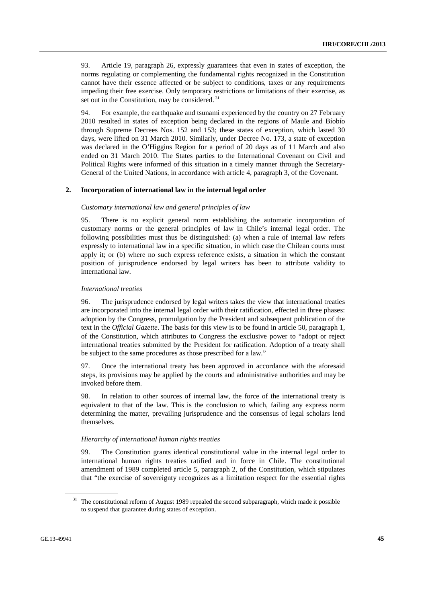93. Article 19, paragraph 26, expressly guarantees that even in states of exception, the norms regulating or complementing the fundamental rights recognized in the Constitution cannot have their essence affected or be subject to conditions, taxes or any requirements impeding their free exercise. Only temporary restrictions or limitations of their exercise, as set out in the Constitution, may be considered.<sup>31</sup>

94. For example, the earthquake and tsunami experienced by the country on 27 February 2010 resulted in states of exception being declared in the regions of Maule and Bíobío through Supreme Decrees Nos. 152 and 153; these states of exception, which lasted 30 days, were lifted on 31 March 2010. Similarly, under Decree No. 173, a state of exception was declared in the O'Higgins Region for a period of 20 days as of 11 March and also ended on 31 March 2010. The States parties to the International Covenant on Civil and Political Rights were informed of this situation in a timely manner through the Secretary-General of the United Nations, in accordance with article 4, paragraph 3, of the Covenant.

#### **2. Incorporation of international law in the internal legal order**

# *Customary international law and general principles of law*

95. There is no explicit general norm establishing the automatic incorporation of customary norms or the general principles of law in Chile's internal legal order. The following possibilities must thus be distinguished: (a) when a rule of internal law refers expressly to international law in a specific situation, in which case the Chilean courts must apply it; or (b) where no such express reference exists, a situation in which the constant position of jurisprudence endorsed by legal writers has been to attribute validity to international law.

#### *International treaties*

96. The jurisprudence endorsed by legal writers takes the view that international treaties are incorporated into the internal legal order with their ratification, effected in three phases: adoption by the Congress, promulgation by the President and subsequent publication of the text in the *Official Gazette*. The basis for this view is to be found in article 50, paragraph 1, of the Constitution, which attributes to Congress the exclusive power to "adopt or reject international treaties submitted by the President for ratification. Adoption of a treaty shall be subject to the same procedures as those prescribed for a law."

97. Once the international treaty has been approved in accordance with the aforesaid steps, its provisions may be applied by the courts and administrative authorities and may be invoked before them.

98. In relation to other sources of internal law, the force of the international treaty is equivalent to that of the law. This is the conclusion to which, failing any express norm determining the matter, prevailing jurisprudence and the consensus of legal scholars lend themselves.

#### *Hierarchy of international human rights treaties*

99. The Constitution grants identical constitutional value in the internal legal order to international human rights treaties ratified and in force in Chile. The constitutional amendment of 1989 completed article 5, paragraph 2, of the Constitution, which stipulates that "the exercise of sovereignty recognizes as a limitation respect for the essential rights

<sup>&</sup>lt;sup>31</sup> The constitutional reform of August 1989 repealed the second subparagraph, which made it possible to suspend that guarantee during states of exception.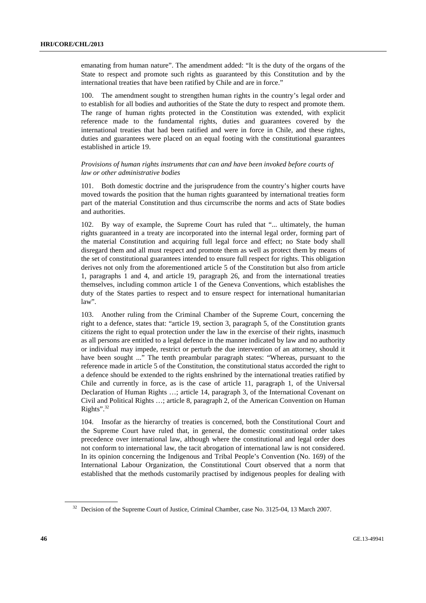emanating from human nature". The amendment added: "It is the duty of the organs of the State to respect and promote such rights as guaranteed by this Constitution and by the international treaties that have been ratified by Chile and are in force."

100. The amendment sought to strengthen human rights in the country's legal order and to establish for all bodies and authorities of the State the duty to respect and promote them. The range of human rights protected in the Constitution was extended, with explicit reference made to the fundamental rights, duties and guarantees covered by the international treaties that had been ratified and were in force in Chile, and these rights, duties and guarantees were placed on an equal footing with the constitutional guarantees established in article 19.

# *Provisions of human rights instruments that can and have been invoked before courts of law or other administrative bodies*

101. Both domestic doctrine and the jurisprudence from the country's higher courts have moved towards the position that the human rights guaranteed by international treaties form part of the material Constitution and thus circumscribe the norms and acts of State bodies and authorities.

102. By way of example, the Supreme Court has ruled that "... ultimately, the human rights guaranteed in a treaty are incorporated into the internal legal order, forming part of the material Constitution and acquiring full legal force and effect; no State body shall disregard them and all must respect and promote them as well as protect them by means of the set of constitutional guarantees intended to ensure full respect for rights. This obligation derives not only from the aforementioned article 5 of the Constitution but also from article 1, paragraphs 1 and 4, and article 19, paragraph 26, and from the international treaties themselves, including common article 1 of the Geneva Conventions, which establishes the duty of the States parties to respect and to ensure respect for international humanitarian law".

103. Another ruling from the Criminal Chamber of the Supreme Court, concerning the right to a defence, states that: "article 19, section 3, paragraph 5, of the Constitution grants citizens the right to equal protection under the law in the exercise of their rights, inasmuch as all persons are entitled to a legal defence in the manner indicated by law and no authority or individual may impede, restrict or perturb the due intervention of an attorney, should it have been sought ..." The tenth preambular paragraph states: "Whereas, pursuant to the reference made in article 5 of the Constitution, the constitutional status accorded the right to a defence should be extended to the rights enshrined by the international treaties ratified by Chile and currently in force, as is the case of article 11, paragraph 1, of the Universal Declaration of Human Rights …; article 14, paragraph 3, of the International Covenant on Civil and Political Rights …; article 8, paragraph 2, of the American Convention on Human Rights". $32$ 

104. Insofar as the hierarchy of treaties is concerned, both the Constitutional Court and the Supreme Court have ruled that, in general, the domestic constitutional order takes precedence over international law, although where the constitutional and legal order does not conform to international law, the tacit abrogation of international law is not considered. In its opinion concerning the Indigenous and Tribal People's Convention (No. 169) of the International Labour Organization, the Constitutional Court observed that a norm that established that the methods customarily practised by indigenous peoples for dealing with

<sup>&</sup>lt;sup>32</sup> Decision of the Supreme Court of Justice, Criminal Chamber, case No. 3125-04, 13 March 2007.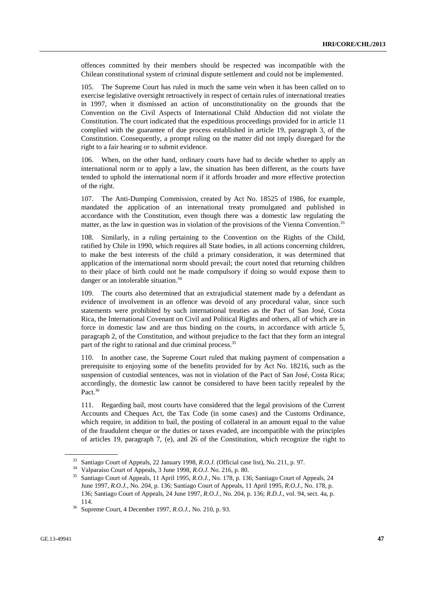offences committed by their members should be respected was incompatible with the Chilean constitutional system of criminal dispute settlement and could not be implemented.

105. The Supreme Court has ruled in much the same vein when it has been called on to exercise legislative oversight retroactively in respect of certain rules of international treaties in 1997, when it dismissed an action of unconstitutionality on the grounds that the Convention on the Civil Aspects of International Child Abduction did not violate the Constitution. The court indicated that the expeditious proceedings provided for in article 11 complied with the guarantee of due process established in article 19, paragraph 3, of the Constitution. Consequently, a prompt ruling on the matter did not imply disregard for the right to a fair hearing or to submit evidence.

106. When, on the other hand, ordinary courts have had to decide whether to apply an international norm or to apply a law, the situation has been different, as the courts have tended to uphold the international norm if it affords broader and more effective protection of the right.

107. The Anti-Dumping Commission, created by Act No. 18525 of 1986, for example, mandated the application of an international treaty promulgated and published in accordance with the Constitution, even though there was a domestic law regulating the matter, as the law in question was in violation of the provisions of the Vienna Convention.<sup>33</sup>

108. Similarly, in a ruling pertaining to the Convention on the Rights of the Child, ratified by Chile in 1990, which requires all State bodies, in all actions concerning children, to make the best interests of the child a primary consideration, it was determined that application of the international norm should prevail; the court noted that returning children to their place of birth could not be made compulsory if doing so would expose them to danger or an intolerable situation.<sup>34</sup>

109. The courts also determined that an extrajudicial statement made by a defendant as evidence of involvement in an offence was devoid of any procedural value, since such statements were prohibited by such international treaties as the Pact of San José, Costa Rica, the International Covenant on Civil and Political Rights and others, all of which are in force in domestic law and are thus binding on the courts, in accordance with article 5, paragraph 2, of the Constitution, and without prejudice to the fact that they form an integral part of the right to rational and due criminal process.<sup>35</sup>

110. In another case, the Supreme Court ruled that making payment of compensation a prerequisite to enjoying some of the benefits provided for by Act No. 18216, such as the suspension of custodial sentences, was not in violation of the Pact of San José, Costa Rica; accordingly, the domestic law cannot be considered to have been tacitly repealed by the Pact.<sup>36</sup>

111. Regarding bail, most courts have considered that the legal provisions of the Current Accounts and Cheques Act, the Tax Code (in some cases) and the Customs Ordinance, which require, in addition to bail, the posting of collateral in an amount equal to the value of the fraudulent cheque or the duties or taxes evaded, are incompatible with the principles of articles 19, paragraph 7, (e), and 26 of the Constitution, which recognize the right to

<sup>&</sup>lt;sup>33</sup> Santiago Court of Appeals, 22 January 1998, *R.O.J.* (Official case list), No. 211, p. 97.<br><sup>34</sup> Valparaíso Court of Appeals, 3 June 1998, *R.O.J.* No. 216, p. 80.<br><sup>35</sup> Santiago Court of Appeals, 11 April 1995, *R.O.J* June 1997, *R.O.J.*, No. 204, p. 136; Santiago Court of Appeals, 11 April 1995, *R.O.J.*, No. 178, p. 136; Santiago Court of Appeals, 24 June 1997, *R.O.J.*, No. 204, p. 136; *R.D.J.*, vol. 94, sect. 4a, p. 114. 36 Supreme Court, 4 December 1997, *R.O.J.*, No. 210, p. 93.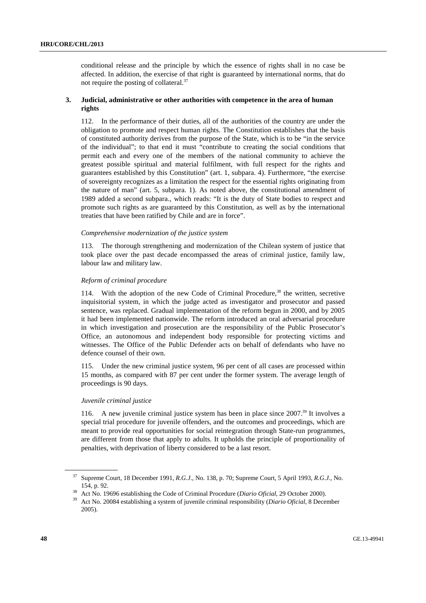conditional release and the principle by which the essence of rights shall in no case be affected. In addition, the exercise of that right is guaranteed by international norms, that do not require the posting of collateral.37

# **3. Judicial, administrative or other authorities with competence in the area of human rights**

112. In the performance of their duties, all of the authorities of the country are under the obligation to promote and respect human rights. The Constitution establishes that the basis of constituted authority derives from the purpose of the State, which is to be "in the service of the individual"; to that end it must "contribute to creating the social conditions that permit each and every one of the members of the national community to achieve the greatest possible spiritual and material fulfilment, with full respect for the rights and guarantees established by this Constitution" (art. 1, subpara. 4). Furthermore, "the exercise of sovereignty recognizes as a limitation the respect for the essential rights originating from the nature of man" (art. 5, subpara. 1). As noted above, the constitutional amendment of 1989 added a second subpara., which reads: "It is the duty of State bodies to respect and promote such rights as are guaranteed by this Constitution, as well as by the international treaties that have been ratified by Chile and are in force".

# *Comprehensive modernization of the justice system*

113. The thorough strengthening and modernization of the Chilean system of justice that took place over the past decade encompassed the areas of criminal justice, family law, labour law and military law.

# *Reform of criminal procedure*

114. With the adoption of the new Code of Criminal Procedure,<sup>38</sup> the written, secretive inquisitorial system, in which the judge acted as investigator and prosecutor and passed sentence, was replaced. Gradual implementation of the reform begun in 2000, and by 2005 it had been implemented nationwide. The reform introduced an oral adversarial procedure in which investigation and prosecution are the responsibility of the Public Prosecutor's Office, an autonomous and independent body responsible for protecting victims and witnesses. The Office of the Public Defender acts on behalf of defendants who have no defence counsel of their own.

115. Under the new criminal justice system, 96 per cent of all cases are processed within 15 months, as compared with 87 per cent under the former system. The average length of proceedings is 90 days.

# *Juvenile criminal justice*

116. A new juvenile criminal justice system has been in place since  $2007<sup>39</sup>$  It involves a special trial procedure for juvenile offenders, and the outcomes and proceedings, which are meant to provide real opportunities for social reintegration through State-run programmes, are different from those that apply to adults. It upholds the principle of proportionality of penalties, with deprivation of liberty considered to be a last resort.

<sup>37</sup> Supreme Court, 18 December 1991, *R.G.J*., No. 138, p. 70; Supreme Court, 5 April 1993, *R.G.J.*, No.

<sup>154,</sup> p. 92. 38 Act No. 19696 establishing the Code of Criminal Procedure (*Diario Oficial*, 29 October 2000). 39 Act No. 20084 establishing a system of juvenile criminal responsibility (*Diario Oficial*, 8 December 2005).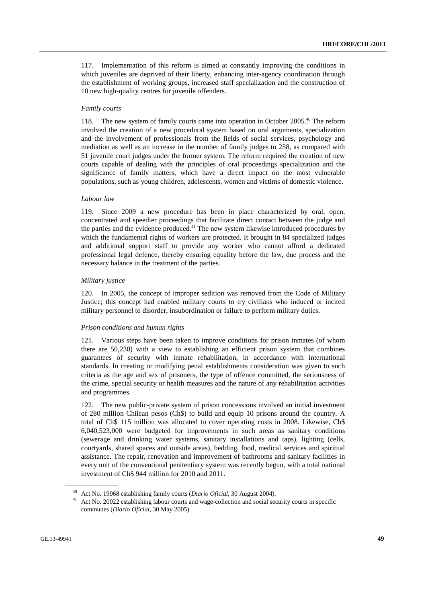117. Implementation of this reform is aimed at constantly improving the conditions in which juveniles are deprived of their liberty, enhancing inter-agency coordination through the establishment of working groups, increased staff specialization and the construction of 10 new high-quality centres for juvenile offenders.

### *Family courts*

118. The new system of family courts came into operation in October 2005.<sup>40</sup> The reform involved the creation of a new procedural system based on oral arguments, specialization and the involvement of professionals from the fields of social services, psychology and mediation as well as an increase in the number of family judges to 258, as compared with 51 juvenile court judges under the former system. The reform required the creation of new courts capable of dealing with the principles of oral proceedings specialization and the significance of family matters, which have a direct impact on the most vulnerable populations, such as young children, adolescents, women and victims of domestic violence.

#### *Labour law*

119. Since 2009 a new procedure has been in place characterized by oral, open, concentrated and speedier proceedings that facilitate direct contact between the judge and the parties and the evidence produced.<sup>41</sup> The new system likewise introduced procedures by which the fundamental rights of workers are protected. It brought in 84 specialized judges and additional support staff to provide any worker who cannot afford a dedicated professional legal defence, thereby ensuring equality before the law, due process and the necessary balance in the treatment of the parties.

# *Military justice*

120. In 2005, the concept of improper sedition was removed from the Code of Military Justice; this concept had enabled military courts to try civilians who induced or incited military personnel to disorder, insubordination or failure to perform military duties.

#### *Prison conditions and human rights*

121. Various steps have been taken to improve conditions for prison inmates (of whom there are 50,230) with a view to establishing an efficient prison system that combines guarantees of security with inmate rehabilitation, in accordance with international standards. In creating or modifying penal establishments consideration was given to such criteria as the age and sex of prisoners, the type of offence committed, the seriousness of the crime, special security or health measures and the nature of any rehabilitation activities and programmes.

122. The new public-private system of prison concessions involved an initial investment of 280 million Chilean pesos (Ch\$) to build and equip 10 prisons around the country. A total of Ch\$ 115 million was allocated to cover operating costs in 2008. Likewise, Ch\$ 6,040,523,000 were budgeted for improvements in such areas as sanitary conditions (sewerage and drinking water systems, sanitary installations and taps), lighting (cells, courtyards, shared spaces and outside areas), bedding, food, medical services and spiritual assistance. The repair, renovation and improvement of bathrooms and sanitary facilities in every unit of the conventional penitentiary system was recently begun, with a total national investment of Ch\$ 944 million for 2010 and 2011.

<sup>40</sup> Act No. 19968 establishing family courts (*Diario Oficial*, 30 August 2004). 41 Act No. 20022 establishing labour courts and wage-collection and social security courts in specific communes (*Diario Oficial*, 30 May 2005).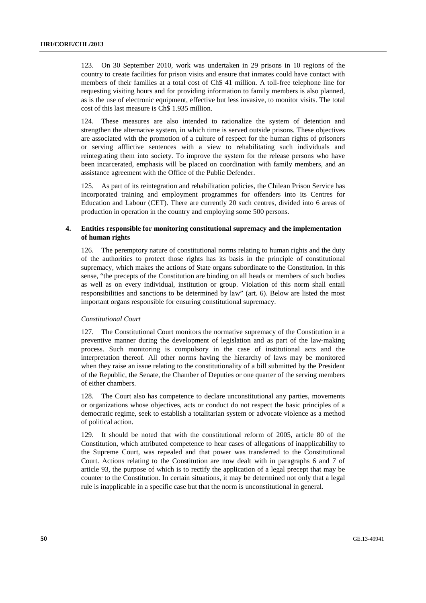123. On 30 September 2010, work was undertaken in 29 prisons in 10 regions of the country to create facilities for prison visits and ensure that inmates could have contact with members of their families at a total cost of Ch\$ 41 million. A toll-free telephone line for requesting visiting hours and for providing information to family members is also planned, as is the use of electronic equipment, effective but less invasive, to monitor visits. The total cost of this last measure is Ch\$ 1.935 million.

124. These measures are also intended to rationalize the system of detention and strengthen the alternative system, in which time is served outside prisons. These objectives are associated with the promotion of a culture of respect for the human rights of prisoners or serving afflictive sentences with a view to rehabilitating such individuals and reintegrating them into society. To improve the system for the release persons who have been incarcerated, emphasis will be placed on coordination with family members, and an assistance agreement with the Office of the Public Defender.

125. As part of its reintegration and rehabilitation policies, the Chilean Prison Service has incorporated training and employment programmes for offenders into its Centres for Education and Labour (CET). There are currently 20 such centres, divided into 6 areas of production in operation in the country and employing some 500 persons.

# **4. Entities responsible for monitoring constitutional supremacy and the implementation of human rights**

126. The peremptory nature of constitutional norms relating to human rights and the duty of the authorities to protect those rights has its basis in the principle of constitutional supremacy, which makes the actions of State organs subordinate to the Constitution. In this sense, "the precepts of the Constitution are binding on all heads or members of such bodies as well as on every individual, institution or group. Violation of this norm shall entail responsibilities and sanctions to be determined by law" (art. 6). Below are listed the most important organs responsible for ensuring constitutional supremacy.

### *Constitutional Court*

127. The Constitutional Court monitors the normative supremacy of the Constitution in a preventive manner during the development of legislation and as part of the law-making process. Such monitoring is compulsory in the case of institutional acts and the interpretation thereof. All other norms having the hierarchy of laws may be monitored when they raise an issue relating to the constitutionality of a bill submitted by the President of the Republic, the Senate, the Chamber of Deputies or one quarter of the serving members of either chambers.

128. The Court also has competence to declare unconstitutional any parties, movements or organizations whose objectives, acts or conduct do not respect the basic principles of a democratic regime, seek to establish a totalitarian system or advocate violence as a method of political action.

129. It should be noted that with the constitutional reform of 2005, article 80 of the Constitution, which attributed competence to hear cases of allegations of inapplicability to the Supreme Court, was repealed and that power was transferred to the Constitutional Court. Actions relating to the Constitution are now dealt with in paragraphs 6 and 7 of article 93, the purpose of which is to rectify the application of a legal precept that may be counter to the Constitution. In certain situations, it may be determined not only that a legal rule is inapplicable in a specific case but that the norm is unconstitutional in general.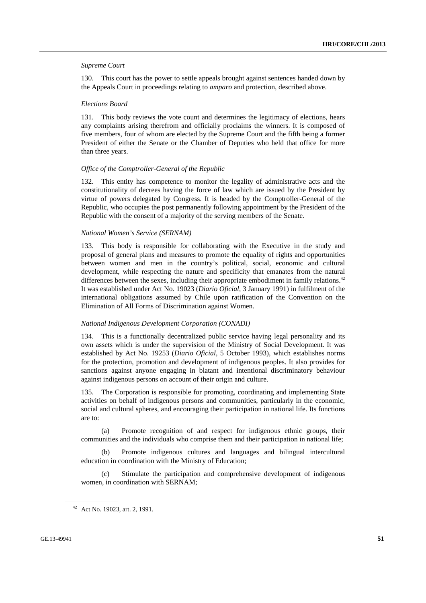### *Supreme Court*

130. This court has the power to settle appeals brought against sentences handed down by the Appeals Court in proceedings relating to *amparo* and protection, described above.

#### *Elections Board*

131. This body reviews the vote count and determines the legitimacy of elections, hears any complaints arising therefrom and officially proclaims the winners. It is composed of five members, four of whom are elected by the Supreme Court and the fifth being a former President of either the Senate or the Chamber of Deputies who held that office for more than three years.

#### *Office of the Comptroller-General of the Republic*

132. This entity has competence to monitor the legality of administrative acts and the constitutionality of decrees having the force of law which are issued by the President by virtue of powers delegated by Congress. It is headed by the Comptroller-General of the Republic, who occupies the post permanently following appointment by the President of the Republic with the consent of a majority of the serving members of the Senate.

# *National Women's Service (SERNAM)*

133. This body is responsible for collaborating with the Executive in the study and proposal of general plans and measures to promote the equality of rights and opportunities between women and men in the country's political, social, economic and cultural development, while respecting the nature and specificity that emanates from the natural differences between the sexes, including their appropriate embodiment in family relations.<sup>42</sup> It was established under Act No. 19023 (*Diario Oficial*, 3 January 1991) in fulfilment of the international obligations assumed by Chile upon ratification of the Convention on the Elimination of All Forms of Discrimination against Women.

#### *National Indigenous Development Corporation (CONADI)*

134. This is a functionally decentralized public service having legal personality and its own assets which is under the supervision of the Ministry of Social Development. It was established by Act No. 19253 (*Diario Oficial*, 5 October 1993), which establishes norms for the protection, promotion and development of indigenous peoples. It also provides for sanctions against anyone engaging in blatant and intentional discriminatory behaviour against indigenous persons on account of their origin and culture.

135. The Corporation is responsible for promoting, coordinating and implementing State activities on behalf of indigenous persons and communities, particularly in the economic, social and cultural spheres, and encouraging their participation in national life. Its functions are to:

 (a) Promote recognition of and respect for indigenous ethnic groups, their communities and the individuals who comprise them and their participation in national life;

 (b) Promote indigenous cultures and languages and bilingual intercultural education in coordination with the Ministry of Education;

 (c) Stimulate the participation and comprehensive development of indigenous women, in coordination with SERNAM;

<sup>42</sup> Act No. 19023, art. 2, 1991.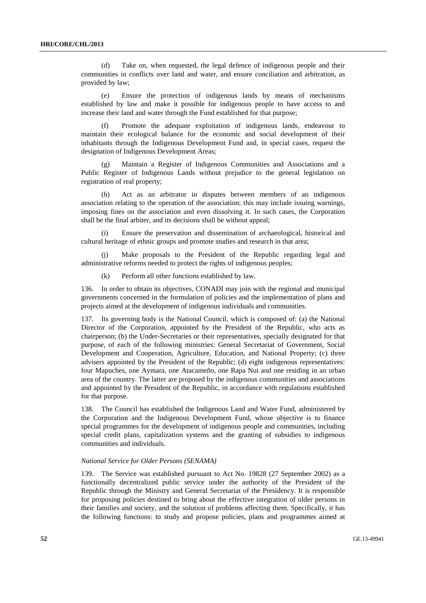(d) Take on, when requested, the legal defence of indigenous people and their communities in conflicts over land and water, and ensure conciliation and arbitration, as provided by law;

 (e) Ensure the protection of indigenous lands by means of mechanisms established by law and make it possible for indigenous people to have access to and increase their land and water through the Fund established for that purpose;

 (f) Promote the adequate exploitation of indigenous lands, endeavour to maintain their ecological balance for the economic and social development of their inhabitants through the Indigenous Development Fund and, in special cases, request the designation of Indigenous Development Areas;

 (g) Maintain a Register of Indigenous Communities and Associations and a Public Register of Indigenous Lands without prejudice to the general legislation on registration of real property;

 (h) Act as an arbitrator in disputes between members of an indigenous association relating to the operation of the association; this may include issuing warnings, imposing fines on the association and even dissolving it. In such cases, the Corporation shall be the final arbiter, and its decisions shall be without appeal;

 (i) Ensure the preservation and dissemination of archaeological, historical and cultural heritage of ethnic groups and promote studies and research in that area;

 (j) Make proposals to the President of the Republic regarding legal and administrative reforms needed to protect the rights of indigenous peoples;

(k) Perform all other functions established by law.

136. In order to obtain its objectives, CONADI may join with the regional and municipal governments concerned in the formulation of policies and the implementation of plans and projects aimed at the development of indigenous individuals and communities.

137. Its governing body is the National Council, which is composed of: (a) the National Director of the Corporation, appointed by the President of the Republic, who acts as chairperson; (b) the Under-Secretaries or their representatives, specially designated for that purpose, of each of the following ministries: General Secretariat of Government, Social Development and Cooperation, Agriculture, Education, and National Property; (c) three advisers appointed by the President of the Republic; (d) eight indigenous representatives: four Mapuches, one Aymara, one Atacameño, one Rapa Nui and one residing in an urban area of the country. The latter are proposed by the indigenous communities and associations and appointed by the President of the Republic, in accordance with regulations established for that purpose.

138. The Council has established the Indigenous Land and Water Fund, administered by the Corporation and the Indigenous Development Fund, whose objective is to finance special programmes for the development of indigenous people and communities, including special credit plans, capitalization systems and the granting of subsidies to indigenous communities and individuals.

# *National Service for Older Persons (SENAMA)*

139. The Service was established pursuant to Act No. 19828 (27 September 2002) as a functionally decentralized public service under the authority of the President of the Republic through the Ministry and General Secretariat of the Presidency. It is responsible for proposing policies destined to bring about the effective integration of older persons in their families and society, and the solution of problems affecting them. Specifically, it has the following functions: to study and propose policies, plans and programmes aimed at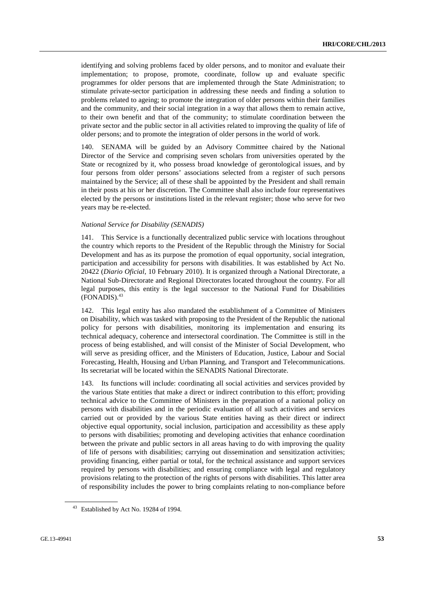identifying and solving problems faced by older persons, and to monitor and evaluate their implementation; to propose, promote, coordinate, follow up and evaluate specific programmes for older persons that are implemented through the State Administration; to stimulate private-sector participation in addressing these needs and finding a solution to problems related to ageing; to promote the integration of older persons within their families and the community, and their social integration in a way that allows them to remain active, to their own benefit and that of the community; to stimulate coordination between the private sector and the public sector in all activities related to improving the quality of life of older persons; and to promote the integration of older persons in the world of work.

140. SENAMA will be guided by an Advisory Committee chaired by the National Director of the Service and comprising seven scholars from universities operated by the State or recognized by it, who possess broad knowledge of gerontological issues, and by four persons from older persons' associations selected from a register of such persons maintained by the Service; all of these shall be appointed by the President and shall remain in their posts at his or her discretion. The Committee shall also include four representatives elected by the persons or institutions listed in the relevant register; those who serve for two years may be re-elected.

#### *National Service for Disability (SENADIS)*

141. This Service is a functionally decentralized public service with locations throughout the country which reports to the President of the Republic through the Ministry for Social Development and has as its purpose the promotion of equal opportunity, social integration, participation and accessibility for persons with disabilities. It was established by Act No. 20422 (*Diario Oficial*, 10 February 2010). It is organized through a National Directorate, a National Sub-Directorate and Regional Directorates located throughout the country. For all legal purposes, this entity is the legal successor to the National Fund for Disabilities  $(FONADIS).<sup>43</sup>$ 

142. This legal entity has also mandated the establishment of a Committee of Ministers on Disability, which was tasked with proposing to the President of the Republic the national policy for persons with disabilities, monitoring its implementation and ensuring its technical adequacy, coherence and intersectoral coordination. The Committee is still in the process of being established, and will consist of the Minister of Social Development, who will serve as presiding officer, and the Ministers of Education, Justice, Labour and Social Forecasting, Health, Housing and Urban Planning, and Transport and Telecommunications. Its secretariat will be located within the SENADIS National Directorate.

143. Its functions will include: coordinating all social activities and services provided by the various State entities that make a direct or indirect contribution to this effort; providing technical advice to the Committee of Ministers in the preparation of a national policy on persons with disabilities and in the periodic evaluation of all such activities and services carried out or provided by the various State entities having as their direct or indirect objective equal opportunity, social inclusion, participation and accessibility as these apply to persons with disabilities; promoting and developing activities that enhance coordination between the private and public sectors in all areas having to do with improving the quality of life of persons with disabilities; carrying out dissemination and sensitization activities; providing financing, either partial or total, for the technical assistance and support services required by persons with disabilities; and ensuring compliance with legal and regulatory provisions relating to the protection of the rights of persons with disabilities. This latter area of responsibility includes the power to bring complaints relating to non-compliance before

<sup>43</sup> Established by Act No. 19284 of 1994.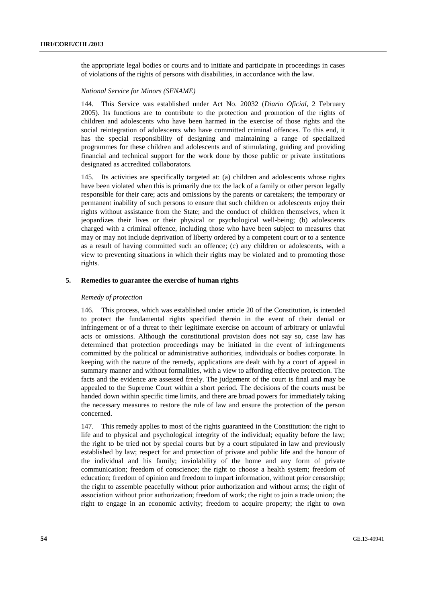the appropriate legal bodies or courts and to initiate and participate in proceedings in cases of violations of the rights of persons with disabilities, in accordance with the law.

# *National Service for Minors (SENAME)*

144. This Service was established under Act No. 20032 (*Diario Oficial*, 2 February 2005). Its functions are to contribute to the protection and promotion of the rights of children and adolescents who have been harmed in the exercise of those rights and the social reintegration of adolescents who have committed criminal offences. To this end, it has the special responsibility of designing and maintaining a range of specialized programmes for these children and adolescents and of stimulating, guiding and providing financial and technical support for the work done by those public or private institutions designated as accredited collaborators.

145. Its activities are specifically targeted at: (a) children and adolescents whose rights have been violated when this is primarily due to: the lack of a family or other person legally responsible for their care; acts and omissions by the parents or caretakers; the temporary or permanent inability of such persons to ensure that such children or adolescents enjoy their rights without assistance from the State; and the conduct of children themselves, when it jeopardizes their lives or their physical or psychological well-being; (b) adolescents charged with a criminal offence, including those who have been subject to measures that may or may not include deprivation of liberty ordered by a competent court or to a sentence as a result of having committed such an offence; (c) any children or adolescents, with a view to preventing situations in which their rights may be violated and to promoting those rights.

# **5. Remedies to guarantee the exercise of human rights**

#### *Remedy of protection*

146. This process, which was established under article 20 of the Constitution, is intended to protect the fundamental rights specified therein in the event of their denial or infringement or of a threat to their legitimate exercise on account of arbitrary or unlawful acts or omissions. Although the constitutional provision does not say so, case law has determined that protection proceedings may be initiated in the event of infringements committed by the political or administrative authorities, individuals or bodies corporate. In keeping with the nature of the remedy, applications are dealt with by a court of appeal in summary manner and without formalities, with a view to affording effective protection. The facts and the evidence are assessed freely. The judgement of the court is final and may be appealed to the Supreme Court within a short period. The decisions of the courts must be handed down within specific time limits, and there are broad powers for immediately taking the necessary measures to restore the rule of law and ensure the protection of the person concerned.

147. This remedy applies to most of the rights guaranteed in the Constitution: the right to life and to physical and psychological integrity of the individual; equality before the law; the right to be tried not by special courts but by a court stipulated in law and previously established by law; respect for and protection of private and public life and the honour of the individual and his family; inviolability of the home and any form of private communication; freedom of conscience; the right to choose a health system; freedom of education; freedom of opinion and freedom to impart information, without prior censorship; the right to assemble peacefully without prior authorization and without arms; the right of association without prior authorization; freedom of work; the right to join a trade union; the right to engage in an economic activity; freedom to acquire property; the right to own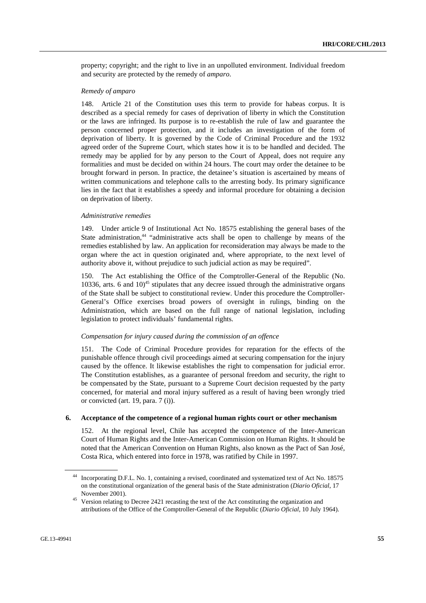property; copyright; and the right to live in an unpolluted environment. Individual freedom and security are protected by the remedy of *amparo*.

# *Remedy of amparo*

148. Article 21 of the Constitution uses this term to provide for habeas corpus. It is described as a special remedy for cases of deprivation of liberty in which the Constitution or the laws are infringed. Its purpose is to re-establish the rule of law and guarantee the person concerned proper protection, and it includes an investigation of the form of deprivation of liberty. It is governed by the Code of Criminal Procedure and the 1932 agreed order of the Supreme Court, which states how it is to be handled and decided. The remedy may be applied for by any person to the Court of Appeal, does not require any formalities and must be decided on within 24 hours. The court may order the detainee to be brought forward in person. In practice, the detainee's situation is ascertained by means of written communications and telephone calls to the arresting body. Its primary significance lies in the fact that it establishes a speedy and informal procedure for obtaining a decision on deprivation of liberty.

# *Administrative remedies*

149. Under article 9 of Institutional Act No. 18575 establishing the general bases of the State administration,<sup>44</sup> "administrative acts shall be open to challenge by means of the remedies established by law. An application for reconsideration may always be made to the organ where the act in question originated and, where appropriate, to the next level of authority above it, without prejudice to such judicial action as may be required".

150. The Act establishing the Office of the Comptroller-General of the Republic (No. 10336, arts. 6 and  $10<sup>45</sup>$  stipulates that any decree issued through the administrative organs of the State shall be subject to constitutional review. Under this procedure the Comptroller-General's Office exercises broad powers of oversight in rulings, binding on the Administration, which are based on the full range of national legislation, including legislation to protect individuals' fundamental rights.

#### *Compensation for injury caused during the commission of an offence*

151. The Code of Criminal Procedure provides for reparation for the effects of the punishable offence through civil proceedings aimed at securing compensation for the injury caused by the offence. It likewise establishes the right to compensation for judicial error. The Constitution establishes, as a guarantee of personal freedom and security, the right to be compensated by the State, pursuant to a Supreme Court decision requested by the party concerned, for material and moral injury suffered as a result of having been wrongly tried or convicted (art. 19, para. 7 (i)).

# **6. Acceptance of the competence of a regional human rights court or other mechanism**

152. At the regional level, Chile has accepted the competence of the Inter-American Court of Human Rights and the Inter-American Commission on Human Rights. It should be noted that the American Convention on Human Rights, also known as the Pact of San José, Costa Rica, which entered into force in 1978, was ratified by Chile in 1997.

<sup>44</sup> Incorporating D.F.L. No. 1, containing a revised, coordinated and systematized text of Act No. 18575 on the constitutional organization of the general basis of the State administration (*Diario Oficial*, 17

November 2001). 45 Version relating to Decree 2421 recasting the text of the Act constituting the organization and attributions of the Office of the Comptroller-General of the Republic (*Diario Oficial*, 10 July 1964).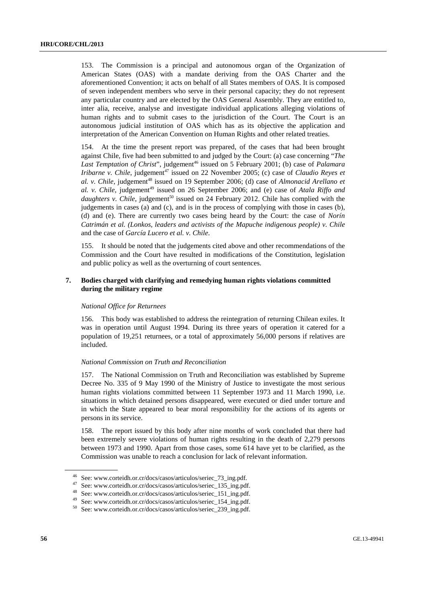153. The Commission is a principal and autonomous organ of the Organization of American States (OAS) with a mandate deriving from the OAS Charter and the aforementioned Convention; it acts on behalf of all States members of OAS. It is composed of seven independent members who serve in their personal capacity; they do not represent any particular country and are elected by the OAS General Assembly. They are entitled to, inter alia, receive, analyse and investigate individual applications alleging violations of human rights and to submit cases to the jurisdiction of the Court. The Court is an autonomous judicial institution of OAS which has as its objective the application and interpretation of the American Convention on Human Rights and other related treaties.

154. At the time the present report was prepared, of the cases that had been brought against Chile, five had been submitted to and judged by the Court: (a) case concerning "*The*  Last Temptation of Christ", judgement<sup>46</sup> issued on 5 February 2001; (b) case of *Palamara Iribarne v. Chile*, judgement<sup>47</sup> issued on 22 November 2005; (c) case of *Claudio Reyes et* al. v. Chile, judgement<sup>48</sup> issued on 19 September 2006; (d) case of *Almonacid Arellano et al. v. Chile*, judgement<sup>49</sup> issued on 26 September 2006; and (e) case of *Atala Riffo and daughters v. Chile*, judgement<sup>50</sup> issued on 24 February 2012. Chile has complied with the judgements in cases (a) and (c), and is in the process of complying with those in cases (b), (d) and (e). There are currently two cases being heard by the Court: the case of *Norín Catrimán et al. (Lonkos, leaders and activists of the Mapuche indigenous people) v. Chile* and the case of *García Lucero et al. v. Chile*.

155. It should be noted that the judgements cited above and other recommendations of the Commission and the Court have resulted in modifications of the Constitution, legislation and public policy as well as the overturning of court sentences.

# **7. Bodies charged with clarifying and remedying human rights violations committed during the military regime**

#### *National Office for Returnees*

156. This body was established to address the reintegration of returning Chilean exiles. It was in operation until August 1994. During its three years of operation it catered for a population of 19,251 returnees, or a total of approximately 56,000 persons if relatives are included.

#### *National Commission on Truth and Reconciliation*

157. The National Commission on Truth and Reconciliation was established by Supreme Decree No. 335 of 9 May 1990 of the Ministry of Justice to investigate the most serious human rights violations committed between 11 September 1973 and 11 March 1990, i.e. situations in which detained persons disappeared, were executed or died under torture and in which the State appeared to bear moral responsibility for the actions of its agents or persons in its service.

158. The report issued by this body after nine months of work concluded that there had been extremely severe violations of human rights resulting in the death of 2,279 persons between 1973 and 1990. Apart from those cases, some 614 have yet to be clarified, as the Commission was unable to reach a conclusion for lack of relevant information.

<sup>46</sup> See: www.corteidh.or.cr/docs/casos/articulos/seriec\_73\_ing.pdf.

<sup>47</sup> See: www.corteidh.or.cr/docs/casos/articulos/seriec\_135\_ing.pdf.

<sup>48</sup> See: www.corteidh.or.cr/docs/casos/articulos/seriec\_151\_ing.pdf.

<sup>49</sup> See: www.corteidh.or.cr/docs/casos/articulos/seriec\_154\_ing.pdf.

<sup>50</sup> See: www.corteidh.or.cr/docs/casos/articulos/seriec\_239\_ing.pdf.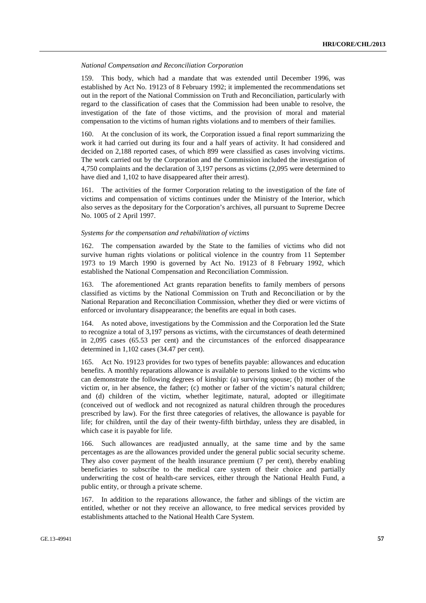#### *National Compensation and Reconciliation Corporation*

159. This body, which had a mandate that was extended until December 1996, was established by Act No. 19123 of 8 February 1992; it implemented the recommendations set out in the report of the National Commission on Truth and Reconciliation, particularly with regard to the classification of cases that the Commission had been unable to resolve, the investigation of the fate of those victims, and the provision of moral and material compensation to the victims of human rights violations and to members of their families.

160. At the conclusion of its work, the Corporation issued a final report summarizing the work it had carried out during its four and a half years of activity. It had considered and decided on 2,188 reported cases, of which 899 were classified as cases involving victims. The work carried out by the Corporation and the Commission included the investigation of 4,750 complaints and the declaration of 3,197 persons as victims (2,095 were determined to have died and 1,102 to have disappeared after their arrest).

161. The activities of the former Corporation relating to the investigation of the fate of victims and compensation of victims continues under the Ministry of the Interior, which also serves as the depositary for the Corporation's archives, all pursuant to Supreme Decree No. 1005 of 2 April 1997.

#### *Systems for the compensation and rehabilitation of victims*

162. The compensation awarded by the State to the families of victims who did not survive human rights violations or political violence in the country from 11 September 1973 to 19 March 1990 is governed by Act No. 19123 of 8 February 1992, which established the National Compensation and Reconciliation Commission.

163. The aforementioned Act grants reparation benefits to family members of persons classified as victims by the National Commission on Truth and Reconciliation or by the National Reparation and Reconciliation Commission, whether they died or were victims of enforced or involuntary disappearance; the benefits are equal in both cases.

164. As noted above, investigations by the Commission and the Corporation led the State to recognize a total of 3,197 persons as victims, with the circumstances of death determined in 2,095 cases (65.53 per cent) and the circumstances of the enforced disappearance determined in 1,102 cases (34.47 per cent).

165. Act No. 19123 provides for two types of benefits payable: allowances and education benefits. A monthly reparations allowance is available to persons linked to the victims who can demonstrate the following degrees of kinship: (a) surviving spouse; (b) mother of the victim or, in her absence, the father; (c) mother or father of the victim's natural children; and (d) children of the victim, whether legitimate, natural, adopted or illegitimate (conceived out of wedlock and not recognized as natural children through the procedures prescribed by law). For the first three categories of relatives, the allowance is payable for life; for children, until the day of their twenty-fifth birthday, unless they are disabled, in which case it is payable for life.

166. Such allowances are readjusted annually, at the same time and by the same percentages as are the allowances provided under the general public social security scheme. They also cover payment of the health insurance premium (7 per cent), thereby enabling beneficiaries to subscribe to the medical care system of their choice and partially underwriting the cost of health-care services, either through the National Health Fund, a public entity, or through a private scheme.

167. In addition to the reparations allowance, the father and siblings of the victim are entitled, whether or not they receive an allowance, to free medical services provided by establishments attached to the National Health Care System.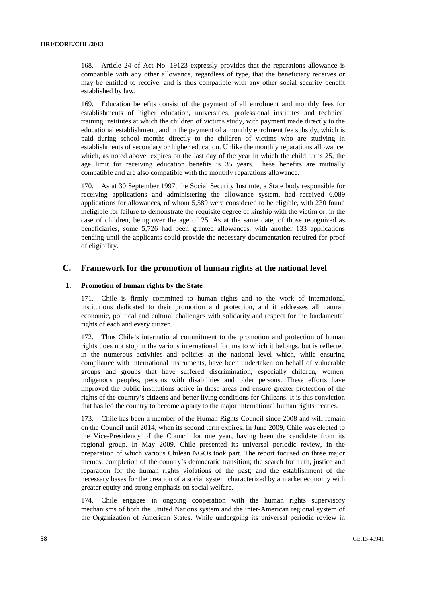168. Article 24 of Act No. 19123 expressly provides that the reparations allowance is compatible with any other allowance, regardless of type, that the beneficiary receives or may be entitled to receive, and is thus compatible with any other social security benefit established by law.

169. Education benefits consist of the payment of all enrolment and monthly fees for establishments of higher education, universities, professional institutes and technical training institutes at which the children of victims study, with payment made directly to the educational establishment, and in the payment of a monthly enrolment fee subsidy, which is paid during school months directly to the children of victims who are studying in establishments of secondary or higher education. Unlike the monthly reparations allowance, which, as noted above, expires on the last day of the year in which the child turns 25, the age limit for receiving education benefits is 35 years. These benefits are mutually compatible and are also compatible with the monthly reparations allowance.

170. As at 30 September 1997, the Social Security Institute, a State body responsible for receiving applications and administering the allowance system, had received 6,089 applications for allowances, of whom 5,589 were considered to be eligible, with 230 found ineligible for failure to demonstrate the requisite degree of kinship with the victim or, in the case of children, being over the age of 25. As at the same date, of those recognized as beneficiaries, some 5,726 had been granted allowances, with another 133 applications pending until the applicants could provide the necessary documentation required for proof of eligibility.

# **C. Framework for the promotion of human rights at the national level**

# **1. Promotion of human rights by the State**

171. Chile is firmly committed to human rights and to the work of international institutions dedicated to their promotion and protection, and it addresses all natural, economic, political and cultural challenges with solidarity and respect for the fundamental rights of each and every citizen.

172. Thus Chile's international commitment to the promotion and protection of human rights does not stop in the various international forums to which it belongs, but is reflected in the numerous activities and policies at the national level which, while ensuring compliance with international instruments, have been undertaken on behalf of vulnerable groups and groups that have suffered discrimination, especially children, women, indigenous peoples, persons with disabilities and older persons. These efforts have improved the public institutions active in these areas and ensure greater protection of the rights of the country's citizens and better living conditions for Chileans. It is this conviction that has led the country to become a party to the major international human rights treaties.

173. Chile has been a member of the Human Rights Council since 2008 and will remain on the Council until 2014, when its second term expires. In June 2009, Chile was elected to the Vice-Presidency of the Council for one year, having been the candidate from its regional group. In May 2009, Chile presented its universal periodic review, in the preparation of which various Chilean NGOs took part. The report focused on three major themes: completion of the country's democratic transition; the search for truth, justice and reparation for the human rights violations of the past; and the establishment of the necessary bases for the creation of a social system characterized by a market economy with greater equity and strong emphasis on social welfare.

174. Chile engages in ongoing cooperation with the human rights supervisory mechanisms of both the United Nations system and the inter-American regional system of the Organization of American States. While undergoing its universal periodic review in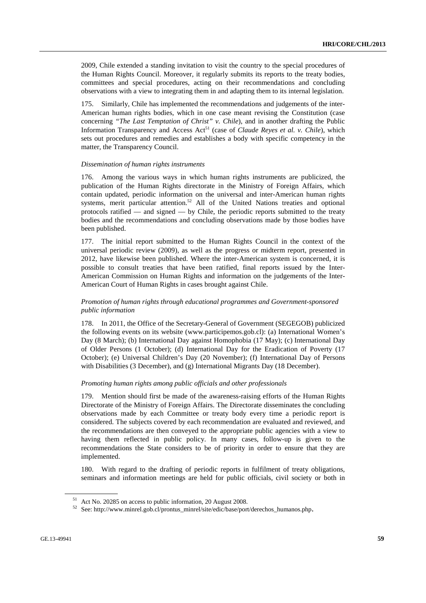2009, Chile extended a standing invitation to visit the country to the special procedures of the Human Rights Council. Moreover, it regularly submits its reports to the treaty bodies, committees and special procedures, acting on their recommendations and concluding observations with a view to integrating them in and adapting them to its internal legislation.

175. Similarly, Chile has implemented the recommendations and judgements of the inter-American human rights bodies, which in one case meant revising the Constitution (case concerning *"The Last Temptation of Christ" v. Chile*), and in another drafting the Public Information Transparency and Access Act<sup>51</sup> (case of *Claude Reves et al. v. Chile*), which sets out procedures and remedies and establishes a body with specific competency in the matter, the Transparency Council.

### *Dissemination of human rights instruments*

176. Among the various ways in which human rights instruments are publicized, the publication of the Human Rights directorate in the Ministry of Foreign Affairs, which contain updated, periodic information on the universal and inter-American human rights systems, merit particular attention.<sup>52</sup> All of the United Nations treaties and optional protocols ratified — and signed — by Chile, the periodic reports submitted to the treaty bodies and the recommendations and concluding observations made by those bodies have been published.

177. The initial report submitted to the Human Rights Council in the context of the universal periodic review (2009), as well as the progress or midterm report, presented in 2012, have likewise been published. Where the inter-American system is concerned, it is possible to consult treaties that have been ratified, final reports issued by the Inter-American Commission on Human Rights and information on the judgements of the Inter-American Court of Human Rights in cases brought against Chile.

# *Promotion of human rights through educational programmes and Government-sponsored public information*

178. In 2011, the Office of the Secretary-General of Government (SEGEGOB) publicized the following events on its website (www.participemos.gob.cl): (a) International Women's Day (8 March); (b) International Day against Homophobia (17 May); (c) International Day of Older Persons (1 October); (d) International Day for the Eradication of Poverty (17 October); (e) Universal Children's Day (20 November); (f) International Day of Persons with Disabilities (3 December), and (g) International Migrants Day (18 December).

#### *Promoting human rights among public officials and other professionals*

179. Mention should first be made of the awareness-raising efforts of the Human Rights Directorate of the Ministry of Foreign Affairs. The Directorate disseminates the concluding observations made by each Committee or treaty body every time a periodic report is considered. The subjects covered by each recommendation are evaluated and reviewed, and the recommendations are then conveyed to the appropriate public agencies with a view to having them reflected in public policy. In many cases, follow-up is given to the recommendations the State considers to be of priority in order to ensure that they are implemented.

180. With regard to the drafting of periodic reports in fulfilment of treaty obligations, seminars and information meetings are held for public officials, civil society or both in

<sup>&</sup>lt;sup>51</sup> Act No. 20285 on access to public information, 20 August 2008.<br><sup>52</sup> See: http://www.minrel.gob.cl/prontus\_minrel/site/edic/base/port/derechos\_humanos.php.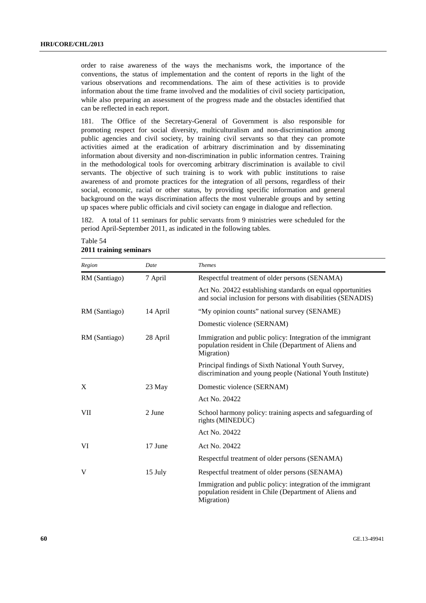order to raise awareness of the ways the mechanisms work, the importance of the conventions, the status of implementation and the content of reports in the light of the various observations and recommendations. The aim of these activities is to provide information about the time frame involved and the modalities of civil society participation, while also preparing an assessment of the progress made and the obstacles identified that can be reflected in each report.

181. The Office of the Secretary-General of Government is also responsible for promoting respect for social diversity, multiculturalism and non-discrimination among public agencies and civil society, by training civil servants so that they can promote activities aimed at the eradication of arbitrary discrimination and by disseminating information about diversity and non-discrimination in public information centres. Training in the methodological tools for overcoming arbitrary discrimination is available to civil servants. The objective of such training is to work with public institutions to raise awareness of and promote practices for the integration of all persons, regardless of their social, economic, racial or other status, by providing specific information and general background on the ways discrimination affects the most vulnerable groups and by setting up spaces where public officials and civil society can engage in dialogue and reflection.

182. A total of 11 seminars for public servants from 9 ministries were scheduled for the period April-September 2011, as indicated in the following tables.

| Region        | Date     | <b>Themes</b>                                                                                                                       |  |
|---------------|----------|-------------------------------------------------------------------------------------------------------------------------------------|--|
| RM (Santiago) | 7 April  | Respectful treatment of older persons (SENAMA)                                                                                      |  |
|               |          | Act No. 20422 establishing standards on equal opportunities<br>and social inclusion for persons with disabilities (SENADIS)         |  |
| RM (Santiago) | 14 April | "My opinion counts" national survey (SENAME)                                                                                        |  |
|               |          | Domestic violence (SERNAM)                                                                                                          |  |
| RM (Santiago) | 28 April | Immigration and public policy: Integration of the immigrant<br>population resident in Chile (Department of Aliens and<br>Migration) |  |
|               |          | Principal findings of Sixth National Youth Survey,<br>discrimination and young people (National Youth Institute)                    |  |
| X             | 23 May   | Domestic violence (SERNAM)                                                                                                          |  |
|               |          | Act No. 20422                                                                                                                       |  |
| VII           | 2 June   | School harmony policy: training aspects and safeguarding of<br>rights (MINEDUC)                                                     |  |
|               |          | Act No. 20422                                                                                                                       |  |
| VI            | 17 June  | Act No. 20422                                                                                                                       |  |
|               |          | Respectful treatment of older persons (SENAMA)                                                                                      |  |
| V             | 15 July  | Respectful treatment of older persons (SENAMA)                                                                                      |  |
|               |          | Immigration and public policy: integration of the immigrant<br>population resident in Chile (Department of Aliens and<br>Migration) |  |

| Table 54 |                        |  |
|----------|------------------------|--|
|          | 2011 training seminars |  |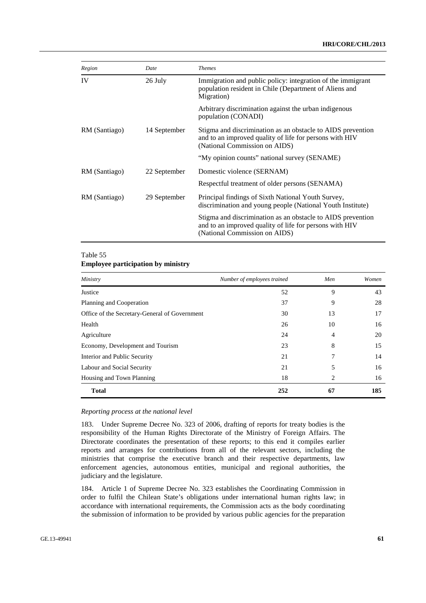# **HRI/CORE/CHL/2013**

| Region        | Date         | <b>Themes</b>                                                                                                                                           |
|---------------|--------------|---------------------------------------------------------------------------------------------------------------------------------------------------------|
| IV            | 26 July      | Immigration and public policy: integration of the immigrant<br>population resident in Chile (Department of Aliens and<br>Migration)                     |
|               |              | Arbitrary discrimination against the urban indigenous<br>population (CONADI)                                                                            |
| RM (Santiago) | 14 September | Stigma and discrimination as an obstacle to AIDS prevention<br>and to an improved quality of life for persons with HIV<br>(National Commission on AIDS) |
|               |              | "My opinion counts" national survey (SENAME)                                                                                                            |
| RM (Santiago) | 22 September | Domestic violence (SERNAM)                                                                                                                              |
|               |              | Respectful treatment of older persons (SENAMA)                                                                                                          |
| RM (Santiago) | 29 September | Principal findings of Sixth National Youth Survey,<br>discrimination and young people (National Youth Institute)                                        |
|               |              | Stigma and discrimination as an obstacle to AIDS prevention<br>and to an improved quality of life for persons with HIV<br>(National Commission on AIDS) |

# Table 55

# **Employee participation by ministry**

| Ministry                                      | Number of employees trained | Men | Women |
|-----------------------------------------------|-----------------------------|-----|-------|
| Justice                                       | 52                          | 9   | 43    |
| Planning and Cooperation                      | 37                          | 9   | 28    |
| Office of the Secretary-General of Government | 30                          | 13  | 17    |
| Health                                        | 26                          | 10  | 16    |
| Agriculture                                   | 24                          | 4   | 20    |
| Economy, Development and Tourism              | 23                          | 8   | 15    |
| Interior and Public Security                  | 21                          | 7   | 14    |
| Labour and Social Security                    | 21                          | 5   | 16    |
| Housing and Town Planning                     | 18                          | 2   | 16    |
| <b>Total</b>                                  | 252                         | 67  | 185   |

# *Reporting process at the national level*

183. Under Supreme Decree No. 323 of 2006, drafting of reports for treaty bodies is the responsibility of the Human Rights Directorate of the Ministry of Foreign Affairs. The Directorate coordinates the presentation of these reports; to this end it compiles earlier reports and arranges for contributions from all of the relevant sectors, including the ministries that comprise the executive branch and their respective departments, law enforcement agencies, autonomous entities, municipal and regional authorities, the judiciary and the legislature.

184. Article 1 of Supreme Decree No. 323 establishes the Coordinating Commission in order to fulfil the Chilean State's obligations under international human rights law; in accordance with international requirements, the Commission acts as the body coordinating the submission of information to be provided by various public agencies for the preparation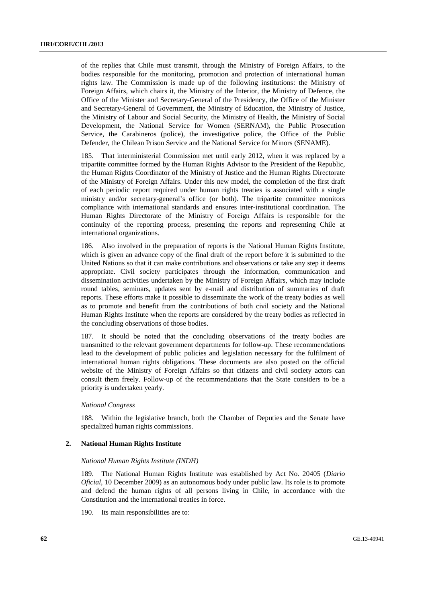of the replies that Chile must transmit, through the Ministry of Foreign Affairs, to the bodies responsible for the monitoring, promotion and protection of international human rights law. The Commission is made up of the following institutions: the Ministry of Foreign Affairs, which chairs it, the Ministry of the Interior, the Ministry of Defence, the Office of the Minister and Secretary-General of the Presidency, the Office of the Minister and Secretary-General of Government, the Ministry of Education, the Ministry of Justice, the Ministry of Labour and Social Security, the Ministry of Health, the Ministry of Social Development, the National Service for Women (SERNAM), the Public Prosecution Service, the Carabineros (police), the investigative police, the Office of the Public Defender, the Chilean Prison Service and the National Service for Minors (SENAME).

185. That interministerial Commission met until early 2012, when it was replaced by a tripartite committee formed by the Human Rights Advisor to the President of the Republic, the Human Rights Coordinator of the Ministry of Justice and the Human Rights Directorate of the Ministry of Foreign Affairs. Under this new model, the completion of the first draft of each periodic report required under human rights treaties is associated with a single ministry and/or secretary-general's office (or both). The tripartite committee monitors compliance with international standards and ensures inter-institutional coordination. The Human Rights Directorate of the Ministry of Foreign Affairs is responsible for the continuity of the reporting process, presenting the reports and representing Chile at international organizations.

186. Also involved in the preparation of reports is the National Human Rights Institute, which is given an advance copy of the final draft of the report before it is submitted to the United Nations so that it can make contributions and observations or take any step it deems appropriate. Civil society participates through the information, communication and dissemination activities undertaken by the Ministry of Foreign Affairs, which may include round tables, seminars, updates sent by e-mail and distribution of summaries of draft reports. These efforts make it possible to disseminate the work of the treaty bodies as well as to promote and benefit from the contributions of both civil society and the National Human Rights Institute when the reports are considered by the treaty bodies as reflected in the concluding observations of those bodies.

187. It should be noted that the concluding observations of the treaty bodies are transmitted to the relevant government departments for follow-up. These recommendations lead to the development of public policies and legislation necessary for the fulfilment of international human rights obligations. These documents are also posted on the official website of the Ministry of Foreign Affairs so that citizens and civil society actors can consult them freely. Follow-up of the recommendations that the State considers to be a priority is undertaken yearly.

#### *National Congress*

188. Within the legislative branch, both the Chamber of Deputies and the Senate have specialized human rights commissions.

#### **2. National Human Rights Institute**

#### *National Human Rights Institute (INDH)*

189. The National Human Rights Institute was established by Act No. 20405 (*Diario Oficial*, 10 December 2009) as an autonomous body under public law. Its role is to promote and defend the human rights of all persons living in Chile, in accordance with the Constitution and the international treaties in force.

190. Its main responsibilities are to: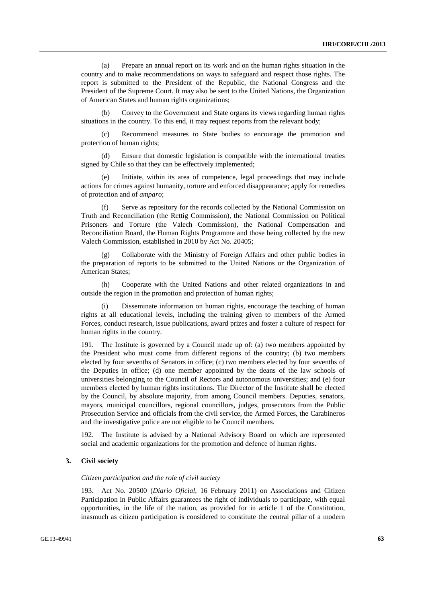(a) Prepare an annual report on its work and on the human rights situation in the country and to make recommendations on ways to safeguard and respect those rights. The report is submitted to the President of the Republic, the National Congress and the President of the Supreme Court. It may also be sent to the United Nations, the Organization of American States and human rights organizations;

 (b) Convey to the Government and State organs its views regarding human rights situations in the country. To this end, it may request reports from the relevant body;

 (c) Recommend measures to State bodies to encourage the promotion and protection of human rights;

 (d) Ensure that domestic legislation is compatible with the international treaties signed by Chile so that they can be effectively implemented;

 (e) Initiate, within its area of competence, legal proceedings that may include actions for crimes against humanity, torture and enforced disappearance; apply for remedies of protection and of *amparo*;

Serve as repository for the records collected by the National Commission on Truth and Reconciliation (the Rettig Commission), the National Commission on Political Prisoners and Torture (the Valech Commission), the National Compensation and Reconciliation Board, the Human Rights Programme and those being collected by the new Valech Commission, established in 2010 by Act No. 20405;

Collaborate with the Ministry of Foreign Affairs and other public bodies in the preparation of reports to be submitted to the United Nations or the Organization of American States;

 (h) Cooperate with the United Nations and other related organizations in and outside the region in the promotion and protection of human rights;

 (i) Disseminate information on human rights, encourage the teaching of human rights at all educational levels, including the training given to members of the Armed Forces, conduct research, issue publications, award prizes and foster a culture of respect for human rights in the country.

191. The Institute is governed by a Council made up of: (a) two members appointed by the President who must come from different regions of the country; (b) two members elected by four sevenths of Senators in office; (c) two members elected by four sevenths of the Deputies in office; (d) one member appointed by the deans of the law schools of universities belonging to the Council of Rectors and autonomous universities; and (e) four members elected by human rights institutions. The Director of the Institute shall be elected by the Council, by absolute majority, from among Council members. Deputies, senators, mayors, municipal councillors, regional councillors, judges, prosecutors from the Public Prosecution Service and officials from the civil service, the Armed Forces, the Carabineros and the investigative police are not eligible to be Council members.

192. The Institute is advised by a National Advisory Board on which are represented social and academic organizations for the promotion and defence of human rights.

# **3. Civil society**

#### *Citizen participation and the role of civil society*

193. Act No. 20500 (*Diario Oficial*, 16 February 2011) on Associations and Citizen Participation in Public Affairs guarantees the right of individuals to participate, with equal opportunities, in the life of the nation, as provided for in article 1 of the Constitution, inasmuch as citizen participation is considered to constitute the central pillar of a modern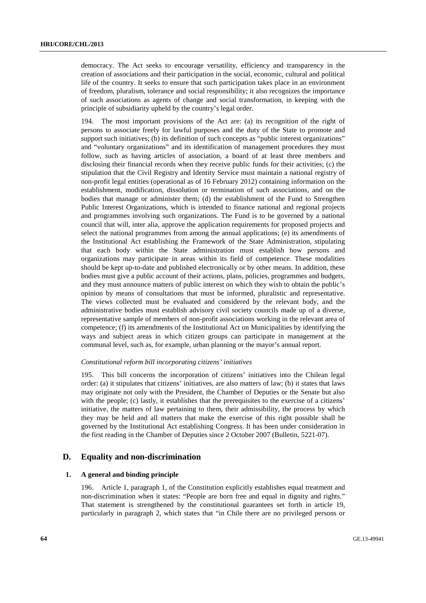democracy. The Act seeks to encourage versatility, efficiency and transparency in the creation of associations and their participation in the social, economic, cultural and political life of the country. It seeks to ensure that such participation takes place in an environment of freedom, pluralism, tolerance and social responsibility; it also recognizes the importance of such associations as agents of change and social transformation, in keeping with the principle of subsidiarity upheld by the country's legal order.

194. The most important provisions of the Act are: (a) its recognition of the right of persons to associate freely for lawful purposes and the duty of the State to promote and support such initiatives; (b) its definition of such concepts as "public interest organizations" and "voluntary organizations" and its identification of management procedures they must follow, such as having articles of association, a board of at least three members and disclosing their financial records when they receive public funds for their activities; (c) the stipulation that the Civil Registry and Identity Service must maintain a national registry of non-profit legal entities (operational as of 16 February 2012) containing information on the establishment, modification, dissolution or termination of such associations, and on the bodies that manage or administer them; (d) the establishment of the Fund to Strengthen Public Interest Organizations, which is intended to finance national and regional projects and programmes involving such organizations. The Fund is to be governed by a national council that will, inter alia, approve the application requirements for proposed projects and select the national programmes from among the annual applications; (e) its amendments of the Institutional Act establishing the Framework of the State Administration, stipulating that each body within the State administration must establish how persons and organizations may participate in areas within its field of competence. These modalities should be kept up-to-date and published electronically or by other means. In addition, these bodies must give a public account of their actions, plans, policies, programmes and budgets, and they must announce matters of public interest on which they wish to obtain the public's opinion by means of consultations that must be informed, pluralistic and representative. The views collected must be evaluated and considered by the relevant body, and the administrative bodies must establish advisory civil society councils made up of a diverse, representative sample of members of non-profit associations working in the relevant area of competence; (f) its amendments of the Institutional Act on Municipalities by identifying the ways and subject areas in which citizen groups can participate in management at the communal level, such as, for example, urban planning or the mayor's annual report.

#### *Constitutional reform bill incorporating citizens' initiatives*

195. This bill concerns the incorporation of citizens' initiatives into the Chilean legal order: (a) it stipulates that citizens' initiatives, are also matters of law; (b) it states that laws may originate not only with the President, the Chamber of Deputies or the Senate but also with the people; (c) lastly, it establishes that the prerequisites to the exercise of a citizens' initiative, the matters of law pertaining to them, their admissibility, the process by which they may be held and all matters that make the exercise of this right possible shall be governed by the Institutional Act establishing Congress. It has been under consideration in the first reading in the Chamber of Deputies since 2 October 2007 (Bulletin, 5221-07).

# **D. Equality and non-discrimination**

# **1. A general and binding principle**

196. Article 1, paragraph 1, of the Constitution explicitly establishes equal treatment and non-discrimination when it states: "People are born free and equal in dignity and rights." That statement is strengthened by the constitutional guarantees set forth in article 19, particularly in paragraph 2, which states that "in Chile there are no privileged persons or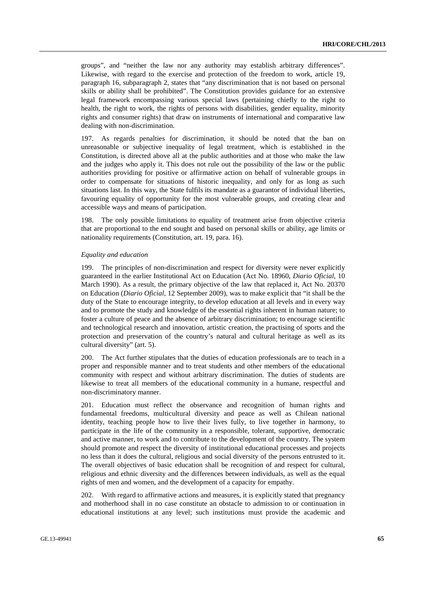groups", and "neither the law nor any authority may establish arbitrary differences". Likewise, with regard to the exercise and protection of the freedom to work, article 19, paragraph 16, subparagraph 2, states that "any discrimination that is not based on personal skills or ability shall be prohibited". The Constitution provides guidance for an extensive legal framework encompassing various special laws (pertaining chiefly to the right to health, the right to work, the rights of persons with disabilities, gender equality, minority rights and consumer rights) that draw on instruments of international and comparative law dealing with non-discrimination.

197. As regards penalties for discrimination, it should be noted that the ban on unreasonable or subjective inequality of legal treatment, which is established in the Constitution, is directed above all at the public authorities and at those who make the law and the judges who apply it. This does not rule out the possibility of the law or the public authorities providing for positive or affirmative action on behalf of vulnerable groups in order to compensate for situations of historic inequality, and only for as long as such situations last. In this way, the State fulfils its mandate as a guarantor of individual liberties, favouring equality of opportunity for the most vulnerable groups, and creating clear and accessible ways and means of participation.

198. The only possible limitations to equality of treatment arise from objective criteria that are proportional to the end sought and based on personal skills or ability, age limits or nationality requirements (Constitution, art. 19, para. 16).

#### *Equality and education*

199. The principles of non-discrimination and respect for diversity were never explicitly guaranteed in the earlier Institutional Act on Education (Act No. 18960, *Diario Oficial*, 10 March 1990). As a result, the primary objective of the law that replaced it, Act No. 20370 on Education (*Diario Oficial*, 12 September 2009), was to make explicit that "it shall be the duty of the State to encourage integrity, to develop education at all levels and in every way and to promote the study and knowledge of the essential rights inherent in human nature; to foster a culture of peace and the absence of arbitrary discrimination; to encourage scientific and technological research and innovation, artistic creation, the practising of sports and the protection and preservation of the country's natural and cultural heritage as well as its cultural diversity" (art. 5).

200. The Act further stipulates that the duties of education professionals are to teach in a proper and responsible manner and to treat students and other members of the educational community with respect and without arbitrary discrimination. The duties of students are likewise to treat all members of the educational community in a humane, respectful and non-discriminatory manner.

201. Education must reflect the observance and recognition of human rights and fundamental freedoms, multicultural diversity and peace as well as Chilean national identity, teaching people how to live their lives fully, to live together in harmony, to participate in the life of the community in a responsible, tolerant, supportive, democratic and active manner, to work and to contribute to the development of the country. The system should promote and respect the diversity of institutional educational processes and projects no less than it does the cultural, religious and social diversity of the persons entrusted to it. The overall objectives of basic education shall be recognition of and respect for cultural, religious and ethnic diversity and the differences between individuals, as well as the equal rights of men and women, and the development of a capacity for empathy.

202. With regard to affirmative actions and measures, it is explicitly stated that pregnancy and motherhood shall in no case constitute an obstacle to admission to or continuation in educational institutions at any level; such institutions must provide the academic and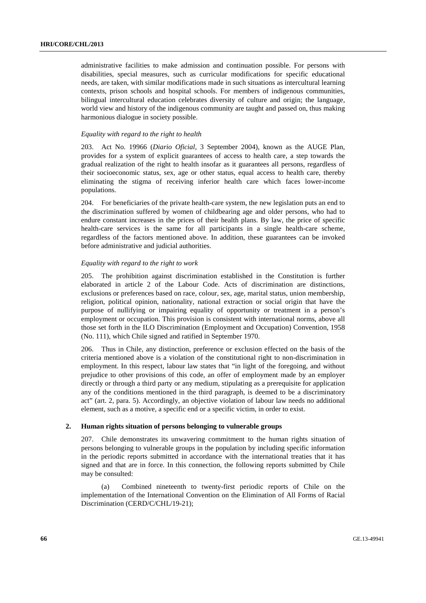administrative facilities to make admission and continuation possible. For persons with disabilities, special measures, such as curricular modifications for specific educational needs, are taken, with similar modifications made in such situations as intercultural learning contexts, prison schools and hospital schools. For members of indigenous communities, bilingual intercultural education celebrates diversity of culture and origin; the language, world view and history of the indigenous community are taught and passed on, thus making harmonious dialogue in society possible.

#### *Equality with regard to the right to health*

203. Act No. 19966 (*Diario Oficial*, 3 September 2004), known as the AUGE Plan, provides for a system of explicit guarantees of access to health care, a step towards the gradual realization of the right to health insofar as it guarantees all persons, regardless of their socioeconomic status, sex, age or other status, equal access to health care, thereby eliminating the stigma of receiving inferior health care which faces lower-income populations.

204. For beneficiaries of the private health-care system, the new legislation puts an end to the discrimination suffered by women of childbearing age and older persons, who had to endure constant increases in the prices of their health plans. By law, the price of specific health-care services is the same for all participants in a single health-care scheme, regardless of the factors mentioned above. In addition, these guarantees can be invoked before administrative and judicial authorities.

# *Equality with regard to the right to work*

205. The prohibition against discrimination established in the Constitution is further elaborated in article 2 of the Labour Code. Acts of discrimination are distinctions, exclusions or preferences based on race, colour, sex, age, marital status, union membership, religion, political opinion, nationality, national extraction or social origin that have the purpose of nullifying or impairing equality of opportunity or treatment in a person's employment or occupation. This provision is consistent with international norms, above all those set forth in the ILO Discrimination (Employment and Occupation) Convention, 1958 (No. 111), which Chile signed and ratified in September 1970.

206. Thus in Chile, any distinction, preference or exclusion effected on the basis of the criteria mentioned above is a violation of the constitutional right to non-discrimination in employment. In this respect, labour law states that "in light of the foregoing, and without prejudice to other provisions of this code, an offer of employment made by an employer directly or through a third party or any medium, stipulating as a prerequisite for application any of the conditions mentioned in the third paragraph, is deemed to be a discriminatory act" (art. 2, para. 5). Accordingly, an objective violation of labour law needs no additional element, such as a motive, a specific end or a specific victim, in order to exist.

# **2. Human rights situation of persons belonging to vulnerable groups**

207. Chile demonstrates its unwavering commitment to the human rights situation of persons belonging to vulnerable groups in the population by including specific information in the periodic reports submitted in accordance with the international treaties that it has signed and that are in force. In this connection, the following reports submitted by Chile may be consulted:

 (a) Combined nineteenth to twenty-first periodic reports of Chile on the implementation of the International Convention on the Elimination of All Forms of Racial Discrimination (CERD/C/CHL/19-21);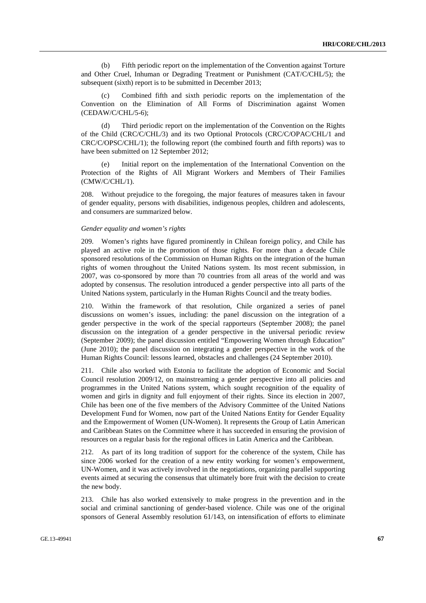(b) Fifth periodic report on the implementation of the Convention against Torture and Other Cruel, Inhuman or Degrading Treatment or Punishment (CAT/C/CHL/5); the subsequent (sixth) report is to be submitted in December 2013;

 (c) Combined fifth and sixth periodic reports on the implementation of the Convention on the Elimination of All Forms of Discrimination against Women (CEDAW/C/CHL/5-6);

 (d) Third periodic report on the implementation of the Convention on the Rights of the Child (CRC/C/CHL/3) and its two Optional Protocols (CRC/C/OPAC/CHL/1 and CRC/C/OPSC/CHL/1); the following report (the combined fourth and fifth reports) was to have been submitted on 12 September 2012;

 (e) Initial report on the implementation of the International Convention on the Protection of the Rights of All Migrant Workers and Members of Their Families (CMW/C/CHL/1).

208. Without prejudice to the foregoing, the major features of measures taken in favour of gender equality, persons with disabilities, indigenous peoples, children and adolescents, and consumers are summarized below.

#### *Gender equality and women's rights*

209. Women's rights have figured prominently in Chilean foreign policy, and Chile has played an active role in the promotion of those rights. For more than a decade Chile sponsored resolutions of the Commission on Human Rights on the integration of the human rights of women throughout the United Nations system. Its most recent submission, in 2007, was co-sponsored by more than 70 countries from all areas of the world and was adopted by consensus. The resolution introduced a gender perspective into all parts of the United Nations system, particularly in the Human Rights Council and the treaty bodies.

210. Within the framework of that resolution, Chile organized a series of panel discussions on women's issues, including: the panel discussion on the integration of a gender perspective in the work of the special rapporteurs (September 2008); the panel discussion on the integration of a gender perspective in the universal periodic review (September 2009); the panel discussion entitled "Empowering Women through Education" (June 2010); the panel discussion on integrating a gender perspective in the work of the Human Rights Council: lessons learned, obstacles and challenges (24 September 2010).

211. Chile also worked with Estonia to facilitate the adoption of Economic and Social Council resolution 2009/12, on mainstreaming a gender perspective into all policies and programmes in the United Nations system, which sought recognition of the equality of women and girls in dignity and full enjoyment of their rights. Since its election in 2007, Chile has been one of the five members of the Advisory Committee of the United Nations Development Fund for Women, now part of the United Nations Entity for Gender Equality and the Empowerment of Women (UN-Women). It represents the Group of Latin American and Caribbean States on the Committee where it has succeeded in ensuring the provision of resources on a regular basis for the regional offices in Latin America and the Caribbean.

212. As part of its long tradition of support for the coherence of the system, Chile has since 2006 worked for the creation of a new entity working for women's empowerment, UN-Women, and it was actively involved in the negotiations, organizing parallel supporting events aimed at securing the consensus that ultimately bore fruit with the decision to create the new body.

213. Chile has also worked extensively to make progress in the prevention and in the social and criminal sanctioning of gender-based violence. Chile was one of the original sponsors of General Assembly resolution 61/143, on intensification of efforts to eliminate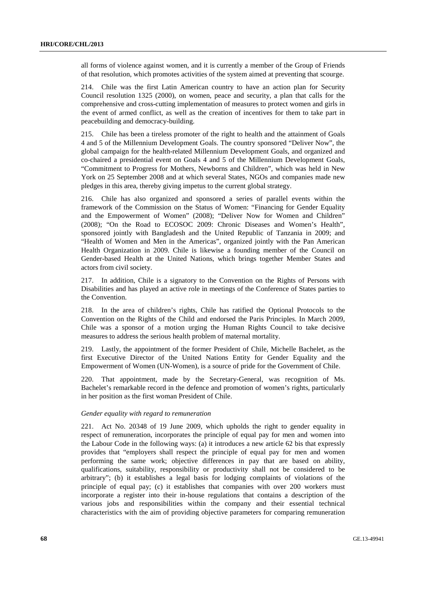all forms of violence against women, and it is currently a member of the Group of Friends of that resolution, which promotes activities of the system aimed at preventing that scourge.

214. Chile was the first Latin American country to have an action plan for Security Council resolution 1325 (2000), on women, peace and security, a plan that calls for the comprehensive and cross-cutting implementation of measures to protect women and girls in the event of armed conflict, as well as the creation of incentives for them to take part in peacebuilding and democracy-building.

215. Chile has been a tireless promoter of the right to health and the attainment of Goals 4 and 5 of the Millennium Development Goals. The country sponsored "Deliver Now", the global campaign for the health-related Millennium Development Goals, and organized and co-chaired a presidential event on Goals 4 and 5 of the Millennium Development Goals, "Commitment to Progress for Mothers, Newborns and Children", which was held in New York on 25 September 2008 and at which several States, NGOs and companies made new pledges in this area, thereby giving impetus to the current global strategy.

216. Chile has also organized and sponsored a series of parallel events within the framework of the Commission on the Status of Women: "Financing for Gender Equality and the Empowerment of Women" (2008); "Deliver Now for Women and Children" (2008); "On the Road to ECOSOC 2009: Chronic Diseases and Women's Health", sponsored jointly with Bangladesh and the United Republic of Tanzania in 2009; and "Health of Women and Men in the Americas", organized jointly with the Pan American Health Organization in 2009. Chile is likewise a founding member of the Council on Gender-based Health at the United Nations, which brings together Member States and actors from civil society.

217. In addition, Chile is a signatory to the Convention on the Rights of Persons with Disabilities and has played an active role in meetings of the Conference of States parties to the Convention.

218. In the area of children's rights, Chile has ratified the Optional Protocols to the Convention on the Rights of the Child and endorsed the Paris Principles. In March 2009, Chile was a sponsor of a motion urging the Human Rights Council to take decisive measures to address the serious health problem of maternal mortality.

219. Lastly, the appointment of the former President of Chile, Michelle Bachelet, as the first Executive Director of the United Nations Entity for Gender Equality and the Empowerment of Women (UN-Women), is a source of pride for the Government of Chile.

220. That appointment, made by the Secretary-General, was recognition of Ms. Bachelet's remarkable record in the defence and promotion of women's rights, particularly in her position as the first woman President of Chile.

#### *Gender equality with regard to remuneration*

221. Act No. 20348 of 19 June 2009, which upholds the right to gender equality in respect of remuneration, incorporates the principle of equal pay for men and women into the Labour Code in the following ways: (a) it introduces a new article 62 bis that expressly provides that "employers shall respect the principle of equal pay for men and women performing the same work; objective differences in pay that are based on ability, qualifications, suitability, responsibility or productivity shall not be considered to be arbitrary"; (b) it establishes a legal basis for lodging complaints of violations of the principle of equal pay; (c) it establishes that companies with over 200 workers must incorporate a register into their in-house regulations that contains a description of the various jobs and responsibilities within the company and their essential technical characteristics with the aim of providing objective parameters for comparing remuneration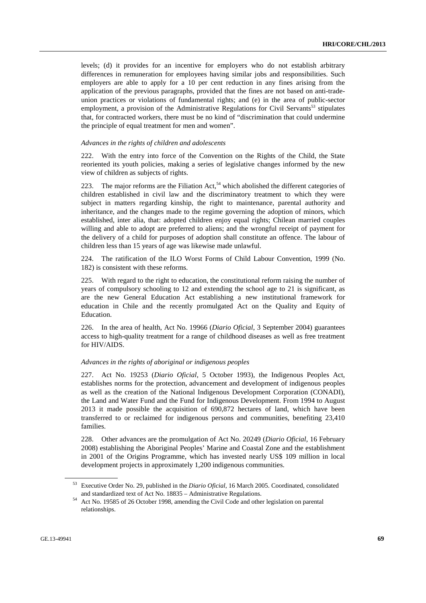levels; (d) it provides for an incentive for employers who do not establish arbitrary differences in remuneration for employees having similar jobs and responsibilities. Such employers are able to apply for a 10 per cent reduction in any fines arising from the application of the previous paragraphs, provided that the fines are not based on anti-tradeunion practices or violations of fundamental rights; and (e) in the area of public-sector employment, a provision of the Administrative Regulations for Civil Servants<sup>53</sup> stipulates that, for contracted workers, there must be no kind of "discrimination that could undermine the principle of equal treatment for men and women".

#### *Advances in the rights of children and adolescents*

222. With the entry into force of the Convention on the Rights of the Child, the State reoriented its youth policies, making a series of legislative changes informed by the new view of children as subjects of rights.

223. The major reforms are the Filiation Act,<sup>54</sup> which abolished the different categories of children established in civil law and the discriminatory treatment to which they were subject in matters regarding kinship, the right to maintenance, parental authority and inheritance, and the changes made to the regime governing the adoption of minors, which established, inter alia, that: adopted children enjoy equal rights; Chilean married couples willing and able to adopt are preferred to aliens; and the wrongful receipt of payment for the delivery of a child for purposes of adoption shall constitute an offence. The labour of children less than 15 years of age was likewise made unlawful.

224. The ratification of the ILO Worst Forms of Child Labour Convention, 1999 (No. 182) is consistent with these reforms.

225. With regard to the right to education, the constitutional reform raising the number of years of compulsory schooling to 12 and extending the school age to 21 is significant, as are the new General Education Act establishing a new institutional framework for education in Chile and the recently promulgated Act on the Quality and Equity of Education.

226. In the area of health, Act No. 19966 (*Diario Oficial*, 3 September 2004) guarantees access to high-quality treatment for a range of childhood diseases as well as free treatment for HIV/AIDS.

#### *Advances in the rights of aboriginal or indigenous peoples*

227. Act No. 19253 (*Diario Oficial*, 5 October 1993), the Indigenous Peoples Act, establishes norms for the protection, advancement and development of indigenous peoples as well as the creation of the National Indigenous Development Corporation (CONADI), the Land and Water Fund and the Fund for Indigenous Development. From 1994 to August 2013 it made possible the acquisition of 690,872 hectares of land, which have been transferred to or reclaimed for indigenous persons and communities, benefiting 23,410 families.

228. Other advances are the promulgation of Act No. 20249 (*Diario Oficial*, 16 February 2008) establishing the Aboriginal Peoples' Marine and Coastal Zone and the establishment in 2001 of the Origins Programme, which has invested nearly US\$ 109 million in local development projects in approximately 1,200 indigenous communities.

<sup>53</sup> Executive Order No. 29, published in the *Diario Oficial*, 16 March 2005. Coordinated, consolidated

and standardized text of Act No. 18835 – Administrative Regulations. 54 Act No. 19585 of 26 October 1998, amending the Civil Code and other legislation on parental relationships.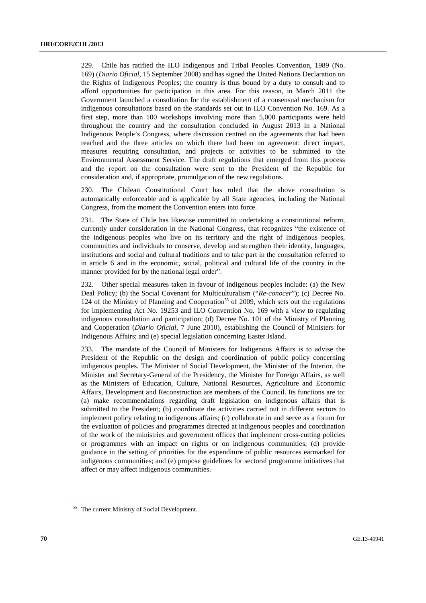229. Chile has ratified the ILO Indigenous and Tribal Peoples Convention, 1989 (No. 169) (*Diario Oficial*, 15 September 2008) and has signed the United Nations Declaration on the Rights of Indigenous Peoples; the country is thus bound by a duty to consult and to afford opportunities for participation in this area. For this reason, in March 2011 the Government launched a consultation for the establishment of a consensual mechanism for indigenous consultations based on the standards set out in ILO Convention No. 169. As a first step, more than 100 workshops involving more than 5,000 participants were held throughout the country and the consultation concluded in August 2013 in a National Indigenous People's Congress, where discussion centred on the agreements that had been reached and the three articles on which there had been no agreement: direct impact, measures requiring consultation, and projects or activities to be submitted to the Environmental Assessment Service. The draft regulations that emerged from this process and the report on the consultation were sent to the President of the Republic for consideration and, if appropriate, promulgation of the new regulations.

230. The Chilean Constitutional Court has ruled that the above consultation is automatically enforceable and is applicable by all State agencies, including the National Congress, from the moment the Convention enters into force.

231. The State of Chile has likewise committed to undertaking a constitutional reform, currently under consideration in the National Congress, that recognizes "the existence of the indigenous peoples who live on its territory and the right of indigenous peoples, communities and individuals to conserve, develop and strengthen their identity, languages, institutions and social and cultural traditions and to take part in the consultation referred to in article 6 and in the economic, social, political and cultural life of the country in the manner provided for by the national legal order".

232. Other special measures taken in favour of indigenous peoples include: (a) the New Deal Policy; (b) the Social Covenant for Multiculturalism ("*Re-conocer*"); (c) Decree No. 124 of the Ministry of Planning and Cooperation<sup>55</sup> of 2009, which sets out the regulations for implementing Act No. 19253 and ILO Convention No. 169 with a view to regulating indigenous consultation and participation; (d) Decree No. 101 of the Ministry of Planning and Cooperation (*Diario Oficial*, 7 June 2010), establishing the Council of Ministers for Indigenous Affairs; and (e) special legislation concerning Easter Island.

233. The mandate of the Council of Ministers for Indigenous Affairs is to advise the President of the Republic on the design and coordination of public policy concerning indigenous peoples. The Minister of Social Development, the Minister of the Interior, the Minister and Secretary-General of the Presidency, the Minister for Foreign Affairs, as well as the Ministers of Education, Culture, National Resources, Agriculture and Economic Affairs, Development and Reconstruction are members of the Council. Its functions are to: (a) make recommendations regarding draft legislation on indigenous affairs that is submitted to the President; (b) coordinate the activities carried out in different sectors to implement policy relating to indigenous affairs; (c) collaborate in and serve as a forum for the evaluation of policies and programmes directed at indigenous peoples and coordination of the work of the ministries and government offices that implement cross-cutting policies or programmes with an impact on rights or on indigenous communities; (d) provide guidance in the setting of priorities for the expenditure of public resources earmarked for indigenous communities; and (e) propose guidelines for sectoral programme initiatives that affect or may affect indigenous communities.

<sup>&</sup>lt;sup>55</sup> The current Ministry of Social Development.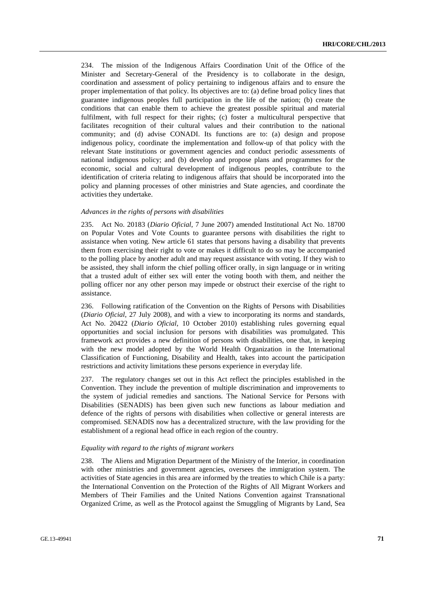234. The mission of the Indigenous Affairs Coordination Unit of the Office of the Minister and Secretary-General of the Presidency is to collaborate in the design, coordination and assessment of policy pertaining to indigenous affairs and to ensure the proper implementation of that policy. Its objectives are to: (a) define broad policy lines that guarantee indigenous peoples full participation in the life of the nation; (b) create the conditions that can enable them to achieve the greatest possible spiritual and material fulfilment, with full respect for their rights; (c) foster a multicultural perspective that facilitates recognition of their cultural values and their contribution to the national community; and (d) advise CONADI. Its functions are to: (a) design and propose indigenous policy, coordinate the implementation and follow-up of that policy with the relevant State institutions or government agencies and conduct periodic assessments of national indigenous policy; and (b) develop and propose plans and programmes for the economic, social and cultural development of indigenous peoples, contribute to the identification of criteria relating to indigenous affairs that should be incorporated into the policy and planning processes of other ministries and State agencies, and coordinate the activities they undertake.

#### *Advances in the rights of persons with disabilities*

235. Act No. 20183 (*Diario Oficial*, 7 June 2007) amended Institutional Act No. 18700 on Popular Votes and Vote Counts to guarantee persons with disabilities the right to assistance when voting. New article 61 states that persons having a disability that prevents them from exercising their right to vote or makes it difficult to do so may be accompanied to the polling place by another adult and may request assistance with voting. If they wish to be assisted, they shall inform the chief polling officer orally, in sign language or in writing that a trusted adult of either sex will enter the voting booth with them, and neither the polling officer nor any other person may impede or obstruct their exercise of the right to assistance.

236. Following ratification of the Convention on the Rights of Persons with Disabilities (*Diario Oficial*, 27 July 2008), and with a view to incorporating its norms and standards, Act No. 20422 (*Diario Oficial*, 10 October 2010) establishing rules governing equal opportunities and social inclusion for persons with disabilities was promulgated. This framework act provides a new definition of persons with disabilities, one that, in keeping with the new model adopted by the World Health Organization in the International Classification of Functioning, Disability and Health, takes into account the participation restrictions and activity limitations these persons experience in everyday life.

237. The regulatory changes set out in this Act reflect the principles established in the Convention. They include the prevention of multiple discrimination and improvements to the system of judicial remedies and sanctions. The National Service for Persons with Disabilities (SENADIS) has been given such new functions as labour mediation and defence of the rights of persons with disabilities when collective or general interests are compromised. SENADIS now has a decentralized structure, with the law providing for the establishment of a regional head office in each region of the country.

#### *Equality with regard to the rights of migrant workers*

238. The Aliens and Migration Department of the Ministry of the Interior, in coordination with other ministries and government agencies, oversees the immigration system. The activities of State agencies in this area are informed by the treaties to which Chile is a party: the International Convention on the Protection of the Rights of All Migrant Workers and Members of Their Families and the United Nations Convention against Transnational Organized Crime, as well as the Protocol against the Smuggling of Migrants by Land, Sea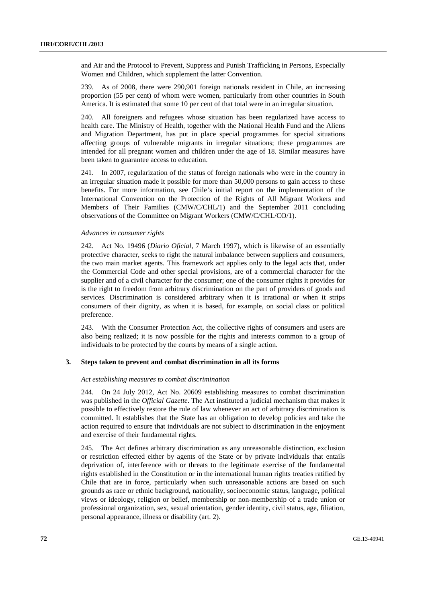and Air and the Protocol to Prevent, Suppress and Punish Trafficking in Persons, Especially Women and Children, which supplement the latter Convention.

239. As of 2008, there were 290,901 foreign nationals resident in Chile, an increasing proportion (55 per cent) of whom were women, particularly from other countries in South America. It is estimated that some 10 per cent of that total were in an irregular situation.

240. All foreigners and refugees whose situation has been regularized have access to health care. The Ministry of Health, together with the National Health Fund and the Aliens and Migration Department, has put in place special programmes for special situations affecting groups of vulnerable migrants in irregular situations; these programmes are intended for all pregnant women and children under the age of 18. Similar measures have been taken to guarantee access to education.

241. In 2007, regularization of the status of foreign nationals who were in the country in an irregular situation made it possible for more than 50,000 persons to gain access to these benefits. For more information, see Chile's initial report on the implementation of the International Convention on the Protection of the Rights of All Migrant Workers and Members of Their Families (CMW/C/CHL/1) and the September 2011 concluding observations of the Committee on Migrant Workers (CMW/C/CHL/CO/1).

# *Advances in consumer rights*

242. Act No. 19496 (*Diario Oficial*, 7 March 1997), which is likewise of an essentially protective character, seeks to right the natural imbalance between suppliers and consumers, the two main market agents. This framework act applies only to the legal acts that, under the Commercial Code and other special provisions, are of a commercial character for the supplier and of a civil character for the consumer; one of the consumer rights it provides for is the right to freedom from arbitrary discrimination on the part of providers of goods and services. Discrimination is considered arbitrary when it is irrational or when it strips consumers of their dignity, as when it is based, for example, on social class or political preference.

243. With the Consumer Protection Act, the collective rights of consumers and users are also being realized; it is now possible for the rights and interests common to a group of individuals to be protected by the courts by means of a single action.

# **3. Steps taken to prevent and combat discrimination in all its forms**

# *Act establishing measures to combat discrimination*

244. On 24 July 2012, Act No. 20609 establishing measures to combat discrimination was published in the *Official Gazette*. The Act instituted a judicial mechanism that makes it possible to effectively restore the rule of law whenever an act of arbitrary discrimination is committed. It establishes that the State has an obligation to develop policies and take the action required to ensure that individuals are not subject to discrimination in the enjoyment and exercise of their fundamental rights.

245. The Act defines arbitrary discrimination as any unreasonable distinction, exclusion or restriction effected either by agents of the State or by private individuals that entails deprivation of, interference with or threats to the legitimate exercise of the fundamental rights established in the Constitution or in the international human rights treaties ratified by Chile that are in force, particularly when such unreasonable actions are based on such grounds as race or ethnic background, nationality, socioeconomic status, language, political views or ideology, religion or belief, membership or non-membership of a trade union or professional organization, sex, sexual orientation, gender identity, civil status, age, filiation, personal appearance, illness or disability (art. 2).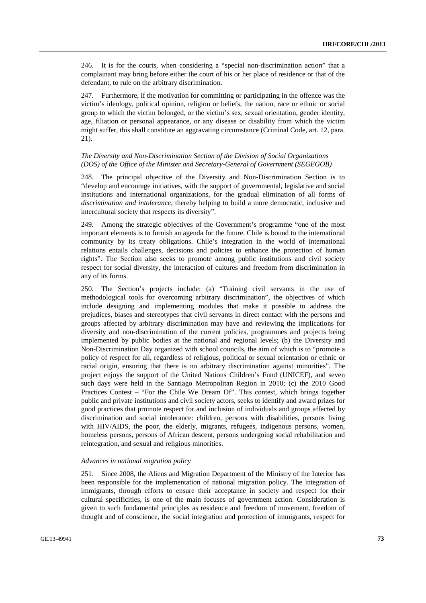246. It is for the courts, when considering a "special non-discrimination action" that a complainant may bring before either the court of his or her place of residence or that of the defendant, to rule on the arbitrary discrimination.

247. Furthermore, if the motivation for committing or participating in the offence was the victim's ideology, political opinion, religion or beliefs, the nation, race or ethnic or social group to which the victim belonged, or the victim's sex, sexual orientation, gender identity, age, filiation or personal appearance, or any disease or disability from which the victim might suffer, this shall constitute an aggravating circumstance (Criminal Code, art. 12, para. 21).

## *The Diversity and Non-Discrimination Section of the Division of Social Organizations (DOS) of the Office of the Minister and Secretary-General of Government (SEGEGOB)*

248. The principal objective of the Diversity and Non-Discrimination Section is to "develop and encourage initiatives, with the support of governmental, legislative and social institutions and international organizations, for the gradual elimination of all forms of *discrimination and intolerance*, thereby helping to build a more democratic, inclusive and intercultural society that respects its diversity".

249. Among the strategic objectives of the Government's programme "one of the most important elements is to furnish an agenda for the future. Chile is bound to the international community by its treaty obligations. Chile's integration in the world of international relations entails challenges, decisions and policies to enhance the protection of human rights". The Section also seeks to promote among public institutions and civil society respect for social diversity, the interaction of cultures and freedom from discrimination in any of its forms.

250. The Section's projects include: (a) "Training civil servants in the use of methodological tools for overcoming arbitrary discrimination", the objectives of which include designing and implementing modules that make it possible to address the prejudices, biases and stereotypes that civil servants in direct contact with the persons and groups affected by arbitrary discrimination may have and reviewing the implications for diversity and non-discrimination of the current policies, programmes and projects being implemented by public bodies at the national and regional levels; (b) the Diversity and Non-Discrimination Day organized with school councils, the aim of which is to "promote a policy of respect for all, regardless of religious, political or sexual orientation or ethnic or racial origin, ensuring that there is no arbitrary discrimination against minorities". The project enjoys the support of the United Nations Children's Fund (UNICEF), and seven such days were held in the Santiago Metropolitan Region in 2010; (c) the 2010 Good Practices Contest – "For the Chile We Dream Of". This contest, which brings together public and private institutions and civil society actors, seeks to identify and award prizes for good practices that promote respect for and inclusion of individuals and groups affected by discrimination and social intolerance: children, persons with disabilities, persons living with HIV/AIDS, the poor, the elderly, migrants, refugees, indigenous persons, women, homeless persons, persons of African descent, persons undergoing social rehabilitation and reintegration, and sexual and religious minorities.

## *Advances in national migration policy*

251. Since 2008, the Aliens and Migration Department of the Ministry of the Interior has been responsible for the implementation of national migration policy. The integration of immigrants, through efforts to ensure their acceptance in society and respect for their cultural specificities, is one of the main focuses of government action. Consideration is given to such fundamental principles as residence and freedom of movement, freedom of thought and of conscience, the social integration and protection of immigrants, respect for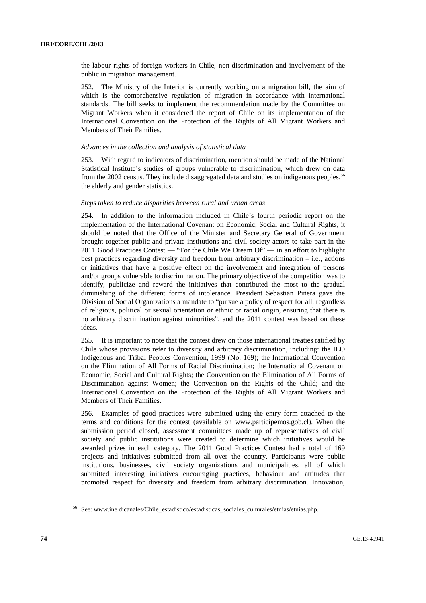the labour rights of foreign workers in Chile, non-discrimination and involvement of the public in migration management.

252. The Ministry of the Interior is currently working on a migration bill, the aim of which is the comprehensive regulation of migration in accordance with international standards. The bill seeks to implement the recommendation made by the Committee on Migrant Workers when it considered the report of Chile on its implementation of the International Convention on the Protection of the Rights of All Migrant Workers and Members of Their Families.

## *Advances in the collection and analysis of statistical data*

253. With regard to indicators of discrimination, mention should be made of the National Statistical Institute's studies of groups vulnerable to discrimination, which drew on data from the 2002 census. They include disaggregated data and studies on indigenous peoples,<sup>56</sup> the elderly and gender statistics.

## *Steps taken to reduce disparities between rural and urban areas*

254. In addition to the information included in Chile's fourth periodic report on the implementation of the International Covenant on Economic, Social and Cultural Rights, it should be noted that the Office of the Minister and Secretary General of Government brought together public and private institutions and civil society actors to take part in the 2011 Good Practices Contest — "For the Chile We Dream Of" — in an effort to highlight best practices regarding diversity and freedom from arbitrary discrimination – i.e., actions or initiatives that have a positive effect on the involvement and integration of persons and/or groups vulnerable to discrimination. The primary objective of the competition was to identify, publicize and reward the initiatives that contributed the most to the gradual diminishing of the different forms of intolerance. President Sebastián Piñera gave the Division of Social Organizations a mandate to "pursue a policy of respect for all, regardless of religious, political or sexual orientation or ethnic or racial origin, ensuring that there is no arbitrary discrimination against minorities", and the 2011 contest was based on these ideas.

255. It is important to note that the contest drew on those international treaties ratified by Chile whose provisions refer to diversity and arbitrary discrimination, including: the ILO Indigenous and Tribal Peoples Convention, 1999 (No. 169); the International Convention on the Elimination of All Forms of Racial Discrimination; the International Covenant on Economic, Social and Cultural Rights; the Convention on the Elimination of All Forms of Discrimination against Women; the Convention on the Rights of the Child; and the International Convention on the Protection of the Rights of All Migrant Workers and Members of Their Families.

256. Examples of good practices were submitted using the entry form attached to the terms and conditions for the contest (available on www.participemos.gob.cl). When the submission period closed, assessment committees made up of representatives of civil society and public institutions were created to determine which initiatives would be awarded prizes in each category. The 2011 Good Practices Contest had a total of 169 projects and initiatives submitted from all over the country. Participants were public institutions, businesses, civil society organizations and municipalities, all of which submitted interesting initiatives encouraging practices, behaviour and attitudes that promoted respect for diversity and freedom from arbitrary discrimination. Innovation,

<sup>56</sup> See: www.ine.dicanales/Chile\_estadistico/estadisticas\_sociales\_culturales/etnias/etnias.php.